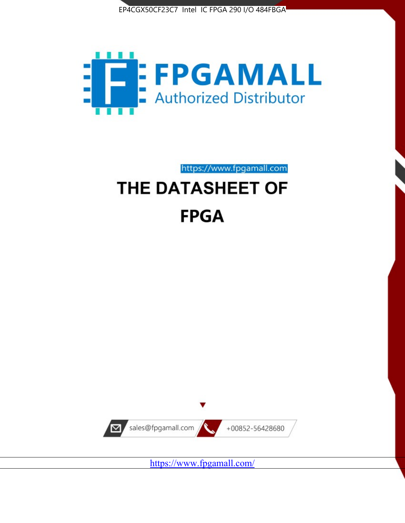



https://www.fpgamall.com

# THE DATASHEET OF **FPGA**



<https://www.fpgamall.com/>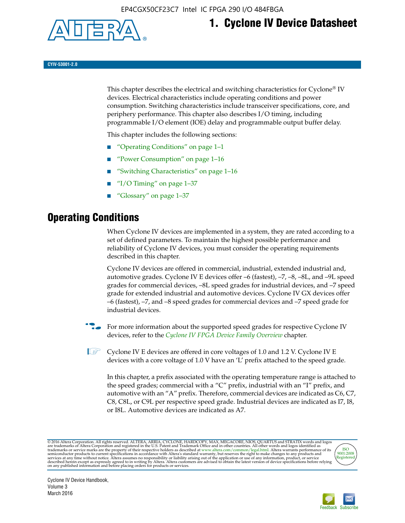

## **1. Cyclone IV Device Datasheet**

**CYIV-53001-2.0**

This chapter describes the electrical and switching characteristics for Cyclone<sup>®</sup> IV devices. Electrical characteristics include operating conditions and power consumption. Switching characteristics include transceiver specifications, core, and periphery performance. This chapter also describes I/O timing, including programmable I/O element (IOE) delay and programmable output buffer delay.

This chapter includes the following sections:

- "Operating Conditions" on page 1–1
- "Power Consumption" on page 1–16
- "Switching Characteristics" on page 1–16
- "I/O Timing" on page  $1-37$
- "Glossary" on page 1–37

## **Operating Conditions**

When Cyclone IV devices are implemented in a system, they are rated according to a set of defined parameters. To maintain the highest possible performance and reliability of Cyclone IV devices, you must consider the operating requirements described in this chapter.

Cyclone IV devices are offered in commercial, industrial, extended industrial and, automotive grades. Cyclone IV E devices offer –6 (fastest), –7, –8, –8L, and –9L speed grades for commercial devices, –8L speed grades for industrial devices, and –7 speed grade for extended industrial and automotive devices. Cyclone IV GX devices offer –6 (fastest), –7, and –8 speed grades for commercial devices and –7 speed grade for industrial devices.

**For more information about the supported speed grades for respective Cyclone IV** devices, refer to the *[Cyclone IV FPGA Device Family Overview](http://www.altera.com/literature/hb/cyclone-iv/cyiv-51001.pdf)* chapter.

**1** Cyclone IV E devices are offered in core voltages of 1.0 and 1.2 V. Cyclone IV E devices with a core voltage of 1.0 V have an 'L' prefix attached to the speed grade.

In this chapter, a prefix associated with the operating temperature range is attached to the speed grades; commercial with a "C" prefix, industrial with an "I" prefix, and automotive with an "A" prefix. Therefore, commercial devices are indicated as C6, C7, C8, C8L, or C9L per respective speed grade. Industrial devices are indicated as I7, I8, or I8L. Automotive devices are indicated as A7.

@2016 Altera Corporation. All rights reserved. ALTERA, ARRIA, CYCLONE, HARDCOPY, MAX, MEGACORE, NIOS, QUARTUS and STRATIX words and logos are trademarks of Altera Corporation and registered in the U.S. Patent and Trademark



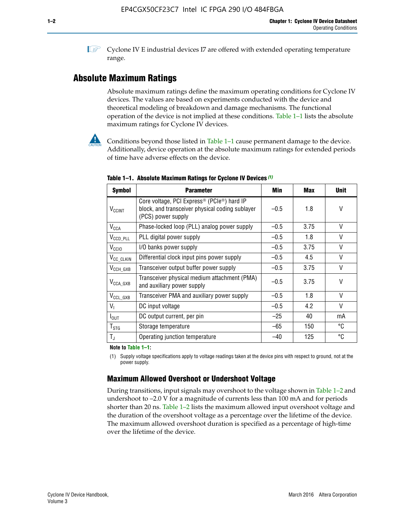**1 Cyclone IV E industrial devices I7 are offered with extended operating temperature** range.

## **Absolute Maximum Ratings**

Absolute maximum ratings define the maximum operating conditions for Cyclone IV devices. The values are based on experiments conducted with the device and theoretical modeling of breakdown and damage mechanisms. The functional operation of the device is not implied at these conditions. Table 1–1 lists the absolute maximum ratings for Cyclone IV devices.



Conditions beyond those listed in Table  $1-1$  cause permanent damage to the device. Additionally, device operation at the absolute maximum ratings for extended periods of time have adverse effects on the device.

| <b>Symbol</b>            | <b>Parameter</b>                                                                                                                             | Min    | <b>Max</b> | <b>Unit</b> |
|--------------------------|----------------------------------------------------------------------------------------------------------------------------------------------|--------|------------|-------------|
| <b>V<sub>CCINT</sub></b> | Core voltage, PCI Express <sup>®</sup> (PCIe <sup>®</sup> ) hard IP<br>block, and transceiver physical coding sublayer<br>(PCS) power supply | $-0.5$ | 1.8        | V           |
| $V_{CCA}$                | Phase-locked loop (PLL) analog power supply                                                                                                  | $-0.5$ | 3.75       | V           |
| $V_{CCD\_PLL}$           | PLL digital power supply                                                                                                                     | $-0.5$ | 1.8        | V           |
| V <sub>CCIO</sub>        | I/O banks power supply                                                                                                                       | $-0.5$ | 3.75       | V           |
| V <sub>CC_CLKIN</sub>    | Differential clock input pins power supply                                                                                                   | $-0.5$ | 4.5        | V           |
| $V_{\text{CCH_GXB}}$     | Transceiver output buffer power supply                                                                                                       | $-0.5$ | 3.75       | V           |
| $V_{\text{CCA\_GXB}}$    | Transceiver physical medium attachment (PMA)<br>and auxiliary power supply                                                                   | $-0.5$ | 3.75       | V           |
| $V_{CCL_GXB}$            | Transceiver PMA and auxiliary power supply                                                                                                   | $-0.5$ | 1.8        | V           |
| $V_{1}$                  | DC input voltage                                                                                                                             | $-0.5$ | 4.2        | V           |
| $I_{\text{OUT}}$         | DC output current, per pin                                                                                                                   | $-25$  | 40         | mA          |
| $T_{\mathtt{STG}}$       | Storage temperature                                                                                                                          | -65    | 150        | °C          |
| $T_{\rm J}$              | Operating junction temperature                                                                                                               | $-40$  | 125        | °C          |

**Table 1–1. Absolute Maximum Ratings for Cyclone IV Devices** *(1)*

**Note to Table 1–1:**

(1) Supply voltage specifications apply to voltage readings taken at the device pins with respect to ground, not at the power supply.

## **Maximum Allowed Overshoot or Undershoot Voltage**

During transitions, input signals may overshoot to the voltage shown in Table 1–2 and undershoot to –2.0 V for a magnitude of currents less than 100 mA and for periods shorter than 20 ns. Table 1–2 lists the maximum allowed input overshoot voltage and the duration of the overshoot voltage as a percentage over the lifetime of the device. The maximum allowed overshoot duration is specified as a percentage of high-time over the lifetime of the device.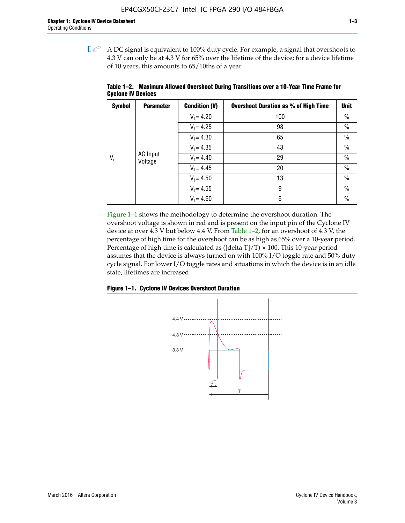$\mathbb{I}$  A DC signal is equivalent to 100% duty cycle. For example, a signal that overshoots to 4.3 V can only be at 4.3 V for 65% over the lifetime of the device; for a device lifetime of 10 years, this amounts to 65/10ths of a year.

| <b>Symbol</b> | <b>Parameter</b>    | <b>Condition (V)</b> | <b>Overshoot Duration as % of High Time</b> | <b>Unit</b>   |    |      |              |
|---------------|---------------------|----------------------|---------------------------------------------|---------------|----|------|--------------|
|               |                     | $V_1 = 4.20$         | 100                                         | $\%$          |    |      |              |
|               |                     | $V_1 = 4.25$         | 98                                          | $\%$          |    |      |              |
|               | AC Input<br>Voltage |                      |                                             | $V_1 = 4.30$  | 65 | $\%$ |              |
| $V_i$         |                     | $V_1 = 4.35$         | 43                                          | $\%$          |    |      |              |
|               |                     |                      |                                             |               |    |      | $V_1 = 4.40$ |
|               |                     | $V_1 = 4.45$         | 20                                          | $\%$          |    |      |              |
|               |                     | $V_1 = 4.50$         | 13                                          | $\%$          |    |      |              |
|               |                     | $V_1 = 4.55$         | 9                                           | $\frac{0}{0}$ |    |      |              |
|               |                     | $V_1 = 4.60$         | 6                                           | $\%$          |    |      |              |

**Table 1–2. Maximum Allowed Overshoot During Transitions over a 10**-**Year Time Frame for Cyclone IV Devices**

Figure 1–1 shows the methodology to determine the overshoot duration. The overshoot voltage is shown in red and is present on the input pin of the Cyclone IV device at over 4.3 V but below 4.4 V. From Table 1–2, for an overshoot of 4.3 V, the percentage of high time for the overshoot can be as high as 65% over a 10-year period. Percentage of high time is calculated as ([delta  $T$ ]/T)  $\times$  100. This 10-year period assumes that the device is always turned on with 100% I/O toggle rate and 50% duty cycle signal. For lower I/O toggle rates and situations in which the device is in an idle state, lifetimes are increased.



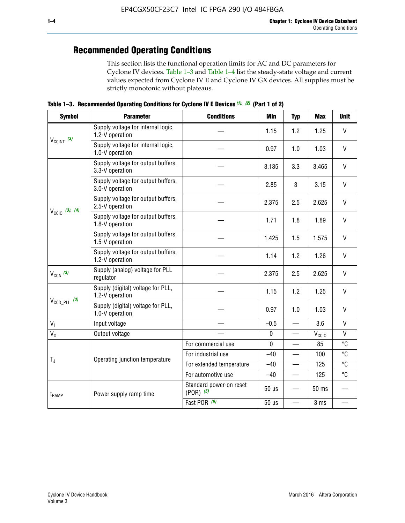## **Recommended Operating Conditions**

This section lists the functional operation limits for AC and DC parameters for Cyclone IV devices. Table 1–3 and Table 1–4 list the steady-state voltage and current values expected from Cyclone IV E and Cyclone IV GX devices. All supplies must be strictly monotonic without plateaus.

**Table 1–3. Recommended Operating Conditions for Cyclone IV E Devices** *(1)***,** *(2)* **(Part 1 of 2)**

| <b>Symbol</b>              | <b>Parameter</b>                                      | <b>Conditions</b>                        | Min         | <b>Typ</b>               | <b>Max</b>     | <b>Unit</b>  |
|----------------------------|-------------------------------------------------------|------------------------------------------|-------------|--------------------------|----------------|--------------|
|                            | Supply voltage for internal logic,<br>1.2-V operation |                                          | 1.15        | 1.2                      | 1.25           | $\mathsf{V}$ |
| $V_{CClNT}$ (3)            | Supply voltage for internal logic,<br>1.0-V operation |                                          | 0.97        | 1.0                      | 1.03           | $\mathsf{V}$ |
|                            | Supply voltage for output buffers,<br>3.3-V operation |                                          | 3.135       | 3.3                      | 3.465          | $\vee$       |
|                            | Supply voltage for output buffers,<br>3.0-V operation |                                          | 2.85        | 3                        | 3.15           | V            |
| $V_{\text{CC10}}$ (3), (4) | Supply voltage for output buffers,<br>2.5-V operation |                                          | 2.375       | 2.5                      | 2.625          | $\vee$       |
|                            | Supply voltage for output buffers,<br>1.8-V operation |                                          | 1.71        | 1.8                      | 1.89           | V            |
|                            | Supply voltage for output buffers,<br>1.5-V operation |                                          | 1.425       | 1.5                      | 1.575          | $\vee$       |
|                            | Supply voltage for output buffers,<br>1.2-V operation |                                          | 1.14        | 1.2                      | 1.26           | $\mathsf{V}$ |
| $V_{CCA}$ (3)              | Supply (analog) voltage for PLL<br>regulator          |                                          | 2.375       | 2.5                      | 2.625          | $\vee$       |
|                            | Supply (digital) voltage for PLL,<br>1.2-V operation  |                                          | 1.15        | 1.2                      | 1.25           | V            |
| $V_{\text{CCD\_PLL}}$ (3)  | Supply (digital) voltage for PLL,<br>1.0-V operation  |                                          | 0.97        | 1.0                      | 1.03           | $\vee$       |
| V <sub>1</sub>             | Input voltage                                         |                                          | $-0.5$      | $\overline{\phantom{0}}$ | 3.6            | $\mathsf{V}$ |
| $V_0$                      | Output voltage                                        |                                          | $\pmb{0}$   | —                        | $V_{\rm CClO}$ | $\mathsf{V}$ |
|                            |                                                       | For commercial use                       | $\mathbf 0$ |                          | 85             | °C           |
| $T_{\rm J}$                | Operating junction temperature                        | For industrial use                       | $-40$       |                          | 100            | °C           |
|                            |                                                       | For extended temperature                 | $-40$       |                          | 125            | °C           |
|                            |                                                       | For automotive use                       | $-40$       | $\qquad \qquad$          | 125            | °C           |
| t <sub>RAMP</sub>          | Power supply ramp time                                | Standard power-on reset<br>$(POR)$ $(5)$ | $50 \mu s$  |                          | 50 ms          |              |
|                            |                                                       | Fast POR (6)                             | $50 \mu s$  | $\overline{\phantom{0}}$ | 3 ms           |              |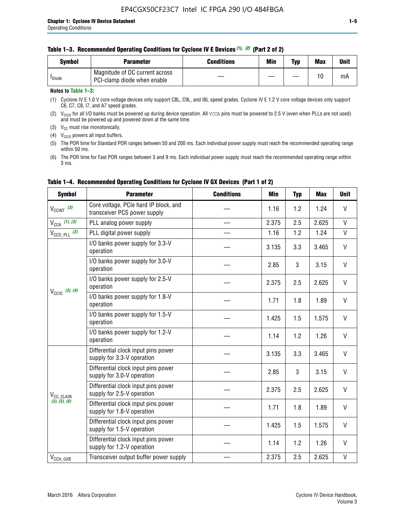### **Table 1–3. Recommended Operating Conditions for Cyclone IV E Devices** *(1)***,** *(2)* **(Part 2 of 2)**

| Svmbol             | <b>Parameter</b>                                              | <b>Conditions</b> | Min | Typ | <b>Max</b> | Unit |
|--------------------|---------------------------------------------------------------|-------------------|-----|-----|------------|------|
| <sup>I</sup> Diode | Magnitude of DC current across<br>PCI-clamp diode when enable |                   |     |     | 10         | mA   |

### **Notes to Table 1–3:**

(1) Cyclone IV E 1.0 V core voltage devices only support C8L, C9L, and I8L speed grades. Cyclone IV E 1.2 V core voltage devices only support C6, C7, C8, I7, and A7 speed grades.

(2)  $V_{CCIO}$  for all I/O banks must be powered up during device operation. All vcca pins must be powered to 2.5 V (even when PLLs are not used) and must be powered up and powered down at the same time.

(3)  $V_{CC}$  must rise monotonically.

(4)  $V_{\text{CCIO}}$  powers all input buffers.

(5) The POR time for Standard POR ranges between 50 and 200 ms. Each individual power supply must reach the recommended operating range within 50 ms.

(6) The POR time for Fast POR ranges between 3 and 9 ms. Each individual power supply must reach the recommended operating range within 3 ms.

| <b>Symbol</b>              | <b>Parameter</b>                                                      | <b>Conditions</b> | <b>Min</b> | <b>Typ</b> | <b>Max</b> | <b>Unit</b>  |
|----------------------------|-----------------------------------------------------------------------|-------------------|------------|------------|------------|--------------|
| $V_{\text{CCINT}}$ (3)     | Core voltage, PCIe hard IP block, and<br>transceiver PCS power supply |                   | 1.16       | 1.2        | 1.24       | V            |
| $V_{\text{CCA}}$ (1), (3)  | PLL analog power supply                                               |                   | 2.375      | 2.5        | 2.625      | V            |
| $V_{\text{CCD\_PLL}}$ (2)  | PLL digital power supply                                              |                   | 1.16       | 1.2        | 1.24       | $\mathsf{V}$ |
| $V_{\text{CC10}}$ (3), (4) | I/O banks power supply for 3.3-V<br>operation                         |                   | 3.135      | 3.3        | 3.465      | V            |
|                            | I/O banks power supply for 3.0-V<br>operation                         |                   | 2.85       | 3          | 3.15       | V            |
|                            | I/O banks power supply for 2.5-V<br>operation                         |                   | 2.375      | 2.5        | 2.625      | V            |
|                            | I/O banks power supply for 1.8-V<br>operation                         |                   | 1.71       | 1.8        | 1.89       | V            |
|                            | I/O banks power supply for 1.5-V<br>operation                         |                   | 1.425      | 1.5        | 1.575      | V            |
|                            | I/O banks power supply for 1.2-V<br>operation                         |                   | 1.14       | 1.2        | 1.26       | $\mathsf{V}$ |
|                            | Differential clock input pins power<br>supply for 3.3-V operation     |                   | 3.135      | 3.3        | 3.465      | V            |
|                            | Differential clock input pins power<br>supply for 3.0-V operation     |                   | 2.85       | 3          | 3.15       | $\mathsf{V}$ |
| V <sub>CC_CLKIN</sub>      | Differential clock input pins power<br>supply for 2.5-V operation     |                   | 2.375      | 2.5        | 2.625      | V            |
| (3), (5), (6)              | Differential clock input pins power<br>supply for 1.8-V operation     |                   | 1.71       | 1.8        | 1.89       | V            |
|                            | Differential clock input pins power<br>supply for 1.5-V operation     |                   | 1.425      | 1.5        | 1.575      | V            |
|                            | Differential clock input pins power<br>supply for 1.2-V operation     |                   | 1.14       | 1.2        | 1.26       | V            |
| $V_{CCH\_GXB}$             | Transceiver output buffer power supply                                |                   | 2.375      | 2.5        | 2.625      | $\mathsf{V}$ |

## **Table 1–4. Recommended Operating Conditions for Cyclone IV GX Devices (Part 1 of 2)**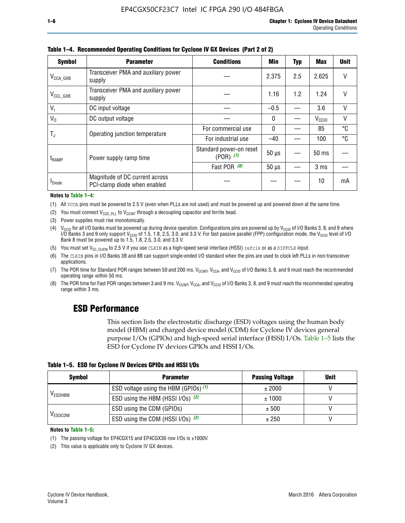| <b>Symbol</b>         | <b>Parameter</b>                                               | <b>Conditions</b>                        |              |     |                   |    |
|-----------------------|----------------------------------------------------------------|------------------------------------------|--------------|-----|-------------------|----|
| $V_{\text{CCA\_GXB}}$ | Transceiver PMA and auxiliary power<br>supply                  |                                          | 2.375        | 2.5 | 2.625             | V  |
| $V_{\rm CCL_GXB}$     | Transceiver PMA and auxiliary power<br>supply                  |                                          | 1.16         | 1.2 | 1.24              | V  |
| $V_{1}$               | DC input voltage                                               |                                          | $-0.5$       |     | 3.6               | V  |
| $V_0$                 | DC output voltage                                              |                                          | $\mathbf{0}$ |     | V <sub>CCIO</sub> | ٧  |
|                       | Operating junction temperature                                 | For commercial use                       | $\mathbf{0}$ |     | 85                | °C |
| T,                    |                                                                | For industrial use                       | $-40$        |     | 100               | °C |
| t <sub>RAMP</sub>     | Power supply ramp time                                         | Standard power-on reset<br>$(POR)$ $(7)$ | $50 \mu s$   |     | $50$ ms           |    |
|                       |                                                                | Fast POR (8)                             | $50 \mu s$   |     | 3 <sub>ms</sub>   |    |
| <b>I</b> Diode        | Magnitude of DC current across<br>PCI-clamp diode when enabled |                                          |              |     | 10                | mA |

**Table 1–4. Recommended Operating Conditions for Cyclone IV GX Devices (Part 2 of 2)**

#### **Notes to Table 1–4:**

- (1) All VCCA pins must be powered to 2.5 V (even when PLLs are not used) and must be powered up and powered down at the same time.
- (2) You must connect  $V_{CCD-PLL}$  to  $V_{CCINT}$  through a decoupling capacitor and ferrite bead.
- (3) Power supplies must rise monotonically.
- (4)  $V_{\text{CCIO}}$  for all I/O banks must be powered up during device operation. Configurations pins are powered up by V<sub>CCIO</sub> of I/O Banks 3, 8, and 9 where I/O Banks 3 and 9 only support V<sub>CCIO</sub> of 1.5, 1.8, 2.5, 3.0, and 3.3 V. For fast passive parallel (FPP) configuration mode, the V<sub>CCIO</sub> level of I/O<br>Bank 8 must be powered up to 1.5, 1.8, 2.5, 3.0, and 3.3 V.
- (5) You must set  $V_{CC_CCLKIN}$  to 2.5 V if you use CLKIN as a high-speed serial interface (HSSI) refclk or as a DIFFCLK input.
- (6) The CLKIN pins in I/O Banks 3B and 8B can support single-ended I/O standard when the pins are used to clock left PLLs in non-transceiver applications.
- (7) The POR time for Standard POR ranges between 50 and 200 ms.  $V_{\text{CCIA}}$ ,  $V_{\text{CCIA}}$ , and  $V_{\text{CCIO}}$  of I/O Banks 3, 8, and 9 must reach the recommended operating range within 50 ms.
- (8) The POR time for Fast POR ranges between 3 and 9 ms.  $V_{\text{CCH},T}$ ,  $V_{\text{CCA}}$ , and  $V_{\text{CCI}}$  of I/O Banks 3, 8, and 9 must reach the recommended operating range within 3 ms.

## **ESD Performance**

This section lists the electrostatic discharge (ESD) voltages using the human body model (HBM) and charged device model (CDM) for Cyclone IV devices general purpose I/Os (GPIOs) and high-speed serial interface (HSSI) I/Os. Table 1–5 lists the ESD for Cyclone IV devices GPIOs and HSSI I/Os.

|  | Table 1–5. ESD for Cyclone IV Devices GPIOs and HSSI I/Os |  |
|--|-----------------------------------------------------------|--|
|--|-----------------------------------------------------------|--|

| <b>Symbol</b>  | <b>Parameter</b>                      | <b>Passing Voltage</b> | <b>Unit</b> |
|----------------|---------------------------------------|------------------------|-------------|
|                | ESD voltage using the HBM (GPIOs) (1) | ± 2000                 |             |
| <b>VESDHBM</b> | ESD using the HBM (HSSI I/Os) (2)     | ± 1000                 |             |
|                | ESD using the CDM (GPIOs)             | ± 500                  |             |
| <b>VESDCDM</b> | ESD using the CDM (HSSI I/Os) (2)     | ± 250                  |             |

#### **Notes to Table 1–5:**

(1) The passing voltage for EP4CGX15 and EP4CGX30 row I/Os is ±1000V.

(2) This value is applicable only to Cyclone IV GX devices.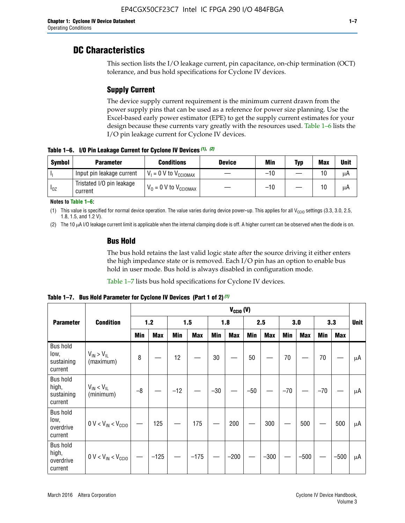## **DC Characteristics**

This section lists the I/O leakage current, pin capacitance, on-chip termination (OCT) tolerance, and bus hold specifications for Cyclone IV devices.

## **Supply Current**

The device supply current requirement is the minimum current drawn from the power supply pins that can be used as a reference for power size planning. Use the Excel-based early power estimator (EPE) to get the supply current estimates for your design because these currents vary greatly with the resources used. Table 1–6 lists the I/O pin leakage current for Cyclone IV devices.

**Table 1–6. I/O Pin Leakage Current for Cyclone IV Devices** *(1)***,** *(2)*

| <b>Symbol</b> | <b>Parameter</b>                     | <b>Conditions</b>                     | <b>Device</b> | Min   | Typ | <b>Max</b> | <b>Unit</b> |
|---------------|--------------------------------------|---------------------------------------|---------------|-------|-----|------------|-------------|
| -lı           | Input pin leakage current            | $V_1 = 0$ V to $V_{\text{CCIOMAX}}$   |               | $-10$ |     | 10         | μA          |
| $I_{0Z}$      | Tristated I/O pin leakage<br>current | $V_0 = 0 V$ to $V_{\text{CCIOMAX}}$ I |               | $-10$ |     | 10         | μA          |

**Notes to Table 1–6:**

(1) This value is specified for normal device operation. The value varies during device power-up. This applies for all V<sub>CCIO</sub> settings (3.3, 3.0, 2.5, 1.8, 1.5, and 1.2 V).

(2) The 10 µA I/O leakage current limit is applicable when the internal clamping diode is off. A higher current can be observed when the diode is on.

## **Bus Hold**

The bus hold retains the last valid logic state after the source driving it either enters the high impedance state or is removed. Each I/O pin has an option to enable bus hold in user mode. Bus hold is always disabled in configuration mode.

Table 1–7 lists bus hold specifications for Cyclone IV devices.

|                                                   |                                  | $V_{CClO}$ (V) |            |       |            |            |            |            |            |       |            |       |            |             |
|---------------------------------------------------|----------------------------------|----------------|------------|-------|------------|------------|------------|------------|------------|-------|------------|-------|------------|-------------|
| <b>Parameter</b>                                  | <b>Condition</b>                 |                | $1.2$      |       | 1.5        |            | 1.8        |            | 2.5        |       | 3.0        |       | 3.3        | <b>Unit</b> |
|                                                   |                                  | <b>Min</b>     | <b>Max</b> | Min   | <b>Max</b> | <b>Min</b> | <b>Max</b> | <b>Min</b> | <b>Max</b> | Min   | <b>Max</b> | Min   | <b>Max</b> |             |
| <b>Bus hold</b><br>low,<br>sustaining<br>current  | $V_{IN}$ > $V_{IL}$<br>(maximum) | 8              |            | 12    |            | $30\,$     |            | 50         |            | 70    |            | 70    |            | μA          |
| <b>Bus hold</b><br>high,<br>sustaining<br>current | $V_{IN}$ < $V_{IL}$<br>(minimum) | $-8$           |            | $-12$ |            | $-30$      |            | $-50$      |            | $-70$ |            | $-70$ |            | μA          |
| <b>Bus hold</b><br>low,<br>overdrive<br>current   | $0 V < V_{IN} < V_{CG10}$        |                | 125        |       | 175        |            | 200        |            | 300        |       | 500        |       | 500        | μA          |
| <b>Bus hold</b><br>high,<br>overdrive<br>current  | $0 V < V_{IN} < V_{CG10}$        |                | $-125$     |       | $-175$     |            | $-200$     |            | $-300$     |       | $-500$     |       | $-500$     | μA          |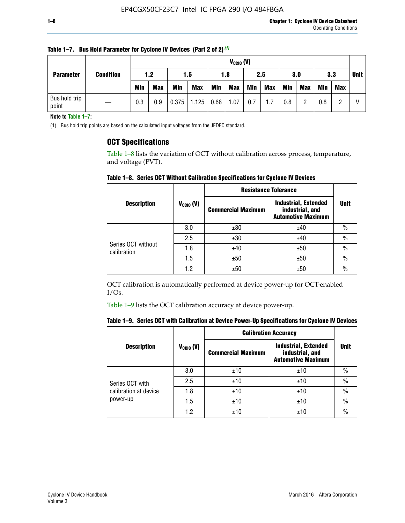| <b>Parameter</b>       |                  |            | $V_{CGI0} (V)$ |            |            |      |            |     |            |            |            |            |             |  |
|------------------------|------------------|------------|----------------|------------|------------|------|------------|-----|------------|------------|------------|------------|-------------|--|
|                        | <b>Condition</b> | 1.5<br>1.2 |                |            | 1.8        |      | 2.5        |     | 3.0        |            | 3.3        |            | <b>Unit</b> |  |
|                        |                  | <b>Min</b> | <b>Max</b>     | <b>Min</b> | <b>Max</b> | Min  | <b>Max</b> | Min | <b>Max</b> | <b>Min</b> | <b>Max</b> | <b>Min</b> | Max         |  |
| Bus hold trip<br>point |                  | 0.3        | 0.9            | 0.375      | 1.125      | 0.68 | 1.07       | 0.7 | 1.7        | 0.8        |            | 0.8        |             |  |

**Table 1–7. Bus Hold Parameter for Cyclone IV Devices (Part 2 of 2)** *(1)*

**Note to Table 1–7:**

(1) Bus hold trip points are based on the calculated input voltages from the JEDEC standard.

## **OCT Specifications**

Table 1–8 lists the variation of OCT without calibration across process, temperature, and voltage (PVT).

**Table 1–8. Series OCT Without Calibration Specifications for Cyclone IV Devices**

|                                   |                | <b>Resistance Tolerance</b> |                                                                             |               |
|-----------------------------------|----------------|-----------------------------|-----------------------------------------------------------------------------|---------------|
| <b>Description</b>                | $V_{CCIO} (V)$ | <b>Commercial Maximum</b>   | <b>Industrial, Extended</b><br>industrial, and<br><b>Automotive Maximum</b> | <b>Unit</b>   |
|                                   | 3.0            | ±30                         | ±40                                                                         | $\%$          |
|                                   | 2.5            | ±30                         | ±40                                                                         | $\frac{0}{0}$ |
| Series OCT without<br>calibration | 1.8            | ±40                         | ±50                                                                         | $\frac{0}{0}$ |
|                                   | 1.5            | ±50                         | ±50                                                                         | $\frac{0}{0}$ |
|                                   | 1.2            | ±50                         | ±50                                                                         | $\frac{0}{0}$ |

OCT calibration is automatically performed at device power-up for OCT-enabled I/Os.

Table 1–9 lists the OCT calibration accuracy at device power-up.

|  | Table 1–9.  Series OCT with Calibration at Device Power-Up Specifications for Cyclone IV Devices |  |  |  |
|--|--------------------------------------------------------------------------------------------------|--|--|--|
|--|--------------------------------------------------------------------------------------------------|--|--|--|

|                       |                | <b>Calibration Accuracy</b> |                                                                             |               |  |
|-----------------------|----------------|-----------------------------|-----------------------------------------------------------------------------|---------------|--|
| <b>Description</b>    | $V_{CGI0} (V)$ | <b>Commercial Maximum</b>   | <b>Industrial, Extended</b><br>industrial, and<br><b>Automotive Maximum</b> | Unit          |  |
|                       | 3.0            | ±10                         | ±10                                                                         | $\%$          |  |
| Series OCT with       | 2.5            | ±10                         | ±10                                                                         | $\%$          |  |
| calibration at device | 1.8            | ±10                         | ±10                                                                         | $\frac{0}{0}$ |  |
| power-up              | 1.5            | ±10                         | ±10                                                                         | $\frac{0}{0}$ |  |
|                       | 1.2            | ±10                         | ±10                                                                         | $\frac{0}{0}$ |  |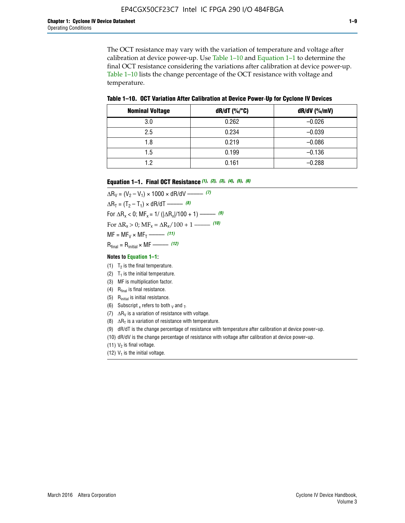The OCT resistance may vary with the variation of temperature and voltage after calibration at device power-up. Use Table 1–10 and Equation 1–1 to determine the final OCT resistance considering the variations after calibration at device power-up. Table 1–10 lists the change percentage of the OCT resistance with voltage and temperature.

**Table 1–10. OCT Variation After Calibration at Device Power**-**Up for Cyclone IV Devices**

| <b>Nominal Voltage</b> | dR/dT (%/°C) | $dR/dV$ (%/mV) |
|------------------------|--------------|----------------|
| 3.0                    | 0.262        | $-0.026$       |
| 2.5                    | 0.234        | $-0.039$       |
| 1.8                    | 0.219        | $-0.086$       |
| 1.5                    | 0.199        | $-0.136$       |
| 1.2                    | 0.161        | $-0.288$       |

#### **Equation 1–1. Final OCT Resistance** *(1)***,** *(2)***,** *(3)***,** *(4)***,** *(5)***,** *(6)*

 $\Delta R_V = (V_2 - V_1) \times 1000 \times dR/dV$  ––––––––––––(7)  $\Delta R_T = (T_2 - T_1) \times dR/dT$  ––––––– (8) For  $\Delta R_x < 0$ ; MF<sub>x</sub> = 1/ ( $|\Delta R_x|/100 + 1$ ) –––––– (9) For  $\Delta R_x > 0$ ;  $\text{MF}_x = \Delta R_x / 100 + 1$  ——– (10)  $MF = MF_V \times MF_T$  –––––––––––(11) Rfinal = Rinitial × MF ––––– *(12)*

#### **Notes to Equation 1–1:**

- (1)  $T_2$  is the final temperature.
- (2)  $T_1$  is the initial temperature.
- (3) MF is multiplication factor.
- (4)  $R<sub>final</sub>$  is final resistance.
- (5) Rinitial is initial resistance.
- (6) Subscript x refers to both  $\sqrt{v}$  and  $\sqrt{v}$ .
- (7)  $\Delta R_V$  is a variation of resistance with voltage.
- (8)  $\Delta R_T$  is a variation of resistance with temperature.
- (9) dR/dT is the change percentage of resistance with temperature after calibration at device power-up.
- (10) dR/dV is the change percentage of resistance with voltage after calibration at device power-up.
- (11)  $V_2$  is final voltage.
- (12)  $V_1$  is the initial voltage.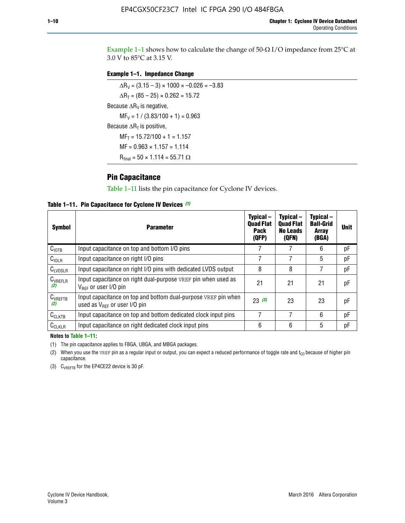Example 1-1 shows how to calculate the change of  $50$ - $\Omega$  I/O impedance from 25°C at 3.0 V to 85°C at 3.15 V.

## **Example 1–1. Impedance Change**

 $\Delta R_V = (3.15 - 3) \times 1000 \times -0.026 = -3.83$  $\Delta R_T = (85 - 25) \times 0.262 = 15.72$ Because  $\Delta R_V$  is negative,  $MF_V = 1 / (3.83/100 + 1) = 0.963$ Because  $\Delta R_T$  is positive,  $MF_T = 15.72/100 + 1 = 1.157$  $MF = 0.963 \times 1.157 = 1.114$  $R_{final} = 50 \times 1.114 = 55.71 \Omega$ 

## **Pin Capacitance**

Table 1–11 lists the pin capacitance for Cyclone IV devices.

**Table 1–11. Pin Capacitance for Cyclone IV Devices** *(1)*

| <b>Symbol</b>       | <b>Parameter</b>                                                                                    | Typical-<br><b>Quad Flat</b><br><b>Pack</b><br>(QFP) | Typical-<br><b>Quad Flat</b><br><b>No Leads</b><br>(QFN) | Typical-<br><b>Ball-Grid</b><br><b>Array</b><br>(BGA) | <b>Unit</b> |
|---------------------|-----------------------------------------------------------------------------------------------------|------------------------------------------------------|----------------------------------------------------------|-------------------------------------------------------|-------------|
| C <sub>IOTB</sub>   | Input capacitance on top and bottom I/O pins                                                        |                                                      |                                                          | 6                                                     | рF          |
| C <sub>IOLR</sub>   | Input capacitance on right I/O pins                                                                 |                                                      |                                                          | 5                                                     | pF          |
| $C_{LVDSLR}$        | Input capacitance on right I/O pins with dedicated LVDS output                                      | 8                                                    | 8                                                        | 7                                                     | рF          |
| $C_{VREFLR}$<br>(2) | Input capacitance on right dual-purpose VREF pin when used as<br>$V_{BFF}$ or user I/O pin          | 21                                                   | 21                                                       | 21                                                    | pF          |
| $C_{VREFTB}$<br>(2) | Input capacitance on top and bottom dual-purpose VREF pin when<br>used as $V_{BFF}$ or user I/O pin | 23(3)                                                | 23                                                       | 23                                                    | рF          |
| $C_{CLKTB}$         | Input capacitance on top and bottom dedicated clock input pins                                      |                                                      | 7                                                        | 6                                                     | рF          |
| $C_{CLKLR}$         | Input capacitance on right dedicated clock input pins                                               | 6                                                    | 6                                                        | 5                                                     | рF          |

#### **Notes to Table 1–11:**

(1) The pin capacitance applies to FBGA, UBGA, and MBGA packages.

(2) When you use the VREF pin as a regular input or output, you can expect a reduced performance of toggle rate and  $t_{\rm CO}$  because of higher pin capacitance.

(3) CVREFTB for the EP4CE22 device is 30 pF.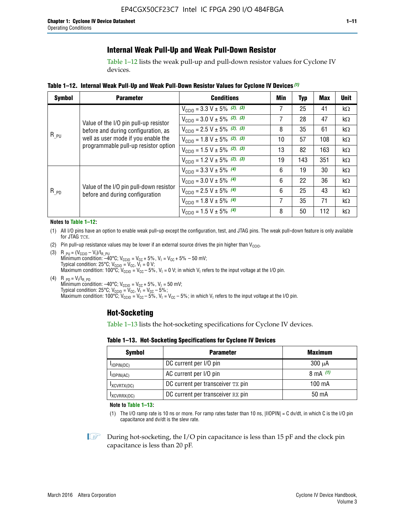## **Internal Weak Pull-Up and Weak Pull-Down Resistor**

Table 1–12 lists the weak pull-up and pull-down resistor values for Cyclone IV devices.

**Table 1–12. Internal Weak Pull**-**Up and Weak Pull**-**Down Resistor Values for Cyclone IV Devices** *(1)*

| <b>Symbol</b> | <b>Parameter</b>                                                            | <b>Conditions</b>                                  | Min | Typ | <b>Max</b> | <b>Unit</b> |
|---------------|-----------------------------------------------------------------------------|----------------------------------------------------|-----|-----|------------|-------------|
|               |                                                                             | $V_{\text{CC10}} = 3.3 \text{ V} \pm 5\%$ (2), (3) |     | 25  | 41         | kΩ          |
|               | Value of the I/O pin pull-up resistor                                       | $V_{\text{CC10}} = 3.0 \text{ V} \pm 5\%$ (2), (3) | 7   | 28  | 47         | $k\Omega$   |
|               | before and during configuration, as                                         | $V_{\text{CC10}} = 2.5 V \pm 5\%$ (2), (3)         | 8   | 35  | 61         | kΩ          |
| $R_{PU}$      | well as user mode if you enable the<br>programmable pull-up resistor option | $V_{\text{CC10}} = 1.8 V \pm 5\%$ (2), (3)         | 10  | 57  | 108        | kΩ          |
|               |                                                                             | $V_{\text{CC10}} = 1.5 V \pm 5\%$ (2), (3)         | 13  | 82  | 163        | kΩ          |
|               |                                                                             | $V_{\text{CC10}} = 1.2 \text{ V} \pm 5\%$ (2), (3) | 19  | 143 | 351        | kΩ          |
|               |                                                                             | $V_{\text{CC10}} = 3.3 V \pm 5\%$ (4)              | 6   | 19  | 30         | kΩ          |
| $R_{PD}$      |                                                                             | $V_{\text{CC10}} = 3.0 V \pm 5\%$ (4)              | 6   | 22  | 36         | kΩ          |
|               | Value of the I/O pin pull-down resistor<br>before and during configuration  | $V_{\text{CC10}} = 2.5 V \pm 5\%$ (4)              | 6   | 25  | 43         | kΩ          |
|               |                                                                             | $V_{\text{CC10}} = 1.8 \text{ V} \pm 5\%$ (4)      | 7   | 35  | 71         | kΩ          |
|               |                                                                             | $V_{\text{CC10}} = 1.5 V \pm 5\%$ (4)              | 8   | 50  | 112        | kΩ          |

#### **Notes to Table 1–12:**

- (1) All I/O pins have an option to enable weak pull-up except the configuration, test, and JTAG pins. The weak pull-down feature is only available for JTAG TCK.
- (2) Pin pull-up resistance values may be lower if an external source drives the pin higher than  $V_{\text{CCIO}}$ .
- (3)  $R_{PU} = (V_{CC10} V_1)/I_{R_PU}$ Minimum condition: –40°C; V<sub>CCIO</sub> = V<sub>CC</sub> + 5%, V<sub>I</sub> = V<sub>CC</sub> + 5% – 50 mV; Typical condition: 25°C; V<sub>CCIO</sub> = V<sub>CC</sub>, V<sub>I</sub> = 0 V; Maximum condition: 100°C;  $V_{\text{CCIO}} = V_{\text{CC}} - 5\%$ ,  $V_1 = 0$  V; in which V<sub>I</sub> refers to the input voltage at the I/O pin.
- (4)  $R_{PD} = V_I/I_{R_PD}$ Minimum condition:  $-40^{\circ}$ C; V<sub>CCIO</sub> = V<sub>CC</sub> + 5%, V<sub>I</sub> = 50 mV; Typical condition: 25°C;  $V_{\text{CCIO}} = V_{\text{CC}}$ ,  $V_{\text{I}} = V_{\text{CC}} - 5\%$ ; Maximum condition: 100°C; V<sub>CClO</sub> = V<sub>CC</sub> – 5%, V<sub>I</sub> = V<sub>CC</sub> – 5%; in which V<sub>I</sub> refers to the input voltage at the I/O pin.

## **Hot-Socketing**

Table 1–13 lists the hot-socketing specifications for Cyclone IV devices.

**Table 1–13. Hot**-**Socketing Specifications for Cyclone IV Devices**

| <b>Symbol</b> | <b>Maximum</b>                    |             |
|---------------|-----------------------------------|-------------|
| $I$ IOPIN(DC) | DC current per I/O pin            | $300 \mu A$ |
| $I$ IOPIN(AC) | AC current per I/O pin            | 8 mA $(1)$  |
| IXCVRTX(DC)   | DC current per transceiver TX pin | 100 mA      |
| IXCVRRX(DC)   | DC current per transceiver RX pin | 50 mA       |

**Note to Table 1–13:**

(1) The I/O ramp rate is 10 ns or more. For ramp rates faster than 10 ns, |IIOPIN| = C dv/dt, in which C is the I/O pin capacitance and dv/dt is the slew rate.

 $\mathbb{I} \rightarrow \mathbb{I}$  During hot-socketing, the I/O pin capacitance is less than 15 pF and the clock pin capacitance is less than 20 pF.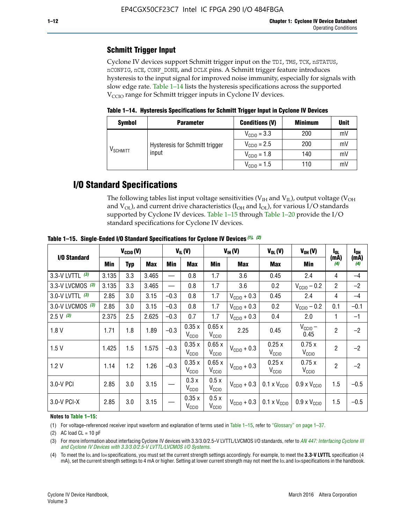## **Schmitt Trigger Input**

Cyclone IV devices support Schmitt trigger input on the TDI, TMS, TCK, nSTATUS, nCONFIG, nCE, CONF\_DONE, and DCLK pins. A Schmitt trigger feature introduces hysteresis to the input signal for improved noise immunity, especially for signals with slow edge rate. Table 1–14 lists the hysteresis specifications across the supported  $V<sub>CCIO</sub>$  range for Schmitt trigger inputs in Cyclone IV devices.

**Table 1–14. Hysteresis Specifications for Schmitt Trigger Input in Cyclone IV Devices**

| <b>Symbol</b>                  | <b>Parameter</b>                        | <b>Conditions (V)</b>   | <b>Minimum</b> | <b>Unit</b> |
|--------------------------------|-----------------------------------------|-------------------------|----------------|-------------|
|                                |                                         | $V_{\text{CGI0}} = 3.3$ | 200            | mV          |
|                                | Hysteresis for Schmitt trigger<br>input | $V_{\text{CGI0}} = 2.5$ | 200            | mV          |
| $\mathsf{V}_{\mathsf{SCHMIT}}$ |                                         | $V_{\text{CCIO}} = 1.8$ | 140            | mV          |
|                                |                                         | $V_{\text{CC10}} = 1.5$ | 110            | mV          |

## **I/O Standard Specifications**

The following tables list input voltage sensitivities ( $V<sub>IH</sub>$  and  $V<sub>II</sub>$ ), output voltage ( $V<sub>OH</sub>$ and  $V_{OL}$ ), and current drive characteristics ( $I_{OH}$  and  $I_{OL}$ ), for various I/O standards supported by Cyclone IV devices. Table 1–15 through Table 1–20 provide the I/O standard specifications for Cyclone IV devices.

|                    | $V_{CClO}(V)$ |            | $V_{IL}(V)$ |        |                            | $V_{IH} (V)$               | $V_{OL}(V)$             | $V_{OH} (V)$                 | l <sub>OL</sub>              | $I_{0H}$       |             |
|--------------------|---------------|------------|-------------|--------|----------------------------|----------------------------|-------------------------|------------------------------|------------------------------|----------------|-------------|
| I/O Standard       | Min           | <b>Typ</b> | <b>Max</b>  | Min    | <b>Max</b>                 | Min                        | Max                     | Max                          | Min                          | (mA)<br>(4)    | (mA)<br>(4) |
| 3.3-V LVTTL (3)    | 3.135         | 3.3        | 3.465       |        | 0.8                        | 1.7                        | 3.6                     | 0.45                         | 2.4                          | 4              | $-4$        |
| 3.3-V LVCMOS $(3)$ | 3.135         | 3.3        | 3.465       |        | 0.8                        | 1.7                        | 3.6                     | 0.2                          | $V_{\text{CC10}} - 0.2$      | $\overline{2}$ | $-2$        |
| 3.0-V LVTTL $(3)$  | 2.85          | 3.0        | 3.15        | $-0.3$ | 0.8                        | 1.7                        | $V_{\text{CC10}} + 0.3$ | 0.45                         | 2.4                          | 4              | $-4$        |
| 3.0-V LVCMOS (3)   | 2.85          | 3.0        | 3.15        | $-0.3$ | 0.8                        | 1.7                        | $V_{\rm CClO}$ + 0.3    | 0.2                          | $V_{\text{CC10}} - 0.2$      | 0.1            | $-0.1$      |
| $2.5 V$ (3)        | 2.375         | 2.5        | 2.625       | $-0.3$ | 0.7                        | 1.7                        | $V_{\text{CCIO}} + 0.3$ | 0.4                          | 2.0                          | 1              | $-1$        |
| 1.8V               | 1.71          | 1.8        | 1.89        | $-0.3$ | 0.35x<br>V <sub>CCIO</sub> | 0.65x<br>V <sub>CCIO</sub> | 2.25                    | 0.45                         | $V_{CGIO}$ –<br>0.45         | $\overline{2}$ | $-2$        |
| 1.5V               | 1.425         | 1.5        | 1.575       | $-0.3$ | 0.35x<br>V <sub>CCIO</sub> | 0.65x<br>V <sub>CCIO</sub> | $V_{\text{CC10}} + 0.3$ | 0.25x<br>V <sub>CClO</sub>   | 0.75x<br>V <sub>CCIO</sub>   | $\overline{2}$ | $-2$        |
| 1.2V               | 1.14          | 1.2        | 1.26        | $-0.3$ | 0.35x<br>V <sub>CCIO</sub> | 0.65x<br>V <sub>CCIO</sub> | $V_{\text{CC10}} + 0.3$ | 0.25x<br>V <sub>CClO</sub>   | 0.75x<br>V <sub>CCIO</sub>   | $\overline{2}$ | $-2$        |
| 3.0-V PCI          | 2.85          | 3.0        | 3.15        |        | 0.3x<br>V <sub>CCIO</sub>  | 0.5x<br>V <sub>CCIO</sub>  | $V_{\text{CCIO}} + 0.3$ | $0.1 \times V_{\text{CC10}}$ | $0.9 \times V_{\text{CC10}}$ | 1.5            | $-0.5$      |
| $3.0 - V$ PCI-X    | 2.85          | 3.0        | 3.15        |        | 0.35x<br>V <sub>CCIO</sub> | 0.5x<br>V <sub>CCIO</sub>  | $V_{\text{CC10}} + 0.3$ | $0.1 \times V_{\text{CC10}}$ | $0.9 \times V_{\text{CC10}}$ | 1.5            | $-0.5$      |

**Table 1–15. Single**-**Ended I/O Standard Specifications for Cyclone IV Devices** *(1)***,** *(2)*

#### **Notes to Table 1–15:**

(1) For voltage-referenced receiver input waveform and explanation of terms used in Table 1–15, refer to "Glossary" on page 1–37.

(2) AC load  $CL = 10$  pF

(3) For more information about interfacing Cyclone IV devices with 3.3/3.0/2.5-V LVTTL/LVCMOS I/O standards, refer to *[AN 447: Interfacing Cyclone III](http://www.altera.com/literature/an/an447.pdf)  [and Cyclone IV Devices with 3.3/3.0/2.5-V LVTTL/LVCMOS I/O Systems](http://www.altera.com/literature/an/an447.pdf)*.

(4) To meet the IOL and IOH specifications, you must set the current strength settings accordingly. For example, to meet the **3.3-V LVTTL** specification (4 mA), set the current strength settings to 4 mA or higher. Setting at lower current strength may not meet the lou and lon specifications in the handbook.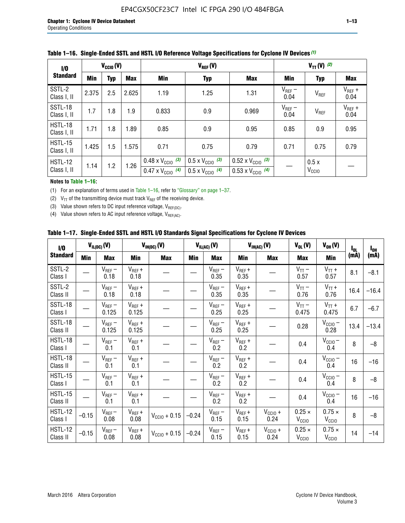| 1/0                    | $V_{CGI0}(V)$ |            |            | $V_{REF}(V)$                                                           |                                                                      |                                                                        | $V_{TT} (V)$ (2)    |                           |                     |
|------------------------|---------------|------------|------------|------------------------------------------------------------------------|----------------------------------------------------------------------|------------------------------------------------------------------------|---------------------|---------------------------|---------------------|
| <b>Standard</b>        | Min           | <b>Typ</b> | <b>Max</b> | Min                                                                    | <b>Typ</b>                                                           | <b>Max</b>                                                             | Min                 | <b>Typ</b>                | <b>Max</b>          |
| SSTL-2<br>Class I, II  | 2.375         | 2.5        | 2.625      | 1.19                                                                   | 1.25                                                                 | 1.31                                                                   | $V_{REF}$ –<br>0.04 | V <sub>REF</sub>          | $V_{REF}$ +<br>0.04 |
| SSTL-18<br>Class I, II | 1.7           | 1.8        | 1.9        | 0.833                                                                  | 0.9                                                                  | 0.969                                                                  | $V_{REF}$ –<br>0.04 | V <sub>REF</sub>          | $V_{REF}$ +<br>0.04 |
| HSTL-18<br>Class I, II | 1.71          | 1.8        | . 89       | 0.85                                                                   | 0.9                                                                  | 0.95                                                                   | 0.85                | 0.9                       | 0.95                |
| HSTL-15<br>Class I, II | 1.425         | 1.5        | 1.575      | 0.71                                                                   | 0.75                                                                 | 0.79                                                                   | 0.71                | 0.75                      | 0.79                |
| HSTL-12<br>Class I, II | 1.14          | 1.2        | 1.26       | $0.48 \times V_{\text{CC10}}$ (3)<br>$0.47 \times V_{\text{CC10}}$ (4) | $0.5 \times V_{\text{CC10}}$ (3)<br>$0.5 \times V_{\text{CC10}}$ (4) | $0.52 \times V_{\text{CC10}}$ (3)<br>$0.53 \times V_{\text{CC10}}$ (4) |                     | 0.5x<br>V <sub>CCIO</sub> |                     |

|  |  |  |  | Table 1–16. Single-Ended SSTL and HSTL I/O Reference Voltage Specifications for Cyclone IV Devices (1) |
|--|--|--|--|--------------------------------------------------------------------------------------------------------|
|--|--|--|--|--------------------------------------------------------------------------------------------------------|

### **Notes to Table 1–16:**

(1) For an explanation of terms used in Table 1–16, refer to "Glossary" on page 1–37.

(2)  $V_{TT}$  of the transmitting device must track  $V_{REF}$  of the receiving device.

(3) Value shown refers to DC input reference voltage,  $V_{REF(DC)}$ .

(4) Value shown refers to AC input reference voltage,  $V_{REF(AC)}$ .

|  |  |  |  |  | Table 1–17.  Single-Ended SSTL and HSTL I/O Standards Signal Specifications for Cyclone IV Devices |
|--|--|--|--|--|----------------------------------------------------------------------------------------------------|
|--|--|--|--|--|----------------------------------------------------------------------------------------------------|

| I/O                        |         | $V_{IL(DC)}(V)$        |                                      | $V_{IH(DC)}(V)$       |         | $V_{IL(AC)}(V)$     |                     | $V_{IH(AC)}(V)$      | $V_{OL}(V)$                        | $V_{OH} (V)$                       | l <sub>ol</sub> | $I_{0H}$ |
|----------------------------|---------|------------------------|--------------------------------------|-----------------------|---------|---------------------|---------------------|----------------------|------------------------------------|------------------------------------|-----------------|----------|
| <b>Standard</b>            | Min     | <b>Max</b>             | Min                                  | <b>Max</b>            | Min     | <b>Max</b>          | Min                 | <b>Max</b>           | <b>Max</b>                         | Min                                | (mA)            | (mA)     |
| SSTL-2<br>Class I          |         | $\rm V_{REF}-$<br>0.18 | $V_{REF} +$<br>0.18                  |                       |         | $V_{REF}$ –<br>0.35 | $V_{REF} +$<br>0.35 |                      | $V_{TT}$ –<br>0.57                 | $V_{TT}$ +<br>0.57                 | 8.1             | $-8.1$   |
| SSTL-2<br>Class II         |         | $V_{REF}$ –<br>0.18    | $V_{REF} +$<br>0.18                  |                       |         | $V_{REF}$ –<br>0.35 | $V_{REF} +$<br>0.35 |                      | $V_{TT}$ –<br>0.76                 | $V_{TT}$ +<br>0.76                 | 16.4            | $-16.4$  |
| <b>SSTL-18</b><br>Class I  |         | $V_{REF}$ –<br>0.125   | $V_{REF}$ +<br>0.125                 |                       |         | $V_{REF}$ –<br>0.25 | $V_{REF}$ +<br>0.25 |                      | $V_{TT}$ –<br>0.475                | $V_{TT}$ +<br>0.475                | 6.7             | $-6.7$   |
| <b>SSTL-18</b><br>Class II |         | $V_{REF}$ –<br>0.125   | $V_{REF}$ +<br>0.125                 |                       |         | $V_{REF}$ –<br>0.25 | $V_{REF}$ +<br>0.25 |                      | 0.28                               | $V_{CC10}$ –<br>0.28               | 13.4            | $-13.4$  |
| HSTL-18<br>Class I         |         | $V_{REF}$ –<br>0.1     | $V_{REF} +$<br>0.1                   |                       |         | $V_{REF}$ –<br>0.2  | $V_{REF}$ +<br>0.2  |                      | 0.4                                | $V_{CCIO}$ –<br>0.4                | 8               | $-8$     |
| HSTL-18<br>Class II        |         | $V_{REF}$ –<br>0.1     | $V_{REF} +$<br>0.1                   |                       |         | $V_{REF}$ –<br>0.2  | $V_{REF} +$<br>0.2  |                      | 0.4                                | $V_{CC10}$ –<br>0.4                | 16              | $-16$    |
| HSTL-15<br>Class I         |         | $V_{REF}$ –<br>0.1     | $V_{REF} +$<br>0.1                   |                       |         | $V_{REF}$ –<br>0.2  | $V_{REF}$ +<br>0.2  |                      | 0.4                                | $V_{\text{CC1O}} -$<br>0.4         | 8               | $-8$     |
| HSTL-15<br>Class II        |         | $V_{REF}$ –<br>0.1     | $\mathsf{V}_{\mathsf{REF}}$ +<br>0.1 |                       |         | $V_{REF}$ –<br>0.2  | $V_{REF}$ +<br>0.2  |                      | 0.4                                | $V_{CC10}$ –<br>0.4                | 16              | $-16$    |
| <b>HSTL-12</b><br>Class I  | $-0.15$ | $V_{REF}-$<br>0.08     | $V_{REF} +$<br>0.08                  | $V_{CGI0} + 0.15$     | $-0.24$ | $V_{REF}$ –<br>0.15 | $V_{REF} +$<br>0.15 | $V_{CCIO} +$<br>0.24 | $0.25 \times$<br>V <sub>CCIO</sub> | $0.75 \times$<br>V <sub>CCIO</sub> | 8               | $-8$     |
| HSTL-12<br>Class II        | $-0.15$ | $V_{REF}$ –<br>0.08    | $V_{REF} +$<br>0.08                  | $V_{\rm CClO} + 0.15$ | $-0.24$ | $V_{REF}$ –<br>0.15 | $V_{REF} +$<br>0.15 | $V_{CC10}$ +<br>0.24 | $0.25 \times$<br>V <sub>CCIO</sub> | $0.75 \times$<br>V <sub>CCIO</sub> | 14              | $-14$    |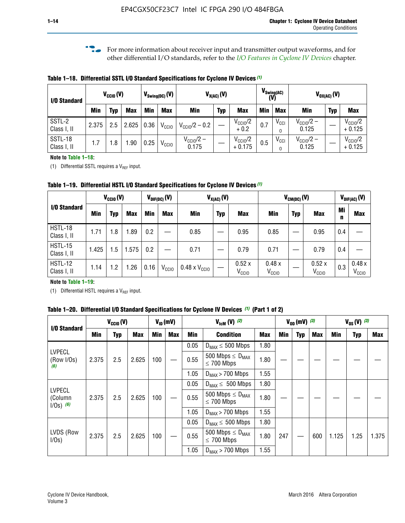**f For more information about receiver input and transmitter output waveforms, and for** other differential I/O standards, refer to the *[I/O Features in Cyclone IV Devices](http://www.altera.com/literature/hb/cyclone-iv/cyiv-51006.pdf)* chapter*.*

**Table 1–18. Differential SSTL I/O Standard Specifications for Cyclone IV Devices** *(1)*

| I/O Standard           |       | $V_{\text{CCIO}}(V)$ |            |      | $V_{\text{Swing(DC)}}(V)$ |                           | $V_{X(AC)}(V)$ |                                 | (V) | $V_{\text{Swing}(AC)}$       |                                | $V_{OX(AC)}(V)$ |                                 |
|------------------------|-------|----------------------|------------|------|---------------------------|---------------------------|----------------|---------------------------------|-----|------------------------------|--------------------------------|-----------------|---------------------------------|
|                        | Min   | Typ                  | <b>Max</b> | Min  | <b>Max</b>                | <b>Min</b>                | <b>Typ</b>     | <b>Max</b>                      | Min | <b>Max</b>                   | Min                            | <b>Typ</b>      | <b>Max</b>                      |
| SSTL-2<br>Class I, II  | 2.375 | 2.5                  | 2.625      | 0.36 | V <sub>CCIO</sub>         | $V_{\text{CC10}}/2 - 0.2$ |                | $V_{\text{CC10}}/2$<br>$+0.2$   | 0.7 | $V_{\text{CCI}}$<br>$\Omega$ | $V_{\text{CC10}}/2 -$<br>0.125 |                 | $V_{\text{CC10}}/2$<br>$+0.125$ |
| SSTL-18<br>Class I, II | 1.7   | .8                   | .90        | 0.25 | V <sub>CCIO</sub>         | $V_{CC10}/2 -$<br>0.175   |                | $V_{\text{CC10}}/2$<br>$+0.175$ | 0.5 | $V_{\text{CCI}}$<br>0        | $V_{\text{CC10}}/2 -$<br>0.125 |                 | $V_{\text{CC10}}/2$<br>$+0.125$ |

#### **Note to Table 1–18:**

(1) Differential SSTL requires a  $V_{REF}$  input.

**Table 1–19. Differential HSTL I/O Standard Specifications for Cyclone IV Devices** *(1)*

|                               | $V_{CClO}(V)$ |     |            |         | $V_{\text{DIF(DC)}}(V)$ |                               | $V_{X(AC)}(V)$ |                            |                            | $V_{CM(DC)}(V)$ |                            |         | $V_{\text{DIF(AC)}}(V)$    |
|-------------------------------|---------------|-----|------------|---------|-------------------------|-------------------------------|----------------|----------------------------|----------------------------|-----------------|----------------------------|---------|----------------------------|
| I/O Standard                  | Min           | Typ | <b>Max</b> | Min     | <b>Max</b>              | Min                           | <b>Typ</b>     | <b>Max</b>                 | Min                        | <b>Typ</b>      | <b>Max</b>                 | Mi<br>n | <b>Max</b>                 |
| HSTL-18<br>Class I, II        | 1.71          | 1.8 | .89        | 0.2     |                         | 0.85                          |                | 0.95                       | 0.85                       |                 | 0.95                       | 0.4     |                            |
| <b>HSTL-15</b><br>Class I, II | 1.425         | 1.5 | .575       | $0.2\,$ |                         | 0.71                          |                | 0.79                       | 0.71                       |                 | 0.79                       | 0.4     |                            |
| <b>HSTL-12</b><br>Class I, II | 1.14          | 1.2 | 1.26       | 0.16    | V <sub>CCIO</sub>       | $0.48 \times V_{\text{CC10}}$ |                | 0.52x<br>V <sub>CCIO</sub> | 0.48x<br>V <sub>CCIO</sub> |                 | 0.52x<br>V <sub>CCIO</sub> | 0.3     | 0.48x<br>V <sub>CCIO</sub> |

## **Note to Table 1–19:**

(1) Differential HSTL requires a  $V_{REF}$  input.

**Table 1–20. Differential I/O Standard Specifications for Cyclone IV Devices** *(1)* **(Part 1 of 2)**

|                                                                                                         |       | $V_{CCl0} (V)$ |            |            | $V_{ID}$ (mV) |                  | $V_{\text{lcm}}(V)^{(2)}$                           |      |     | $V_{0D}$ (mV) $(3)$ |     |            | $V_{0S} (V)$ (3) |       |
|---------------------------------------------------------------------------------------------------------|-------|----------------|------------|------------|---------------|------------------|-----------------------------------------------------|------|-----|---------------------|-----|------------|------------------|-------|
| I/O Standard<br>Min<br><b>LVPECL</b><br>2.375<br>(Row I/Os)<br>(6)<br><b>LVPECL</b><br>2.375<br>(Column | Typ   | <b>Max</b>     | <b>Min</b> | <b>Max</b> | Min           | <b>Condition</b> | <b>Max</b>                                          | Min  | Typ | Max                 | Min | <b>Typ</b> | Max              |       |
|                                                                                                         |       |                |            |            |               | 0.05             | $D_{MAX} \leq 500$ Mbps                             | 1.80 |     |                     |     |            |                  |       |
|                                                                                                         |       | 2.5            | 2.625      | 100        |               | 0.55             | 500 Mbps $\leq$ D <sub>MAX</sub><br>$\leq$ 700 Mbps | 1.80 |     |                     |     |            |                  |       |
|                                                                                                         |       |                |            |            |               | 1.05             | $D_{MAX}$ > 700 Mbps                                | 1.55 |     |                     |     |            |                  |       |
|                                                                                                         |       |                |            |            |               | 0.05             | $D_{MAX} \leq 500$ Mbps                             | 1.80 |     |                     |     |            |                  |       |
| $1/Os)$ (6)                                                                                             |       | 2.5            | 2.625      | 100        |               | 0.55             | 500 Mbps $\leq D_{MAX}$<br>$\leq$ 700 Mbps          | 1.80 |     |                     |     |            |                  |       |
|                                                                                                         |       |                |            |            |               | 1.05             | $D_{MAX}$ > 700 Mbps                                | 1.55 |     |                     |     |            |                  |       |
|                                                                                                         |       |                |            |            |               | 0.05             | $D_{MAX} \leq 500$ Mbps                             | 1.80 |     |                     |     |            |                  |       |
| LVDS (Row<br>I/Os)                                                                                      | 2.375 | 2.5            | 2.625      | 100        |               | 0.55             | 500 Mbps $\leq D_{MAX}$<br>$\leq 700$ Mbps          | 1.80 | 247 |                     | 600 | 1.125      | 1.25             | 1.375 |
|                                                                                                         |       |                |            |            |               | 1.05             | $D_{MAX}$ > 700 Mbps                                | 1.55 |     |                     |     |            |                  |       |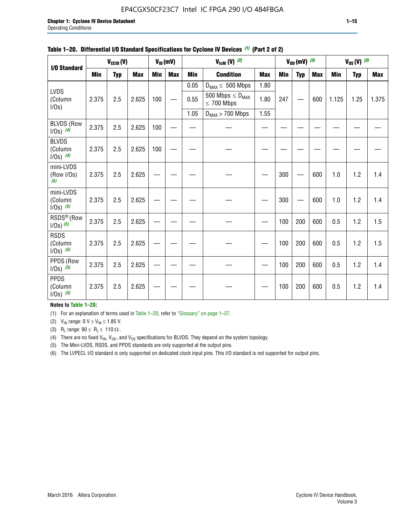## EP4CGX50CF23C7 Intel IC FPGA 290 I/O 484FBGA

|                                         |            | $V_{\text{CCIO}}(V)$ |            |            | $V_{ID}(mV)$ |            | $V_{\text{lcm}}(V)^{(2)}$                  |            |     | $V_{OD}$ (mV) $(3)$ |            |            | $V_{0S} (V)$ (3) |            |
|-----------------------------------------|------------|----------------------|------------|------------|--------------|------------|--------------------------------------------|------------|-----|---------------------|------------|------------|------------------|------------|
| I/O Standard                            | <b>Min</b> | <b>Typ</b>           | <b>Max</b> | <b>Min</b> | <b>Max</b>   | <b>Min</b> | <b>Condition</b>                           | <b>Max</b> | Min | <b>Typ</b>          | <b>Max</b> | <b>Min</b> | <b>Typ</b>       | <b>Max</b> |
|                                         |            |                      |            |            |              | 0.05       | $D_{MAX} \leq 500$ Mbps                    | 1.80       |     |                     |            |            |                  |            |
| LVDS<br>(Column<br>I/Os)                | 2.375      | 2.5                  | 2.625      | 100        |              | 0.55       | 500 Mbps $\leq D_{MAX}$<br>$\leq 700$ Mbps | 1.80       | 247 |                     | 600        | 1.125      | 1.25             | 1.375      |
|                                         |            |                      |            |            |              | 1.05       | $D_{MAX}$ > 700 Mbps                       | 1.55       |     |                     |            |            |                  |            |
| <b>BLVDS (Row</b><br>$1/0s)$ (4)        | 2.375      | 2.5                  | 2.625      | 100        |              |            |                                            |            |     |                     |            |            |                  |            |
| <b>BLVDS</b><br>(Column<br>$1/0s)$ (4)  | 2.375      | 2.5                  | 2.625      | 100        |              |            |                                            |            |     |                     |            |            |                  |            |
| mini-LVDS<br>(Row I/Os)<br>(5)          | 2.375      | 2.5                  | 2.625      |            |              |            |                                            |            | 300 |                     | 600        | 1.0        | 1.2              | 1.4        |
| mini-LVDS<br>(Column<br>$1/Os)$ (5)     | 2.375      | 2.5                  | 2.625      |            |              |            |                                            |            | 300 |                     | 600        | 1.0        | 1.2              | 1.4        |
| RSDS <sup>®</sup> (Row<br>$1/0s)$ $(5)$ | 2.375      | 2.5                  | 2.625      |            |              |            |                                            |            | 100 | 200                 | 600        | 0.5        | 1.2              | 1.5        |
| <b>RSDS</b><br>(Column<br>$1/0s)$ (5)   | 2.375      | 2.5                  | 2.625      |            |              |            |                                            |            | 100 | 200                 | 600        | 0.5        | 1.2              | 1.5        |
| PPDS (Row<br>$1/0s)$ (5)                | 2.375      | 2.5                  | 2.625      |            |              |            |                                            |            | 100 | 200                 | 600        | 0.5        | 1.2              | 1.4        |
| <b>PPDS</b><br>(Column<br>$1/Os)$ (5)   | 2.375      | 2.5                  | 2.625      |            |              |            |                                            |            | 100 | 200                 | 600        | 0.5        | 1.2              | 1.4        |

### **Table 1–20. Differential I/O Standard Specifications for Cyclone IV Devices** *(1)* **(Part 2 of 2)**

**Notes to Table 1–20:**

(1) For an explanation of terms used in Table 1–20, refer to "Glossary" on page 1–37.

(2)  $V_{IN}$  range: 0  $V \le V_{IN} \le 1.85$  V.

(3) R<sub>L</sub> range:  $90 \le R_L \le 110 \Omega$ .

(4) There are no fixed  $V_{IN}$ ,  $V_{OD}$ , and  $V_{OS}$  specifications for BLVDS. They depend on the system topology.

(5) The Mini-LVDS, RSDS, and PPDS standards are only supported at the output pins.

(6) The LVPECL I/O standard is only supported on dedicated clock input pins. This I/O standard is not supported for output pins.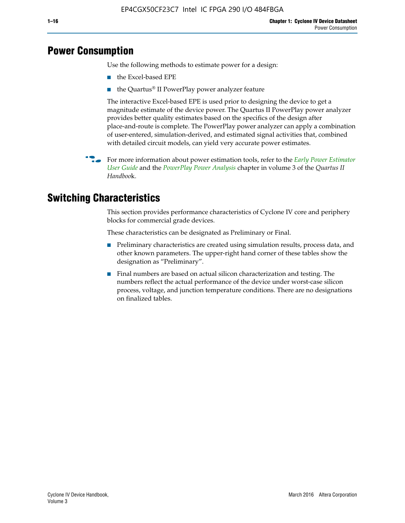## **Power Consumption**

Use the following methods to estimate power for a design:

- the Excel-based EPE
- the Quartus® II PowerPlay power analyzer feature

The interactive Excel-based EPE is used prior to designing the device to get a magnitude estimate of the device power. The Quartus II PowerPlay power analyzer provides better quality estimates based on the specifics of the design after place-and-route is complete. The PowerPlay power analyzer can apply a combination of user-entered, simulation-derived, and estimated signal activities that, combined with detailed circuit models, can yield very accurate power estimates.

f For more information about power estimation tools, refer to the *[Early Power Estimator](http://www.altera.com/literature/ug/ug_epe.pdf
)  [User Guide](http://www.altera.com/literature/ug/ug_epe.pdf
)* and the *[PowerPlay Power Analysis](http://www.altera.com/literature/hb/qts/qts_qii53013.pdf)* chapter in volume 3 of the *Quartus II Handboo*k.

## **Switching Characteristics**

This section provides performance characteristics of Cyclone IV core and periphery blocks for commercial grade devices.

These characteristics can be designated as Preliminary or Final.

- Preliminary characteristics are created using simulation results, process data, and other known parameters. The upper-right hand corner of these tables show the designation as "Preliminary".
- Final numbers are based on actual silicon characterization and testing. The numbers reflect the actual performance of the device under worst-case silicon process, voltage, and junction temperature conditions. There are no designations on finalized tables.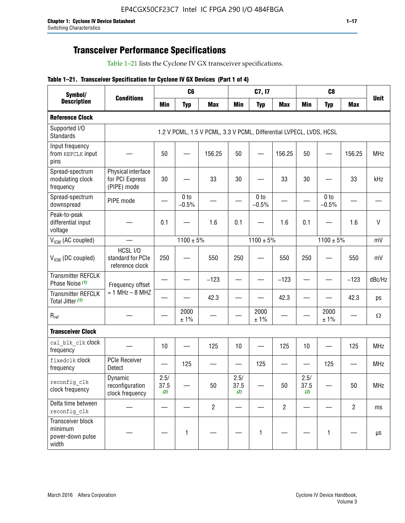## **Transceiver Performance Specifications**

Table 1–21 lists the Cyclone IV GX transceiver specifications.

## **Table 1–21. Transceiver Specification for Cyclone IV GX Devices (Part 1 of 4)**

| Symbol/                                                   |                                                      |                     | C <sub>6</sub>             |                                                                     |                     | C7, I7                     |                |                     | C <sub>8</sub>  |                |              |
|-----------------------------------------------------------|------------------------------------------------------|---------------------|----------------------------|---------------------------------------------------------------------|---------------------|----------------------------|----------------|---------------------|-----------------|----------------|--------------|
| <b>Description</b>                                        | <b>Conditions</b>                                    | <b>Min</b>          | <b>Typ</b>                 | <b>Max</b>                                                          | <b>Min</b>          | <b>Typ</b>                 | <b>Max</b>     | <b>Min</b>          | <b>Typ</b>      | <b>Max</b>     | <b>Unit</b>  |
| <b>Reference Clock</b>                                    |                                                      |                     |                            |                                                                     |                     |                            |                |                     |                 |                |              |
| Supported I/O<br><b>Standards</b>                         |                                                      |                     |                            | 1.2 V PCML, 1.5 V PCML, 3.3 V PCML, Differential LVPECL, LVDS, HCSL |                     |                            |                |                     |                 |                |              |
| Input frequency<br>from REFCLK input<br>pins              |                                                      | 50                  |                            | 156.25                                                              | 50                  |                            | 156.25         | 50                  |                 | 156.25         | <b>MHz</b>   |
| Spread-spectrum<br>modulating clock<br>frequency          | Physical interface<br>for PCI Express<br>(PIPE) mode | 30                  |                            | 33                                                                  | 30                  |                            | 33             | 30                  |                 | 33             | kHz          |
| Spread-spectrum<br>downspread                             | PIPE mode                                            |                     | 0 <sub>to</sub><br>$-0.5%$ |                                                                     |                     | 0 <sub>to</sub><br>$-0.5%$ |                |                     | 0 to<br>$-0.5%$ |                |              |
| Peak-to-peak<br>differential input<br>voltage             |                                                      | 0.1                 |                            | 1.6                                                                 | 0.1                 |                            | 1.6            | 0.1                 |                 | 1.6            | $\mathsf{V}$ |
| V <sub>ICM</sub> (AC coupled)                             |                                                      |                     | $1100 \pm 5\%$             |                                                                     |                     | $1100 \pm 5\%$             |                |                     | $1100 \pm 5\%$  |                | mV           |
| $VICM$ (DC coupled)                                       | HCSL I/O<br>standard for PCIe<br>reference clock     | 250                 |                            | 550                                                                 | 250                 |                            | 550            | 250                 |                 | 550            | mV           |
| <b>Transmitter REFCLK</b><br>Phase Noise (1)              | Frequency offset                                     |                     |                            | $-123$                                                              |                     |                            | $-123$         |                     |                 | $-123$         | dBc/Hz       |
| <b>Transmitter REFCLK</b><br>Total Jitter (1)             | $= 1$ MHz $- 8$ MHZ                                  |                     |                            | 42.3                                                                |                     |                            | 42.3           |                     |                 | 42.3           | ps           |
| $R_{ref}$                                                 |                                                      |                     | 2000<br>± 1%               |                                                                     |                     | 2000<br>± 1%               |                |                     | 2000<br>± 1%    |                | $\Omega$     |
| <b>Transceiver Clock</b>                                  |                                                      |                     |                            |                                                                     |                     |                            |                |                     |                 |                |              |
| cal blk clk clock<br>frequency                            |                                                      | 10                  |                            | 125                                                                 | 10                  |                            | 125            | 10                  |                 | 125            | <b>MHz</b>   |
| fixedclk Clock<br>frequency                               | <b>PCIe Receiver</b><br>Detect                       |                     | 125                        |                                                                     |                     | 125                        |                |                     | 125             |                | <b>MHz</b>   |
| reconfig clk<br>clock frequency                           | Dynamic<br>reconfiguration<br>clock frequency        | 2.5/<br>37.5<br>(2) |                            | 50                                                                  | 2.5/<br>37.5<br>(2) |                            | 50             | 2.5/<br>37.5<br>(2) |                 | 50             | <b>MHz</b>   |
| Delta time between<br>reconfig_clk                        |                                                      |                     |                            | $\overline{2}$                                                      |                     |                            | $\overline{2}$ |                     |                 | $\overline{2}$ | ms           |
| Transceiver block<br>minimum<br>power-down pulse<br>width |                                                      |                     | 1                          |                                                                     |                     | 1                          |                |                     | $\mathbf{1}$    |                | $\mu s$      |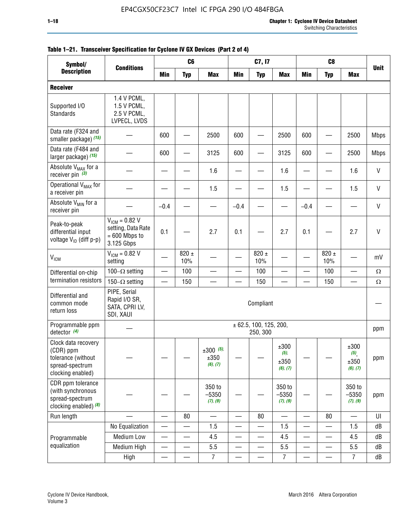#### **1–18 Chapter 1: Cyclone IV Device Datasheet** Switching Characteristics

| Symbol/                                                                                        | C <sub>6</sub><br>C <sub>8</sub><br>C7, I7<br><b>Conditions</b>           |                          |                          |                                 |                          |                                        |                                     |                          |                          |                                  |              |
|------------------------------------------------------------------------------------------------|---------------------------------------------------------------------------|--------------------------|--------------------------|---------------------------------|--------------------------|----------------------------------------|-------------------------------------|--------------------------|--------------------------|----------------------------------|--------------|
| <b>Description</b>                                                                             |                                                                           | Min                      | <b>Typ</b>               | <b>Max</b>                      | <b>Min</b>               | <b>Typ</b>                             | <b>Max</b>                          | <b>Min</b>               | <b>Typ</b>               | <b>Max</b>                       | <b>Unit</b>  |
| <b>Receiver</b>                                                                                |                                                                           |                          |                          |                                 |                          |                                        |                                     |                          |                          |                                  |              |
| Supported I/O<br><b>Standards</b>                                                              | 1.4 V PCML,<br>1.5 V PCML,<br>2.5 V PCML,<br>LVPECL, LVDS                 |                          |                          |                                 |                          |                                        |                                     |                          |                          |                                  |              |
| Data rate (F324 and<br>smaller package) (15)                                                   |                                                                           | 600                      |                          | 2500                            | 600                      |                                        | 2500                                | 600                      |                          | 2500                             | <b>Mbps</b>  |
| Data rate (F484 and<br>larger package) (15)                                                    |                                                                           | 600                      |                          | 3125                            | 600                      |                                        | 3125                                | 600                      |                          | 2500                             | <b>Mbps</b>  |
| Absolute V <sub>MAX</sub> for a<br>receiver pin $(3)$                                          |                                                                           |                          |                          | 1.6                             |                          |                                        | 1.6                                 |                          |                          | 1.6                              | V            |
| Operational V <sub>MAX</sub> for<br>a receiver pin                                             |                                                                           |                          |                          | 1.5                             |                          |                                        | 1.5                                 |                          |                          | 1.5                              | $\mathsf{V}$ |
| Absolute V <sub>MIN</sub> for a<br>receiver pin                                                |                                                                           | $-0.4$                   |                          |                                 | $-0.4$                   |                                        |                                     | $-0.4$                   |                          |                                  | $\mathsf{V}$ |
| Peak-to-peak<br>differential input<br>voltage V <sub>ID</sub> (diff p-p)                       | $V_{ICM} = 0.82 V$<br>setting, Data Rate<br>$= 600$ Mbps to<br>3.125 Gbps | 0.1                      |                          | 2.7                             | 0.1                      |                                        | 2.7                                 | 0.1                      |                          | 2.7                              | V            |
| <b>V<sub>ICM</sub></b>                                                                         | $V_{ICM} = 0.82 V$<br>setting                                             |                          | 820 $\pm$<br>10%         |                                 |                          | 820 $\pm$<br>10%                       |                                     |                          | 820 $\pm$<br>10%         |                                  | mV           |
| Differential on-chip                                                                           | 100 $-\Omega$ setting                                                     |                          | 100                      |                                 |                          | 100                                    |                                     |                          | 100                      |                                  | $\Omega$     |
| termination resistors                                                                          | 150 $-\Omega$ setting                                                     | $\sim$                   | 150                      | $\overline{\phantom{0}}$        |                          | 150                                    | $\equiv$                            | $\overline{\phantom{0}}$ | 150                      | $\overline{\phantom{0}}$         | $\Omega$     |
| Differential and<br>common mode<br>return loss                                                 | PIPE, Serial<br>Rapid I/O SR,<br>SATA, CPRI LV,<br>SDI, XAUI              |                          |                          |                                 |                          | Compliant                              |                                     |                          |                          |                                  |              |
| Programmable ppm<br>detector $(4)$                                                             |                                                                           |                          |                          |                                 |                          | $\pm$ 62.5, 100, 125, 200,<br>250, 300 |                                     |                          |                          |                                  | ppm          |
| Clock data recovery<br>(CDR) ppm<br>tolerance (without<br>spread-spectrum<br>clocking enabled) |                                                                           |                          |                          | $±300$ (5),<br>±350<br>(6), (7) |                          |                                        | ±300<br>$(5)$ ,<br>±350<br>(6), (7) |                          |                          | ±300<br>(5),<br>±350<br>(6), (7) | ppm          |
| CDR ppm tolerance<br>(with synchronous<br>spread-spectrum<br>clocking enabled) $(8)$           |                                                                           |                          |                          | 350 to<br>$-5350$<br>(7), (9)   |                          |                                        | 350 to<br>$-5350$<br>(7), (9)       |                          |                          | 350 to<br>$-5350$<br>(7), (9)    | ppm          |
| Run length                                                                                     |                                                                           | $\overline{\phantom{0}}$ | 80                       | $\qquad \qquad$                 | $\overline{\phantom{0}}$ | 80                                     | $\overline{\phantom{0}}$            | $\overline{\phantom{0}}$ | 80                       | $\overline{\phantom{0}}$         | U            |
|                                                                                                | No Equalization                                                           | $\overline{\phantom{0}}$ |                          | 1.5                             | $\overline{\phantom{0}}$ |                                        | 1.5                                 |                          |                          | 1.5                              | dB           |
| Programmable                                                                                   | <b>Medium Low</b>                                                         |                          | $\overline{\phantom{0}}$ | 4.5                             |                          |                                        | 4.5                                 | —                        |                          | 4.5                              | dB           |
| equalization                                                                                   | Medium High                                                               | $\overline{\phantom{0}}$ | —                        | 5.5                             |                          | —                                      | 5.5                                 | —                        | $\overline{\phantom{0}}$ | 5.5                              | dB           |
|                                                                                                | High                                                                      |                          |                          | $\overline{7}$                  |                          |                                        | $\overline{7}$                      |                          |                          | $\overline{7}$                   | dB           |

## **Table 1–21. Transceiver Specification for Cyclone IV GX Devices (Part 2 of 4)**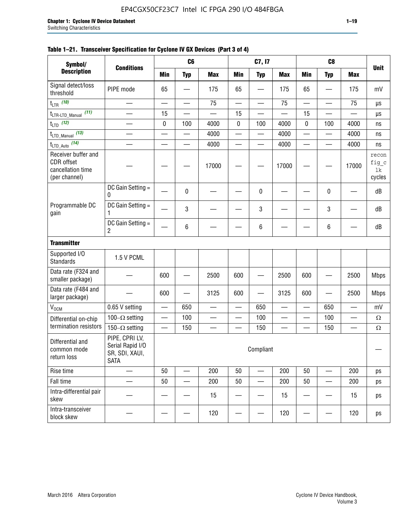| Symbol/                                                                        |                                                                     |                          | C <sub>6</sub>           |                          |                          | C7, I7                   |                          |                          | C <sub>8</sub> |                          |                                |
|--------------------------------------------------------------------------------|---------------------------------------------------------------------|--------------------------|--------------------------|--------------------------|--------------------------|--------------------------|--------------------------|--------------------------|----------------|--------------------------|--------------------------------|
| <b>Description</b>                                                             | <b>Conditions</b>                                                   | <b>Min</b>               | <b>Typ</b>               | <b>Max</b>               | <b>Min</b>               | <b>Typ</b>               | <b>Max</b>               | <b>Min</b>               | <b>Typ</b>     | <b>Max</b>               | <b>Unit</b>                    |
| Signal detect/loss<br>threshold                                                | PIPE mode                                                           | 65                       |                          | 175                      | 65                       |                          | 175                      | 65                       |                | 175                      | mV                             |
| $t_{LTR}$ (10)                                                                 | $\overline{\phantom{0}}$                                            | $\overline{\phantom{0}}$ |                          | 75                       | $\overline{\phantom{0}}$ | $\overline{\phantom{0}}$ | 75                       | $\overline{\phantom{0}}$ | —              | 75                       | μs                             |
| (11)<br>$t_{\text{LTR-LTD\_Manual}}$                                           |                                                                     | 15                       |                          |                          | 15                       |                          |                          | 15                       |                |                          | μs                             |
| $t_{LTD}$ (12)                                                                 |                                                                     | 0                        | 100                      | 4000                     | $\pmb{0}$                | 100                      | 4000                     | 0                        | 100            | 4000                     | ns                             |
| $t_{\text{LTD\_Manual}}$ (13)                                                  | $\overline{\phantom{0}}$                                            | $\overline{\phantom{0}}$ | $\overline{\phantom{0}}$ | 4000                     | $\overline{\phantom{0}}$ | $\overline{\phantom{0}}$ | 4000                     | $\overline{\phantom{0}}$ | $\equiv$       | 4000                     | ns                             |
| $t_{\text{LTD\_Auto}}$ (14)                                                    | $\equiv$                                                            | $\equiv$                 | $\equiv$                 | 4000                     | $\equiv$                 | $\overline{\phantom{0}}$ | 4000                     | $\overline{\phantom{0}}$ |                | 4000                     | ns                             |
| Receiver buffer and<br><b>CDR</b> offset<br>cancellation time<br>(per channel) |                                                                     |                          |                          | 17000                    |                          |                          | 17000                    |                          |                | 17000                    | recon<br>fig_c<br>lk<br>cycles |
|                                                                                | DC Gain Setting =<br>0                                              |                          | 0                        |                          |                          | 0                        |                          |                          | 0              |                          | dB                             |
| Programmable DC<br>gain                                                        | DC Gain Setting $=$<br>1                                            |                          | 3                        |                          |                          | 3                        |                          |                          | 3              |                          | dB                             |
|                                                                                | DC Gain Setting $=$<br>2                                            |                          | 6                        |                          |                          | 6                        |                          |                          | 6              |                          | dB                             |
| <b>Transmitter</b>                                                             |                                                                     |                          |                          |                          |                          |                          |                          |                          |                |                          |                                |
| Supported I/O<br><b>Standards</b>                                              | 1.5 V PCML                                                          |                          |                          |                          |                          |                          |                          |                          |                |                          |                                |
| Data rate (F324 and<br>smaller package)                                        |                                                                     | 600                      |                          | 2500                     | 600                      |                          | 2500                     | 600                      |                | 2500                     | <b>Mbps</b>                    |
| Data rate (F484 and<br>larger package)                                         |                                                                     | 600                      |                          | 3125                     | 600                      |                          | 3125                     | 600                      |                | 2500                     | <b>Mbps</b>                    |
| $V_{OCM}$                                                                      | 0.65 V setting                                                      | $\overline{\phantom{0}}$ | 650                      | $\equiv$                 | $\equiv$                 | 650                      | $\overline{\phantom{0}}$ | $\overline{\phantom{0}}$ | 650            | $\overline{\phantom{0}}$ | mV                             |
| Differential on-chip                                                           | 100 $-\Omega$ setting                                               | $\overline{\phantom{0}}$ | 100                      | $\overline{\phantom{0}}$ |                          | 100                      | $\overline{\phantom{0}}$ |                          | 100            | $\overline{\phantom{0}}$ | $\Omega$                       |
| termination resistors                                                          | $150-\Omega$ setting                                                |                          | 150                      |                          |                          | 150                      |                          |                          | 150            |                          | $\Omega$                       |
| Differential and<br>common mode<br>return loss                                 | PIPE, CPRI LV,<br>Serial Rapid I/O<br>SR, SDI, XAUI,<br><b>SATA</b> |                          |                          |                          |                          | Compliant                |                          |                          |                |                          | —                              |
| Rise time                                                                      |                                                                     | 50                       |                          | 200                      | 50                       |                          | 200                      | 50                       |                | 200                      | ps                             |
| Fall time                                                                      |                                                                     | 50                       |                          | 200                      | 50                       | —                        | 200                      | 50                       |                | 200                      | ps                             |
| Intra-differential pair<br>skew                                                |                                                                     |                          |                          | 15                       |                          |                          | 15                       |                          |                | 15                       | ps                             |
| Intra-transceiver<br>block skew                                                |                                                                     |                          |                          | 120                      |                          |                          | 120                      |                          |                | 120                      | ps                             |

## **Table 1–21. Transceiver Specification for Cyclone IV GX Devices (Part 3 of 4)**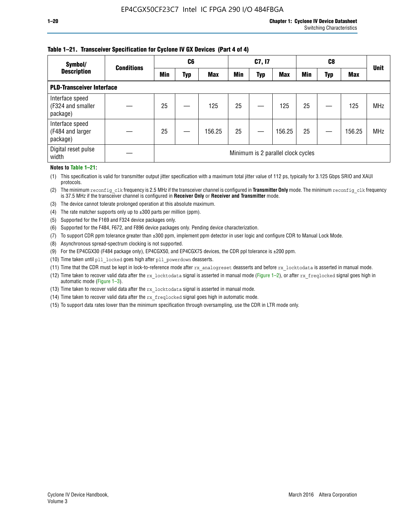## **Table 1–21. Transceiver Specification for Cyclone IV GX Devices (Part 4 of 4)**

| Symbol/                                          | <b>Conditions</b> |                                    | C <sub>6</sub> |            |            | C7, I7     |            |            | C8  |            | <b>Unit</b> |
|--------------------------------------------------|-------------------|------------------------------------|----------------|------------|------------|------------|------------|------------|-----|------------|-------------|
| <b>Description</b>                               |                   | Min                                | Typ            | <b>Max</b> | <b>Min</b> | <b>Typ</b> | <b>Max</b> | <b>Min</b> | Typ | <b>Max</b> |             |
| <b>PLD-Transceiver Interface</b>                 |                   |                                    |                |            |            |            |            |            |     |            |             |
| Interface speed<br>(F324 and smaller<br>package) |                   | 25                                 |                | 125        | 25         |            | 125        | 25         |     | 125        | <b>MHz</b>  |
| Interface speed<br>(F484 and larger<br>package)  |                   | 25                                 |                | 156.25     | 25         |            | 156.25     | 25         |     | 156.25     | <b>MHz</b>  |
| Digital reset pulse<br>width                     |                   | Minimum is 2 parallel clock cycles |                |            |            |            |            |            |     |            |             |

### **Notes to Table 1–21:**

(1) This specification is valid for transmitter output jitter specification with a maximum total jitter value of 112 ps, typically for 3.125 Gbps SRIO and XAUI protocols.

(2) The minimum reconfig\_clk frequency is 2.5 MHz if the transceiver channel is configured in **Transmitter Only** mode. The minimum reconfig\_clk frequency is 37.5 MHz if the transceiver channel is configured in **Receiver Only** or **Receiver and Transmitter** mode.

- (3) The device cannot tolerate prolonged operation at this absolute maximum.
- (4) The rate matcher supports only up to  $\pm 300$  parts per million (ppm).
- (5) Supported for the F169 and F324 device packages only.
- (6) Supported for the F484, F672, and F896 device packages only. Pending device characterization.
- (7) To support CDR ppm tolerance greater than ±300 ppm, implement ppm detector in user logic and configure CDR to Manual Lock Mode.
- (8) Asynchronous spread-spectrum clocking is not supported.
- (9) For the EP4CGX30 (F484 package only), EP4CGX50, and EP4CGX75 devices, the CDR ppl tolerance is ±200 ppm.
- (10) Time taken until pll\_locked goes high after pll\_powerdown deasserts.
- (11) Time that the CDR must be kept in lock-to-reference mode after rx analogreset deasserts and before rx locktodata is asserted in manual mode.

(12) Time taken to recover valid data after the rx locktodata signal is asserted in manual mode (Figure 1–2), or after rx freqlocked signal goes high in automatic mode (Figure 1–3).

(13) Time taken to recover valid data after the rx locktodata signal is asserted in manual mode.

- (14) Time taken to recover valid data after the rx freqlocked signal goes high in automatic mode.
- (15) To support data rates lower than the minimum specification through oversampling, use the CDR in LTR mode only.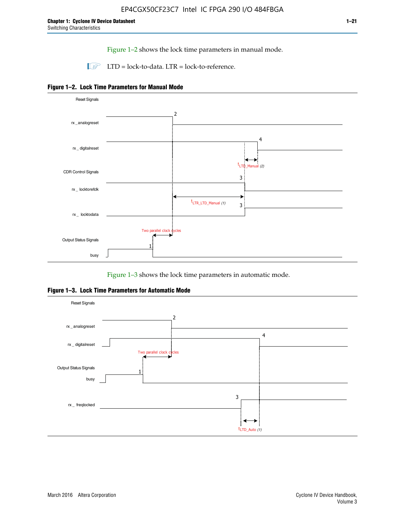Figure 1–2 shows the lock time parameters in manual mode.

 $\Box$  LTD = lock-to-data. LTR = lock-to-reference.





Figure 1–3 shows the lock time parameters in automatic mode.

**Figure 1–3. Lock Time Parameters for Automatic Mode**

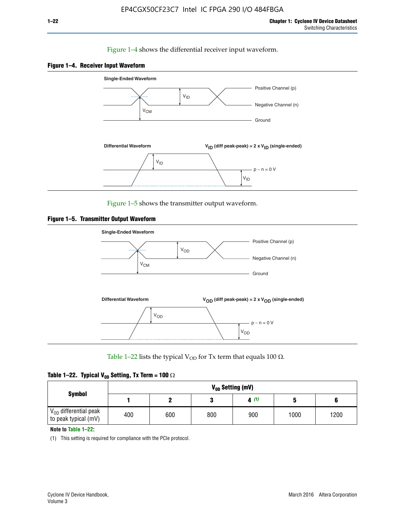## Figure 1–4 shows the differential receiver input waveform.





Figure 1–5 shows the transmitter output waveform.





Table 1–22 lists the typical V<sub>OD</sub> for Tx term that equals 100  $\Omega$ .

| Table 1–22. Typical V <sub>0D</sub> Setting, Tx Term = 100 $\Omega$ |  |  |  |  |  |  |  |
|---------------------------------------------------------------------|--|--|--|--|--|--|--|
|---------------------------------------------------------------------|--|--|--|--|--|--|--|

|                                                        |     |     |     | V <sub>op</sub> Setting (mV) |      |      |
|--------------------------------------------------------|-----|-----|-----|------------------------------|------|------|
| <b>Symbol</b>                                          |     |     |     | 4(1)                         |      |      |
| $\rm V_{OD}$ differential peak<br>to peak typical (mV) | 400 | 600 | 800 | 900                          | 1000 | 1200 |

**Note to Table 1–22:**

(1) This setting is required for compliance with the PCIe protocol.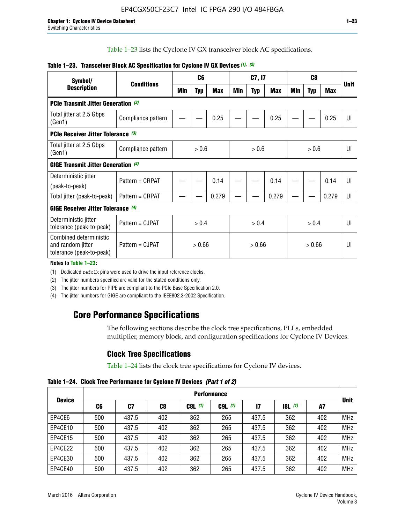Table 1–23 lists the Cyclone IV GX transceiver block AC specifications.

| Symbol/<br><b>Description</b>                                           |                    |        | C <sub>6</sub> |            |        | C7, I7     |            |        | C <sub>8</sub> |            |             |  |
|-------------------------------------------------------------------------|--------------------|--------|----------------|------------|--------|------------|------------|--------|----------------|------------|-------------|--|
|                                                                         | <b>Conditions</b>  | Min    | <b>Typ</b>     | <b>Max</b> | Min    | <b>Typ</b> | <b>Max</b> | Min    | <b>Typ</b>     | <b>Max</b> | <b>Unit</b> |  |
| PCIe Transmit Jitter Generation (3)                                     |                    |        |                |            |        |            |            |        |                |            |             |  |
| Total jitter at 2.5 Gbps<br>(Gen1)                                      | Compliance pattern |        |                | 0.25       |        |            | 0.25       |        |                | 0.25       | UI          |  |
| <b>PCIe Receiver Jitter Tolerance</b> (3)                               |                    |        |                |            |        |            |            |        |                |            |             |  |
| Total jitter at 2.5 Gbps<br>(Gen1)                                      | Compliance pattern |        | > 0.6          |            |        | > 0.6      |            |        | > 0.6          |            | UI          |  |
| <b>GIGE Transmit Jitter Generation (4)</b>                              |                    |        |                |            |        |            |            |        |                |            |             |  |
| Deterministic jitter                                                    | Pattern = CRPAT    |        |                | 0.14       |        |            | 0.14       |        |                | 0.14       | UI          |  |
| (peak-to-peak)                                                          |                    |        |                |            |        |            |            |        |                |            |             |  |
| Total jitter (peak-to-peak)                                             | Pattern = CRPAT    |        |                | 0.279      |        |            | 0.279      |        |                | 0.279      | UI          |  |
| GIGE Receiver Jitter Tolerance (4)                                      |                    |        |                |            |        |            |            |        |                |            |             |  |
| Deterministic jitter<br>tolerance (peak-to-peak)                        | Pattern = CJPAT    | > 0.4  |                |            |        | > 0.4      |            |        | > 0.4          |            | U           |  |
| Combined deterministic<br>and random jitter<br>tolerance (peak-to-peak) | Pattern = CJPAT    | > 0.66 |                |            | > 0.66 |            |            | > 0.66 |                | UI         |             |  |

## **Table 1–23. Transceiver Block AC Specification for Cyclone IV GX Devices** *(1)***,** *(2)*

**Notes to Table 1–23:**

(1) Dedicated refclk pins were used to drive the input reference clocks.

(2) The jitter numbers specified are valid for the stated conditions only.

(3) The jitter numbers for PIPE are compliant to the PCIe Base Specification 2.0.

(4) The jitter numbers for GIGE are compliant to the IEEE802.3-2002 Specification.

## **Core Performance Specifications**

The following sections describe the clock tree specifications, PLLs, embedded multiplier, memory block, and configuration specifications for Cyclone IV Devices.

## **Clock Tree Specifications**

Table 1–24 lists the clock tree specifications for Cyclone IV devices.

**Table 1–24. Clock Tree Performance for Cyclone IV Devices** *(Part 1 of 2)*

| <b>Device</b> |     | <b>Performance</b> |                |           |             |              |                  |     |             |  |  |  |  |  |  |
|---------------|-----|--------------------|----------------|-----------|-------------|--------------|------------------|-----|-------------|--|--|--|--|--|--|
|               | C6  | C7                 | C <sub>8</sub> | $C8L$ (1) | $C9L$ $(1)$ | $\mathbf{I}$ | <b>18L</b> $(1)$ | A7  | <b>Unit</b> |  |  |  |  |  |  |
| EP4CE6        | 500 | 437.5              | 402            | 362       | 265         | 437.5        | 362              | 402 | <b>MHz</b>  |  |  |  |  |  |  |
| EP4CE10       | 500 | 437.5              | 402            | 362       | 265         | 437.5        | 362              | 402 | <b>MHz</b>  |  |  |  |  |  |  |
| EP4CE15       | 500 | 437.5              | 402            | 362       | 265         | 437.5        | 362              | 402 | <b>MHz</b>  |  |  |  |  |  |  |
| EP4CE22       | 500 | 437.5              | 402            | 362       | 265         | 437.5        | 362              | 402 | <b>MHz</b>  |  |  |  |  |  |  |
| EP4CE30       | 500 | 437.5              | 402            | 362       | 265         | 437.5        | 362              | 402 | <b>MHz</b>  |  |  |  |  |  |  |
| EP4CE40       | 500 | 437.5              | 402            | 362       | 265         | 437.5        | 362              | 402 | <b>MHz</b>  |  |  |  |  |  |  |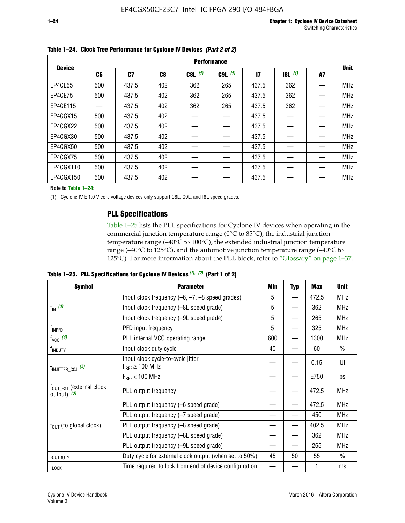|               |     | <b>Performance</b> |     |           |             |              |           |    |             |  |  |  |  |  |  |
|---------------|-----|--------------------|-----|-----------|-------------|--------------|-----------|----|-------------|--|--|--|--|--|--|
| <b>Device</b> | C6  | C7                 | C8  | $C8L$ (1) | $C9L$ $(1)$ | $\mathbf{I}$ | $18L$ (1) | A7 | <b>Unit</b> |  |  |  |  |  |  |
| EP4CE55       | 500 | 437.5              | 402 | 362       | 265         | 437.5        | 362       |    | <b>MHz</b>  |  |  |  |  |  |  |
| EP4CE75       | 500 | 437.5              | 402 | 362       | 265         | 437.5        | 362       |    | <b>MHz</b>  |  |  |  |  |  |  |
| EP4CE115      |     | 437.5              | 402 | 362       | 265         | 437.5        | 362       |    | <b>MHz</b>  |  |  |  |  |  |  |
| EP4CGX15      | 500 | 437.5              | 402 |           |             | 437.5        |           |    | <b>MHz</b>  |  |  |  |  |  |  |
| EP4CGX22      | 500 | 437.5              | 402 |           |             | 437.5        |           |    | <b>MHz</b>  |  |  |  |  |  |  |
| EP4CGX30      | 500 | 437.5              | 402 |           |             | 437.5        |           |    | <b>MHz</b>  |  |  |  |  |  |  |
| EP4CGX50      | 500 | 437.5              | 402 |           |             | 437.5        |           |    | <b>MHz</b>  |  |  |  |  |  |  |
| EP4CGX75      | 500 | 437.5              | 402 |           |             | 437.5        |           |    | <b>MHz</b>  |  |  |  |  |  |  |
| EP4CGX110     | 500 | 437.5              | 402 |           |             | 437.5        |           |    | <b>MHz</b>  |  |  |  |  |  |  |
| EP4CGX150     | 500 | 437.5              | 402 |           |             | 437.5        |           |    | <b>MHz</b>  |  |  |  |  |  |  |

**Table 1–24. Clock Tree Performance for Cyclone IV Devices** *(Part 2 of 2)*

**Note to Table 1–24:**

(1) Cyclone IV E 1.0 V core voltage devices only support C8L, C9L, and I8L speed grades.

## **PLL Specifications**

Table 1–25 lists the PLL specifications for Cyclone IV devices when operating in the commercial junction temperature range (0°C to 85°C), the industrial junction temperature range (–40°C to 100°C), the extended industrial junction temperature range (–40°C to 125°C), and the automotive junction temperature range (–40°C to 125°C). For more information about the PLL block, refer to "Glossary" on page 1–37.

|  |  | Table 1–25. PLL Specifications for Cyclone IV Devices $(1)$ , $(2)$ (Part 1 of 2) |  |
|--|--|-----------------------------------------------------------------------------------|--|
|--|--|-----------------------------------------------------------------------------------|--|

| <b>Symbol</b>                                          | <b>Parameter</b>                                            | Min | <b>Typ</b>               | <b>Max</b> | <b>Unit</b>   |
|--------------------------------------------------------|-------------------------------------------------------------|-----|--------------------------|------------|---------------|
|                                                        | Input clock frequency $(-6, -7, -8)$ speed grades)          | 5   | —                        | 472.5      | <b>MHz</b>    |
| $f_{\text{IN}}(3)$                                     | Input clock frequency (-8L speed grade)                     | 5   |                          | 362        | <b>MHz</b>    |
|                                                        | Input clock frequency (-9L speed grade)                     | 5   | $\overline{\phantom{0}}$ | 265        | <b>MHz</b>    |
| f <sub>INPFD</sub>                                     | PFD input frequency                                         | 5   | $\overline{\phantom{0}}$ | 325        | <b>MHz</b>    |
| $f_{VCO}$ (4)                                          | PLL internal VCO operating range                            | 600 | $\overline{\phantom{0}}$ | 1300       | <b>MHz</b>    |
| f <sub>INDUTY</sub>                                    | Input clock duty cycle                                      | 40  |                          | 60         | $\frac{0}{0}$ |
| $t_{\text{INJITTER\_CCJ}}$ (5)                         | Input clock cycle-to-cycle jitter<br>$F_{RFF} \geq 100$ MHz |     |                          | 0.15       | UI            |
|                                                        | $F_{RFF}$ < 100 MHz                                         |     |                          | ±750       | ps            |
| $f_{\text{OUT\_EXT}}$ (external clock<br>output) $(3)$ | PLL output frequency                                        |     |                          | 472.5      | <b>MHz</b>    |
|                                                        | PLL output frequency (-6 speed grade)                       |     |                          | 472.5      | <b>MHz</b>    |
|                                                        | PLL output frequency (-7 speed grade)                       |     |                          | 450        | <b>MHz</b>    |
| $f_{\text{OUT}}$ (to global clock)                     | PLL output frequency (-8 speed grade)                       |     |                          | 402.5      | <b>MHz</b>    |
|                                                        | PLL output frequency (-8L speed grade)                      |     |                          | 362        | <b>MHz</b>    |
|                                                        | PLL output frequency (-9L speed grade)                      |     |                          | 265        | <b>MHz</b>    |
| t <sub>outduty</sub>                                   | Duty cycle for external clock output (when set to 50%)      | 45  | 50                       | 55         | $\frac{0}{0}$ |
| $t_{\text{LOCK}}$                                      | Time required to lock from end of device configuration      |     |                          |            | ms            |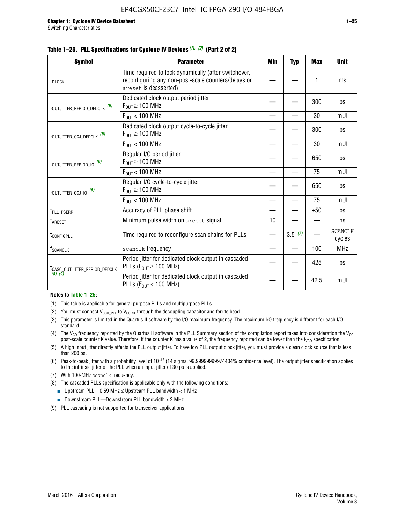|  |  | Table 1–25. PLL Specifications for Cyclone IV Devices (1), (2) (Part 2 of 2) |  |
|--|--|------------------------------------------------------------------------------|--|
|--|--|------------------------------------------------------------------------------|--|

| <b>Symbol</b>                             | <b>Parameter</b>                                                                                                                     | Min | Typ    | <b>Max</b> | <b>Unit</b>              |
|-------------------------------------------|--------------------------------------------------------------------------------------------------------------------------------------|-----|--------|------------|--------------------------|
| t <sub>DLOCK</sub>                        | Time required to lock dynamically (after switchover,<br>reconfiguring any non-post-scale counters/delays or<br>areset is deasserted) |     |        | 1          | ms                       |
| t <sub>outjitter_period_dedclk</sub> (6)  | Dedicated clock output period jitter<br>$F_{OIII} \geq 100$ MHz                                                                      |     |        | 300        | ps                       |
|                                           | $F_{\text{OUT}}$ < 100 MHz                                                                                                           |     |        | 30         | mUI                      |
| t <sub>outjitter_ccj_dedclk</sub> (6)     | Dedicated clock output cycle-to-cycle jitter<br>$F_{OUT} \geq 100$ MHz                                                               |     |        | 300        | ps                       |
|                                           | $F_{OUT}$ < 100 MHz                                                                                                                  |     |        | 30         | mUI                      |
| t <sub>outjitter_period_io</sub> (6)      | Regular I/O period jitter<br>$F_{OUT} \geq 100$ MHz                                                                                  |     |        | 650        | ps                       |
|                                           | $F_{OUT}$ < 100 MHz                                                                                                                  |     |        | 75         | mUI                      |
| t <sub>outjitter_ccj_io</sub> (6)         | Regular I/O cycle-to-cycle jitter<br>$F_{OUT} \geq 100$ MHz                                                                          |     |        | 650        | ps                       |
|                                           | $F_{\text{OUT}}$ < 100 MHz                                                                                                           |     |        | 75         | mUI                      |
| t <sub>PLL_PSERR</sub>                    | Accuracy of PLL phase shift                                                                                                          |     |        | ±50        | ps                       |
| t <sub>ARESET</sub>                       | Minimum pulse width on areset signal.                                                                                                | 10  |        |            | ns                       |
| t <sub>configpll</sub>                    | Time required to reconfigure scan chains for PLLs                                                                                    |     | 3.5(7) |            | <b>SCANCLK</b><br>cycles |
| $f_{\text{SCANCLK}}$                      | scanclk frequency                                                                                                                    |     |        | 100        | <b>MHz</b>               |
| t <sub>CASC_OUTJITTER_PERIOD_DEDCLK</sub> | Period jitter for dedicated clock output in cascaded<br>PLLs ( $F_{OUT} \ge 100$ MHz)                                                |     |        | 425        | ps                       |
| (8), (9)                                  | Period jitter for dedicated clock output in cascaded<br>PLLs ( $F_{OUI}$ < 100 MHz)                                                  |     |        | 42.5       | mUI                      |

#### **Notes to Table 1–25:**

- (1) This table is applicable for general purpose PLLs and multipurpose PLLs.
- (2) You must connect  $V_{CCD-PLL}$  to  $V_{CCINT}$  through the decoupling capacitor and ferrite bead.
- (3) This parameter is limited in the Quartus II software by the I/O maximum frequency. The maximum I/O frequency is different for each I/O standard.
- (4) The  $V_{CO}$  frequency reported by the Quartus II software in the PLL Summary section of the compilation report takes into consideration the  $V_{CO}$ post-scale counter K value. Therefore, if the counter K has a value of 2, the frequency reported can be lower than the f<sub>VCO</sub> specification.
- (5) A high input jitter directly affects the PLL output jitter. To have low PLL output clock jitter, you must provide a clean clock source that is less than 200 ps.
- (6) Peak-to-peak jitter with a probability level of 10–12 (14 sigma, 99.99999999974404% confidence level). The output jitter specification applies to the intrinsic jitter of the PLL when an input jitter of 30 ps is applied.
- (7) With 100-MHz scanclk frequency.
- (8) The cascaded PLLs specification is applicable only with the following conditions:
	- **■** Upstream PLL—0.59 MHz  $\leq$  Upstream PLL bandwidth  $<$  1 MHz
	- Downstream PLL—Downstream PLL bandwidth > 2 MHz
- (9) PLL cascading is not supported for transceiver applications.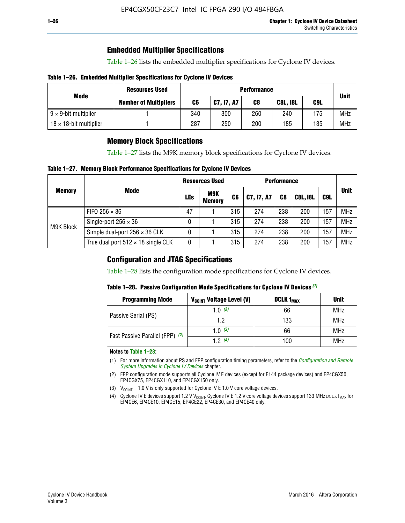## **Embedded Multiplier Specifications**

Table 1–26 lists the embedded multiplier specifications for Cyclone IV devices.

## **Table 1–26. Embedded Multiplier Specifications for Cyclone IV Devices**

|                                | <b>Resources Used</b>        | <b>Performance</b> |            |                              |     |     |            |  |  |
|--------------------------------|------------------------------|--------------------|------------|------------------------------|-----|-----|------------|--|--|
| Mode                           | <b>Number of Multipliers</b> | C6                 | C7, I7, A7 | C9L<br>C8<br><b>C8L, I8L</b> |     |     |            |  |  |
| $9 \times 9$ -bit multiplier   |                              | 340                | 300        | 260                          | 240 | 175 | <b>MHz</b> |  |  |
| $18 \times 18$ -bit multiplier |                              | 287                | 250        | 200                          | 185 | 135 | <b>MHz</b> |  |  |

## **Memory Block Specifications**

Table 1–27 lists the M9K memory block specifications for Cyclone IV devices.

## **Table 1–27. Memory Block Performance Specifications for Cyclone IV Devices**

|               |                                           |            | <b>Resources Used</b> |                |            |                |                 |     |             |
|---------------|-------------------------------------------|------------|-----------------------|----------------|------------|----------------|-----------------|-----|-------------|
| <b>Memory</b> | <b>Mode</b>                               | <b>LEs</b> | M9K<br><b>Memory</b>  | C <sub>6</sub> | C7, I7, A7 | C <sub>8</sub> | <b>C8L, I8L</b> | C9L | <b>Unit</b> |
| M9K Block     | FIFO 256 $\times$ 36                      | 47         |                       | 315            | 274        | 238            | 200             | 157 | <b>MHz</b>  |
|               | Single-port $256 \times 36$               | 0          |                       | 315            | 274        | 238            | 200             | 157 | <b>MHz</b>  |
|               | Simple dual-port $256 \times 36$ CLK      | 0          |                       | 315            | 274        | 238            | 200             | 157 | <b>MHz</b>  |
|               | True dual port $512 \times 18$ single CLK | 0          |                       | 315            | 274        | 238            | 200             | 157 | <b>MHz</b>  |

## **Configuration and JTAG Specifications**

Table 1–28 lists the configuration mode specifications for Cyclone IV devices.

## **Table 1–28. Passive Configuration Mode Specifications for Cyclone IV Devices** *(1)*

| <b>Programming Mode</b>         | V <sub>CCINT</sub> Voltage Level (V) | <b>DCLK f<sub>MAX</sub></b> | <b>Unit</b> |
|---------------------------------|--------------------------------------|-----------------------------|-------------|
| Passive Serial (PS)             | 1.0 $(3)$                            | 66                          | MHz         |
|                                 | 1.2                                  | 133                         | MHz         |
| Fast Passive Parallel (FPP) (2) | 1.0 $(3)$                            | 66                          | <b>MHz</b>  |
|                                 | 12(4)                                | 100                         | <b>MHz</b>  |

#### **Notes to Table 1–28:**

- (1) For more information about PS and FPP configuration timing parameters, refer to the *[Configuration and Remote](http://www.altera.com/literature/hb/cyclone-iv/cyiv-51008.pdf)  [System Upgrades in Cyclone IV Devices](http://www.altera.com/literature/hb/cyclone-iv/cyiv-51008.pdf)* chapter.
- (2) FPP configuration mode supports all Cyclone IV E devices (except for E144 package devices) and EP4CGX50, EP4CGX75, EP4CGX110, and EP4CGX150 only.
- (3)  $V_{CCMT}$  = 1.0 V is only supported for Cyclone IV E 1.0 V core voltage devices.
- (4) Cyclone IV E devices support 1.2 V V<sub>CCINT</sub>. Cyclone IV E 1.2 V core voltage devices support 133 MHz DCLK f<sub>MAX</sub> for EP4CE6, EP4CE10, EP4CE15, EP4CE22, EP4CE30, and EP4CE40 only.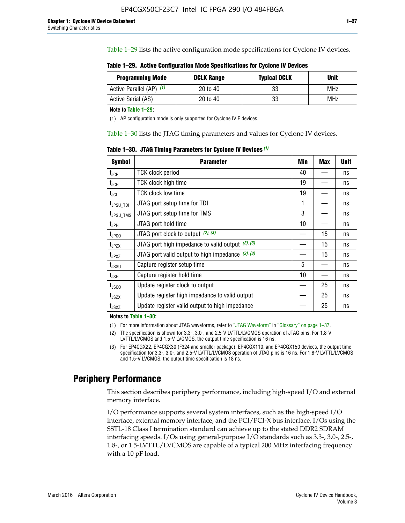Table 1–29 lists the active configuration mode specifications for Cyclone IV devices.

**Table 1–29. Active Configuration Mode Specifications for Cyclone IV Devices**

| <b>Programming Mode</b>  | <b>DCLK Range</b> | <b>Typical DCLK</b> | Unit |
|--------------------------|-------------------|---------------------|------|
| Active Parallel (AP) (1) | 20 to 40          | 33                  | MHz  |
| Active Serial (AS)       | 20 to 40          | 33                  | MHz  |

**Note to Table 1–29:**

(1) AP configuration mode is only supported for Cyclone IV E devices.

Table 1–30 lists the JTAG timing parameters and values for Cyclone IV devices.

**Table 1–30. JTAG Timing Parameters for Cyclone IV Devices** *(1)*

| <b>Symbol</b>         | <b>Parameter</b>                                       | Min | <b>Max</b> | <b>Unit</b> |
|-----------------------|--------------------------------------------------------|-----|------------|-------------|
| $t_{JCP}$             | <b>TCK clock period</b>                                | 40  |            | ns          |
| $t_{\rm JCH}$         | TCK clock high time                                    | 19  |            | ns          |
| $t_{JCL}$             | TCK clock low time                                     | 19  |            | ns          |
| t <sub>JPSU_TDI</sub> | JTAG port setup time for TDI                           | 1   |            | ns          |
| t <sub>JPSU_TMS</sub> | JTAG port setup time for TMS                           | 3   |            | ns          |
| t <sub>JPH</sub>      | JTAG port hold time                                    | 10  |            | ns          |
| t <sub>JPCO</sub>     | JTAG port clock to output (2), (3)                     |     | 15         | ns          |
| $t_{JPZX}$            | JTAG port high impedance to valid output $(2)$ , $(3)$ |     | 15         | ns          |
| t <sub>JPXZ</sub>     | JTAG port valid output to high impedance $(2)$ , $(3)$ |     | 15         | ns          |
| $t_{\rm JSSU}$        | Capture register setup time                            | 5   |            | ns          |
| $t_{\mathsf{JSH}}$    | Capture register hold time                             | 10  |            | ns          |
| $t_{\rm JSCO}$        | Update register clock to output                        |     | 25         | ns          |
| $t_{\text{JSZX}}$     | Update register high impedance to valid output         |     | 25         | ns          |
| t <sub>JSXZ</sub>     | Update register valid output to high impedance         |     | 25         | ns          |

**Notes to Table 1–30:**

(1) For more information about JTAG waveforms, refer to "JTAG Waveform" in "Glossary" on page 1–37.

(2) The specification is shown for 3.3-, 3.0-, and 2.5-V LVTTL/LVCMOS operation of JTAG pins. For 1.8-V LVTTL/LVCMOS and 1.5-V LVCMOS, the output time specification is 16 ns.

(3) For EP4CGX22, EP4CGX30 (F324 and smaller package), EP4CGX110, and EP4CGX150 devices, the output time specification for 3.3-, 3.0-, and 2.5-V LVTTL/LVCMOS operation of JTAG pins is 16 ns. For 1.8-V LVTTL/LVCMOS and 1.5-V LVCMOS, the output time specification is 18 ns.

## **Periphery Performance**

This section describes periphery performance, including high-speed I/O and external memory interface.

I/O performance supports several system interfaces, such as the high-speed I/O interface, external memory interface, and the PCI/PCI-X bus interface. I/Os using the SSTL-18 Class I termination standard can achieve up to the stated DDR2 SDRAM interfacing speeds. I/Os using general-purpose I/O standards such as 3.3-, 3.0-, 2.5-, 1.8-, or 1.5-LVTTL/LVCMOS are capable of a typical 200 MHz interfacing frequency with a 10 pF load.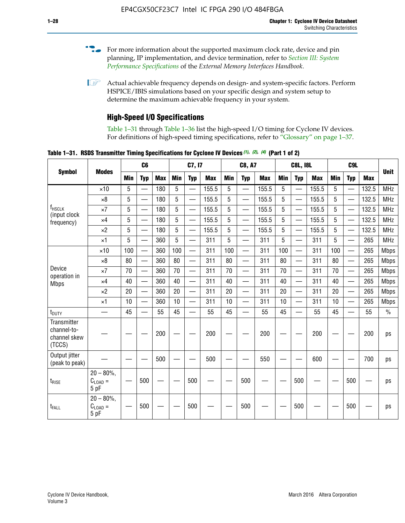- For more information about the supported maximum clock rate, device and pin planning, IP implementation, and device termination, refer to *[Section III: System](http://www.altera.com/literature/hb/external-memory/emi_intro_specs.pdf)  [Performance Specifications](http://www.altera.com/literature/hb/external-memory/emi_intro_specs.pdf)* of the *External Memory Interfaces Handbook*.
- **1 Actual achievable frequency depends on design- and system-specific factors. Perform** HSPICE/IBIS simulations based on your specific design and system setup to determine the maximum achievable frequency in your system.

## **High-Speed I/O Specifications**

Table 1–31 through Table 1–36 list the high-speed I/O timing for Cyclone IV devices. For definitions of high-speed timing specifications, refer to "Glossary" on page 1–37.

**Table 1–31. RSDS Transmitter Timing Specifications for Cyclone IV Devices** *(1)***,** *(2)***,** *(4)* **(Part 1 of 2)**

|                                                      |                                                     | C6              |                          |            | C7, I7     |                          |            | <b>C8, A7</b> |                          | <b>C8L, I8L</b> |            |                          | C <sub>9</sub> L |            |                          |            |               |
|------------------------------------------------------|-----------------------------------------------------|-----------------|--------------------------|------------|------------|--------------------------|------------|---------------|--------------------------|-----------------|------------|--------------------------|------------------|------------|--------------------------|------------|---------------|
| <b>Symbol</b>                                        | <b>Modes</b>                                        | <b>Min</b>      | <b>Typ</b>               | <b>Max</b> | <b>Min</b> | <b>Typ</b>               | <b>Max</b> | <b>Min</b>    | <b>Typ</b>               | <b>Max</b>      | <b>Min</b> | <b>Typ</b>               | <b>Max</b>       | <b>Min</b> | <b>Typ</b>               | <b>Max</b> | <b>Unit</b>   |
|                                                      | $\times$ 10                                         | 5               | —                        | 180        | 5          | ÷,                       | 155.5      | 5             | $\overline{\phantom{0}}$ | 155.5           | 5          |                          | 155.5            | 5          |                          | 132.5      | <b>MHz</b>    |
|                                                      | $\times 8$                                          | 5               |                          | 180        | 5          |                          | 155.5      | 5             | $\overline{\phantom{0}}$ | 155.5           | 5          |                          | 155.5            | 5          |                          | 132.5      | <b>MHz</b>    |
| f <sub>HSCLK</sub><br>(input clock                   | $\times 7$                                          | 5               |                          | 180        | 5          |                          | 155.5      | 5             | $\overline{\phantom{0}}$ | 155.5           | 5          |                          | 155.5            | 5          |                          | 132.5      | <b>MHz</b>    |
| frequency)                                           | $\times$ 4                                          | 5               |                          | 180        | 5          | $\overline{\phantom{0}}$ | 155.5      | 5             | $\qquad \qquad$          | 155.5           | 5          |                          | 155.5            | 5          | $\overline{\phantom{0}}$ | 132.5      | <b>MHz</b>    |
|                                                      | $\times 2$                                          | 5               |                          | 180        | 5          |                          | 155.5      | 5             | $\equiv$                 | 155.5           | 5          | $\overline{\phantom{0}}$ | 155.5            | 5          | $\overline{\phantom{0}}$ | 132.5      | <b>MHz</b>    |
|                                                      | $\times$ 1                                          | 5               |                          | 360        | 5          |                          | 311        | 5             | $\overline{\phantom{0}}$ | 311             | 5          | $\equiv$                 | 311              | 5          | $\equiv$                 | 265        | <b>MHz</b>    |
|                                                      | $\times$ 10                                         | 100             |                          | 360        | 100        |                          | 311        | 100           | $\equiv$                 | 311             | 100        |                          | 311              | 100        | $\equiv$                 | 265        | <b>Mbps</b>   |
|                                                      | $\times 8$                                          | 80              |                          | 360        | 80         |                          | 311        | 80            | $\overline{\phantom{0}}$ | 311             | 80         |                          | 311              | 80         | $\overline{\phantom{0}}$ | 265        | <b>Mbps</b>   |
| Device<br>operation in                               | $\times 7$                                          | 70              |                          | 360        | 70         | $\overline{\phantom{0}}$ | 311        | 70            | $\overline{\phantom{0}}$ | 311             | 70         |                          | 311              | 70         | $\equiv$                 | 265        | <b>Mbps</b>   |
| <b>Mbps</b>                                          | $\times$ 4                                          | 40              | $\overline{\phantom{0}}$ | 360        | 40         |                          | 311        | 40            | $\overline{\phantom{0}}$ | 311             | 40         |                          | 311              | 40         | $\overline{\phantom{0}}$ | 265        | <b>Mbps</b>   |
|                                                      | $\times 2$                                          | 20              |                          | 360        | 20         | $\overline{\phantom{0}}$ | 311        | 20            | $\overline{\phantom{0}}$ | 311             | 20         | $\qquad \qquad$          | 311              | 20         |                          | 265        | <b>Mbps</b>   |
|                                                      | $\times$ 1                                          | 10              |                          | 360        | 10         |                          | 311        | 10            | $\overline{\phantom{0}}$ | 311             | 10         | $\overline{\phantom{0}}$ | 311              | 10         | $\overline{\phantom{0}}$ | 265        | <b>Mbps</b>   |
| t <sub>DUTY</sub>                                    | —                                                   | 45              | $\qquad \qquad$          | 55         | 45         |                          | 55         | 45            | $\overline{\phantom{0}}$ | 55              | 45         |                          | 55               | 45         |                          | 55         | $\frac{0}{0}$ |
| Transmitter<br>channel-to-<br>channel skew<br>(TCCS) |                                                     |                 |                          | 200        |            |                          | 200        |               |                          | 200             |            |                          | 200              |            |                          | 200        | ps            |
| Output jitter<br>(peak to peak)                      |                                                     |                 |                          | 500        |            |                          | 500        |               |                          | 550             |            |                          | 600              |            |                          | 700        | ps            |
| t <sub>rise</sub>                                    | $20 - 80\%$<br>$\mathrm{C}_{\text{LOAD}}$ =<br>5 pF | $\qquad \qquad$ | 500                      |            |            | 500                      |            |               | 500                      |                 |            | 500                      |                  |            | 500                      |            | ps            |
| t <sub>FALL</sub>                                    | $20 - 80\%$<br>$C_{LOAD} =$<br>5 pF                 |                 | 500                      |            |            | 500                      |            |               | 500                      |                 |            | 500                      |                  |            | 500                      |            | ps            |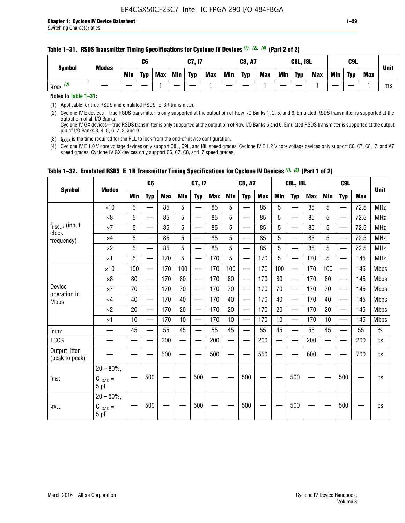#### **Table 1–31. RSDS Transmitter Timing Specifications for Cyclone IV Devices** *(1)***,** *(2)***,** *(4)* **(Part 2 of 2)**

**Notes to Table 1–31:**

(1) Applicable for true RSDS and emulated RSDS\_E\_3R transmitter.

(2) Cyclone IV E devices—true RSDS transmitter is only supported at the output pin of Row I/O Banks 1, 2, 5, and 6. Emulated RSDS transmitter is supported at the output pin of all I/O Banks. Cyclone IV GX devices—true RSDS transmitter is only supported at the output pin of Row I/O Banks 5 and 6. Emulated RSDS transmitter is supported at the output

pin of I/O Banks 3, 4, 5, 6, 7, 8, and 9.

(3)  $t_{\text{LOCK}}$  is the time required for the PLL to lock from the end-of-device configuration.

(4) Cyclone IV E 1.0 V core voltage devices only support C8L, C9L, and I8L speed grades. Cyclone IV E 1.2 V core voltage devices only support C6, C7, C8, I7, and A7 speed grades. Cyclone IV GX devices only support C6, C7, C8, and I7 speed grades.

|                                 |                                       |            | C <sub>6</sub>           |            |                          | C7, I7                   |            |            | <b>C8, A7</b>            |            |            | <b>C8L, I8L</b>          |            |     | C <sub>9</sub> L              |            | <b>Unit</b>   |
|---------------------------------|---------------------------------------|------------|--------------------------|------------|--------------------------|--------------------------|------------|------------|--------------------------|------------|------------|--------------------------|------------|-----|-------------------------------|------------|---------------|
| <b>Symbol</b>                   | <b>Modes</b>                          | <b>Min</b> | <b>Typ</b>               | <b>Max</b> | <b>Min</b>               | <b>Typ</b>               | <b>Max</b> | <b>Min</b> | <b>Typ</b>               | <b>Max</b> | <b>Min</b> | <b>Typ</b>               | <b>Max</b> | Min | <b>Typ</b>                    | <b>Max</b> |               |
|                                 | $\times$ 10                           | 5          |                          | 85         | 5                        |                          | 85         | 5          |                          | 85         | 5          | —                        | 85         | 5   |                               | 72.5       | <b>MHz</b>    |
|                                 | $\times 8$                            | 5          | $\overline{\phantom{0}}$ | 85         | 5                        | $\overline{\phantom{0}}$ | 85         | 5          | $\overline{\phantom{0}}$ | 85         | 5          | —                        | 85         | 5   |                               | 72.5       | <b>MHz</b>    |
| f <sub>HSCLK</sub> (input       | $\times 7$                            | 5          | —                        | 85         | 5                        | $\overline{\phantom{0}}$ | 85         | 5          | $\overline{\phantom{0}}$ | 85         | 5          | $\overline{\phantom{0}}$ | 85         | 5   |                               | 72.5       | <b>MHz</b>    |
| clock<br>frequency)             | $\times$ 4                            | 5          | $\overline{\phantom{0}}$ | 85         | 5                        | $\overline{\phantom{0}}$ | 85         | 5          | $\overline{\phantom{0}}$ | 85         | 5          | $\overline{\phantom{0}}$ | 85         | 5   |                               | 72.5       | <b>MHz</b>    |
|                                 | $\times 2$                            | 5          | $\equiv$                 | 85         | 5                        | $\overline{\phantom{0}}$ | 85         | 5          | $\equiv$                 | 85         | 5          | $\overline{\phantom{0}}$ | 85         | 5   |                               | 72.5       | <b>MHz</b>    |
|                                 | $\times$ 1                            | 5          | $\overline{\phantom{0}}$ | 170        | 5                        |                          | 170        | 5          |                          | 170        | 5          | $\overline{\phantom{0}}$ | 170        | 5   |                               | 145        | <b>MHz</b>    |
|                                 | $\times$ 10                           | 100        | $\overline{\phantom{0}}$ | 170        | 100                      |                          | 170        | 100        | $\overline{\phantom{0}}$ | 170        | 100        | $\overline{\phantom{0}}$ | 170        | 100 |                               | 145        | <b>Mbps</b>   |
|                                 | $\times 8$                            | 80         | $\overline{\phantom{0}}$ | 170        | 80                       | $\overline{\phantom{0}}$ | 170        | 80         | $\overline{\phantom{0}}$ | 170        | 80         | —                        | 170        | 80  |                               | 145        | <b>Mbps</b>   |
| Device                          | $\times 7$                            | 70         | $\overline{\phantom{0}}$ | 170        | 70                       | $\overline{\phantom{0}}$ | 170        | 70         | $\equiv$                 | 170        | 70         | $\overline{\phantom{0}}$ | 170        | 70  | $\overbrace{\phantom{aaaaa}}$ | 145        | <b>Mbps</b>   |
| operation in<br><b>Mbps</b>     | $\times 4$                            | 40         |                          | 170        | 40                       | $\overline{\phantom{0}}$ | 170        | 40         | $\overline{\phantom{0}}$ | 170        | 40         | $\overline{\phantom{0}}$ | 170        | 40  |                               | 145        | <b>Mbps</b>   |
|                                 | $\times 2$                            | 20         |                          | 170        | 20                       |                          | 170        | 20         | $\overline{\phantom{m}}$ | 170        | 20         | $\overline{\phantom{0}}$ | 170        | 20  |                               | 145        | <b>Mbps</b>   |
|                                 | $\times$ 1                            | 10         | $\overline{\phantom{0}}$ | 170        | 10                       |                          | 170        | 10         | $\overline{\phantom{0}}$ | 170        | 10         | $\overline{\phantom{0}}$ | 170        | 10  |                               | 145        | <b>Mbps</b>   |
| $t_{\text{DUTY}}$               |                                       | 45         | $\equiv$                 | 55         | 45                       | $\equiv$                 | 55         | 45         |                          | 55         | 45         | $\overline{\phantom{0}}$ | 55         | 45  |                               | 55         | $\frac{0}{0}$ |
| <b>TCCS</b>                     |                                       |            | —                        | 200        | $\overline{\phantom{0}}$ |                          | 200        | —          |                          | 200        | —          | —                        | 200        |     |                               | 200        | ps            |
| Output jitter<br>(peak to peak) |                                       |            |                          | 500        |                          |                          | 500        |            |                          | 550        |            |                          | 600        |     |                               | 700        | ps            |
| $t_{\text{RISE}}$               | $20 - 80\%$ ,<br>$C_{LOAD} =$<br>5 pF |            | 500                      |            |                          | 500                      |            |            | 500                      |            |            | 500                      |            |     | 500                           |            | ps            |
| t <sub>FALL</sub>               | $20 - 80\%$ .<br>$C_{LOAD} =$<br>5 pF |            | 500                      |            |                          | 500                      |            |            | 500                      |            |            | 500                      |            |     | 500                           |            | ps            |

## **Table 1–32. Emulated RSDS\_E\_1R Transmitter Timing Specifications for Cyclone IV Devices** *(1), (3)* **(Part 1 of 2)**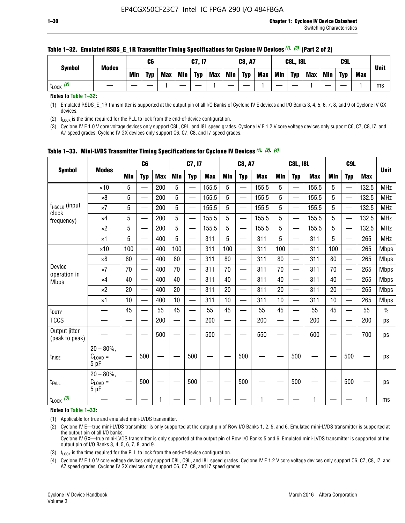| <b>Symbol</b>         | <b>Modes</b> |     | C6         |            |     | C7, I7     |            |            | <b>C8, A7</b> |            |            | <b>C8L, I8L</b> |            |     | C <sub>9</sub> L |            |             |
|-----------------------|--------------|-----|------------|------------|-----|------------|------------|------------|---------------|------------|------------|-----------------|------------|-----|------------------|------------|-------------|
|                       |              | Min | <b>Typ</b> | <b>Max</b> | Min | <b>Typ</b> | <b>Max</b> | <b>Min</b> | <b>Typ</b>    | <b>Max</b> | <b>Min</b> | <b>Typ</b>      | <b>Max</b> | Min | <b>Typ</b>       | <b>Max</b> | <b>Unit</b> |
| $t_{\text{LOCK}}$ (2) |              |     |            |            |     |            |            |            |               |            |            |                 |            |     |                  |            | ms          |

### **Table 1–32. Emulated RSDS\_E\_1R Transmitter Timing Specifications for Cyclone IV Devices** *(1), (3)* **(Part 2 of 2)**

**Notes to Table 1–32:**

(1) Emulated RSDS\_E\_1R transmitter is supported at the output pin of all I/O Banks of Cyclone IV E devices and I/O Banks 3, 4, 5, 6, 7, 8, and 9 of Cyclone IV GX devices.

(2)  $t_{\text{LOCK}}$  is the time required for the PLL to lock from the end-of-device configuration.

(3) Cyclone IV E 1.0 V core voltage devices only support C8L, C9L, and I8L speed grades. Cyclone IV E 1.2 V core voltage devices only support C6, C7, C8, I7, and A7 speed grades. Cyclone IV GX devices only support C6, C7, C8, and I7 speed grades.

| <b>Symbol</b>                      |                                            |            | C <sub>6</sub>           |            |                          | C7, I7                   |            |            | <b>C8, A7</b>            |            |            | <b>C8L, I8L</b>          |            |            | C <sub>9</sub> L |            |             |
|------------------------------------|--------------------------------------------|------------|--------------------------|------------|--------------------------|--------------------------|------------|------------|--------------------------|------------|------------|--------------------------|------------|------------|------------------|------------|-------------|
|                                    | <b>Modes</b>                               | <b>Min</b> | <b>Typ</b>               | <b>Max</b> | <b>Min</b>               | <b>Typ</b>               | <b>Max</b> | <b>Min</b> | <b>Typ</b>               | <b>Max</b> | <b>Min</b> | <b>Typ</b>               | <b>Max</b> | <b>Min</b> | <b>Typ</b>       | <b>Max</b> | <b>Unit</b> |
|                                    | $\times$ 10                                | 5          |                          | 200        | 5                        |                          | 155.5      | 5          | ÷,                       | 155.5      | 5          |                          | 155.5      | 5          |                  | 132.5      | <b>MHz</b>  |
|                                    | $\times 8$                                 | 5          | $\overline{\phantom{0}}$ | 200        | 5                        | <u>—</u>                 | 155.5      | 5          | $\overline{\phantom{0}}$ | 155.5      | 5          | $\overline{\phantom{0}}$ | 155.5      | 5          |                  | 132.5      | <b>MHz</b>  |
| f <sub>HSCLK</sub> (input<br>clock | $\times 7$                                 | 5          | $\qquad \qquad$          | 200        | 5                        | —                        | 155.5      | 5          | —<br>——                  | 155.5      | 5          |                          | 155.5      | 5          |                  | 132.5      | <b>MHz</b>  |
| frequency)                         | $\times$ 4                                 | 5          | $\overline{\phantom{0}}$ | 200        | 5                        | —                        | 155.5      | 5          | $\overline{\phantom{0}}$ | 155.5      | 5          |                          | 155.5      | 5          | —                | 132.5      | <b>MHz</b>  |
|                                    | $\times 2$                                 | 5          | $\overline{\phantom{0}}$ | 200        | 5                        | —                        | 155.5      | 5          | $\overline{\phantom{0}}$ | 155.5      | 5          | $\overline{\phantom{0}}$ | 155.5      | 5          |                  | 132.5      | <b>MHz</b>  |
|                                    | $\times$ 1                                 | 5          | $\overline{\phantom{0}}$ | 400        | 5                        | —                        | 311        | 5          | —                        | 311        | 5          | $\overline{\phantom{0}}$ | 311        | 5          |                  | 265        | <b>MHz</b>  |
|                                    | $\times$ 10                                | 100        | $\overline{\phantom{0}}$ | 400        | 100                      | $\overline{\phantom{0}}$ | 311        | 100        | $\overline{\phantom{0}}$ | 311        | 100        | $\overline{\phantom{0}}$ | 311        | 100        |                  | 265        | <b>Mbps</b> |
|                                    | $\times 8$                                 | 80         |                          | 400        | 80                       | $\overline{\phantom{0}}$ | 311        | 80         | $\overline{\phantom{0}}$ | 311        | 80         | $\overline{\phantom{0}}$ | 311        | 80         |                  | 265        | <b>Mbps</b> |
| Device                             | $\times 7$                                 | 70         | $\overline{\phantom{0}}$ | 400        | 70                       | $\overline{\phantom{0}}$ | 311        | 70         | $\equiv$                 | 311        | 70         | —                        | 311        | 70         |                  | 265        | <b>Mbps</b> |
| operation in<br><b>Mbps</b>        | $\times$ 4                                 | 40         |                          | 400        | 40                       |                          | 311        | 40         | $\overline{\phantom{0}}$ | 311        | 40         |                          | 311        | 40         |                  | 265        | <b>Mbps</b> |
|                                    | $\times 2$                                 | 20         | $\overline{\phantom{0}}$ | 400        | 20                       | —                        | 311        | 20         | $\overline{\phantom{0}}$ | 311        | 20         | $\overline{\phantom{0}}$ | 311        | 20         |                  | 265        | <b>Mbps</b> |
|                                    | ×1                                         | 10         | $\overline{\phantom{0}}$ | 400        | 10                       |                          | 311        | 10         | $\overline{\phantom{0}}$ | 311        | 10         | $\overline{\phantom{0}}$ | 311        | 10         |                  | 265        | <b>Mbps</b> |
| t <sub>DUTY</sub>                  |                                            | 45         |                          | 55         | 45                       |                          | 55         | 45         | —                        | 55         | 45         | —                        | 55         | 45         |                  | 55         | $\%$        |
| <b>TCCS</b>                        |                                            |            |                          | 200        | $\overline{\phantom{0}}$ | —                        | 200        | —          | $\overline{\phantom{0}}$ | 200        |            | —                        | 200        | —          |                  | 200        | ps          |
| Output jitter<br>(peak to peak)    |                                            |            |                          | 500        |                          |                          | 500        |            |                          | 550        |            |                          | 600        |            |                  | 700        | ps          |
| $t_{\text{RISE}}$                  | $20 - 80\%$<br>$C_{LOAD} =$<br>5 pF        |            | 500                      |            |                          | 500                      |            |            | 500                      |            |            | 500                      |            |            | 500              |            | ps          |
| t <sub>FALL</sub>                  | $20 - 80\%$<br>$C_{\text{LOAD}} =$<br>5 pF |            | 500                      |            |                          | 500                      |            |            | 500                      |            |            | 500                      |            |            | 500              |            | ps          |
| $t_{\text{LOCK}}$ (3)              |                                            |            |                          | 1          |                          |                          | 1          |            |                          | 1          |            |                          | 1          |            |                  | 1          | ms          |

**Table 1–33. Mini-LVDS Transmitter Timing Specifications for Cyclone IV Devices** *(1)***,** *(2)***,** *(4)*

**Notes to Table 1–33:**

(1) Applicable for true and emulated mini-LVDS transmitter.

(2) Cyclone IV E—true mini-LVDS transmitter is only supported at the output pin of Row I/O Banks 1, 2, 5, and 6. Emulated mini-LVDS transmitter is supported at the output pin of all I/O banks.

Cyclone IV GX—true mini-LVDS transmitter is only supported at the output pin of Row I/O Banks 5 and 6. Emulated mini-LVDS transmitter is supported at the output pin of I/O Banks 3, 4, 5, 6, 7, 8, and 9.

(3)  $t_{\text{LOCK}}$  is the time required for the PLL to lock from the end-of-device configuration.

(4) Cyclone IV E 1.0 V core voltage devices only support C8L, C9L, and I8L speed grades. Cyclone IV E 1.2 V core voltage devices only support C6, C7, C8, I7, and A7 speed grades. Cyclone IV GX devices only support C6, C7, C8, and I7 speed grades.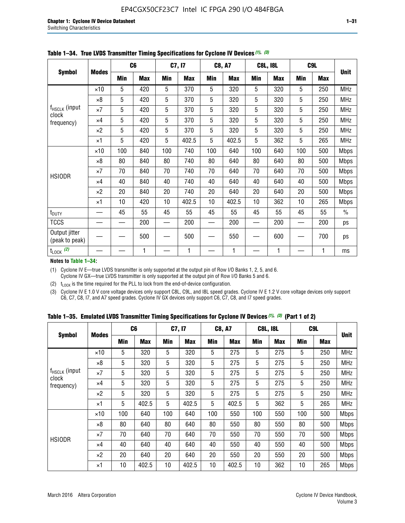|                                 |              |     | C <sub>6</sub> |     | C7, I7     |            | <b>C8, A7</b> |     | <b>C8L, I8L</b> |            | C <sub>9</sub> L |               |
|---------------------------------|--------------|-----|----------------|-----|------------|------------|---------------|-----|-----------------|------------|------------------|---------------|
| <b>Symbol</b>                   | <b>Modes</b> | Min | <b>Max</b>     | Min | <b>Max</b> | <b>Min</b> | <b>Max</b>    | Min | <b>Max</b>      | <b>Min</b> | <b>Max</b>       | <b>Unit</b>   |
|                                 | $\times$ 10  | 5   | 420            | 5   | 370        | 5          | 320           | 5   | 320             | 5          | 250              | <b>MHz</b>    |
|                                 | $\times 8$   | 5   | 420            | 5   | 370        | 5          | 320           | 5   | 320             | 5          | 250              | <b>MHz</b>    |
| f <sub>HSCLK</sub> (input       | $\times 7$   | 5   | 420            | 5   | 370        | 5          | 320           | 5   | 320             | 5          | 250              | <b>MHz</b>    |
| clock<br>frequency)             | $\times$ 4   | 5   | 420            | 5   | 370        | 5          | 320           | 5   | 320             | 5          | 250              | <b>MHz</b>    |
|                                 | $\times 2$   | 5   | 420            | 5   | 370        | 5          | 320           | 5   | 320             | 5          | 250              | <b>MHz</b>    |
|                                 | $\times$ 1   | 5   | 420            | 5   | 402.5      | 5          | 402.5         | 5   | 362             | 5          | 265              | <b>MHz</b>    |
|                                 | $\times$ 10  | 100 | 840            | 100 | 740        | 100        | 640           | 100 | 640             | 100        | 500              | <b>Mbps</b>   |
|                                 | $\times 8$   | 80  | 840            | 80  | 740        | 80         | 640           | 80  | 640             | 80         | 500              | <b>Mbps</b>   |
| <b>HSIODR</b>                   | $\times 7$   | 70  | 840            | 70  | 740        | 70         | 640           | 70  | 640             | 70         | 500              | <b>Mbps</b>   |
|                                 | $\times$ 4   | 40  | 840            | 40  | 740        | 40         | 640           | 40  | 640             | 40         | 500              | <b>Mbps</b>   |
|                                 | $\times 2$   | 20  | 840            | 20  | 740        | 20         | 640           | 20  | 640             | 20         | 500              | <b>Mbps</b>   |
|                                 | $\times$ 1   | 10  | 420            | 10  | 402.5      | 10         | 402.5         | 10  | 362             | 10         | 265              | <b>Mbps</b>   |
| t <sub>DUTY</sub>               |              | 45  | 55             | 45  | 55         | 45         | 55            | 45  | 55              | 45         | 55               | $\frac{0}{0}$ |
| <b>TCCS</b>                     |              |     | 200            |     | 200        |            | 200           |     | 200             |            | 200              | ps            |
| Output jitter<br>(peak to peak) |              |     | 500            |     | 500        |            | 550           |     | 600             |            | 700              | ps            |
| $t_{\text{LOCK}}$ (2)           |              |     | 1              |     | 1          |            | 1             |     | 1               |            | 1                | ms            |

**Table 1–34. True LVDS Transmitter Timing Specifications for Cyclone IV Devices** *(1)***,** *(3)*

**Notes to Table 1–34:**

(1) Cyclone IV E—true LVDS transmitter is only supported at the output pin of Row I/O Banks 1, 2, 5, and 6. Cyclone IV GX—true LVDS transmitter is only supported at the output pin of Row I/O Banks 5 and 6.

(2)  $t_{\text{LOCK}}$  is the time required for the PLL to lock from the end-of-device configuration.

(3) Cyclone IV E 1.0 V core voltage devices only support C8L, C9L, and I8L speed grades. Cyclone IV E 1.2 V core voltage devices only support C6, C7, C8, I7, and A7 speed grades. Cyclone IV GX devices only support C6, C7, C8, and I7 speed grades.

|  |  |  |  |  |  | Table 1–35. Emulated LVDS Transmitter Timing Specifications for Cyclone IV Devices <sup>(1),</sup> <sup>(3)</sup> (Part 1 of 2) |  |  |
|--|--|--|--|--|--|---------------------------------------------------------------------------------------------------------------------------------|--|--|
|--|--|--|--|--|--|---------------------------------------------------------------------------------------------------------------------------------|--|--|

| <b>Symbol</b>                      |              | C <sub>6</sub> |            | C7, I7     |            | <b>C8, A7</b> |            | <b>C8L, I8L</b> |            | C <sub>9</sub> L |            |             |
|------------------------------------|--------------|----------------|------------|------------|------------|---------------|------------|-----------------|------------|------------------|------------|-------------|
|                                    | <b>Modes</b> | Min            | <b>Max</b> | <b>Min</b> | <b>Max</b> | <b>Min</b>    | <b>Max</b> | Min             | <b>Max</b> | <b>Min</b>       | <b>Max</b> | <b>Unit</b> |
|                                    | $\times$ 10  | 5              | 320        | 5          | 320        | 5             | 275        | 5               | 275        | 5                | 250        | <b>MHz</b>  |
|                                    | $\times 8$   | 5              | 320        | 5          | 320        | 5             | 275        | 5               | 275        | 5                | 250        | <b>MHz</b>  |
| f <sub>HSCLK</sub> (input<br>clock | $\times 7$   | 5              | 320        | 5          | 320        | 5             | 275        | 5               | 275        | 5                | 250        | <b>MHz</b>  |
| frequency)                         | $\times$ 4   | 5              | 320        | 5          | 320        | 5             | 275        | 5               | 275        | 5                | 250        | <b>MHz</b>  |
|                                    | $\times 2$   | 5              | 320        | 5          | 320        | 5             | 275        | 5               | 275        | 5                | 250        | <b>MHz</b>  |
|                                    | ×1           | 5              | 402.5      | 5          | 402.5      | 5             | 402.5      | 5               | 362        | 5                | 265        | <b>MHz</b>  |
|                                    | $\times$ 10  | 100            | 640        | 100        | 640        | 100           | 550        | 100             | 550        | 100              | 500        | <b>Mbps</b> |
|                                    | $\times 8$   | 80             | 640        | 80         | 640        | 80            | 550        | 80              | 550        | 80               | 500        | <b>Mbps</b> |
|                                    | $\times 7$   | 70             | 640        | 70         | 640        | 70            | 550        | 70              | 550        | 70               | 500        | <b>Mbps</b> |
| <b>HSIODR</b>                      | $\times$ 4   | 40             | 640        | 40         | 640        | 40            | 550        | 40              | 550        | 40               | 500        | <b>Mbps</b> |
|                                    | $\times 2$   | 20             | 640        | 20         | 640        | 20            | 550        | 20              | 550        | 20               | 500        | <b>Mbps</b> |
|                                    | ×1           | 10             | 402.5      | 10         | 402.5      | 10            | 402.5      | 10              | 362        | 10               | 265        | <b>Mbps</b> |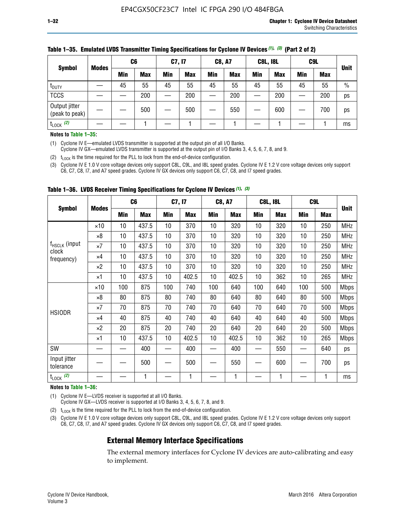| <b>Symbol</b>                   | <b>Modes</b> | C <sub>6</sub> |            | C7, I7 |            | <b>C8, A7</b> |            | <b>C8L, I8L</b> |            |     | C <sub>9</sub> L |               |
|---------------------------------|--------------|----------------|------------|--------|------------|---------------|------------|-----------------|------------|-----|------------------|---------------|
|                                 |              | Min            | <b>Max</b> | Min    | <b>Max</b> | <b>Min</b>    | <b>Max</b> | <b>Min</b>      | <b>Max</b> | Min | <b>Max</b>       | <b>Unit</b>   |
| t <sub>DUTY</sub>               |              | 45             | 55         | 45     | 55         | 45            | 55         | 45              | 55         | 45  | 55               | $\frac{0}{0}$ |
| <b>TCCS</b>                     |              |                | 200        |        | 200        |               | 200        |                 | 200        |     | 200              | ps            |
| Output jitter<br>(peak to peak) |              |                | 500        |        | 500        |               | 550        |                 | 600        | —   | 700              | ps            |
| $t_{\text{LOCK}}$ (2)           |              |                |            |        |            |               |            |                 |            |     |                  | ms            |

#### **Table 1–35. Emulated LVDS Transmitter Timing Specifications for Cyclone IV Devices** *(1)***,** *(3)* **(Part 2 of 2)**

#### **Notes to Table 1–35:**

(1) Cyclone IV E—emulated LVDS transmitter is supported at the output pin of all I/O Banks.

Cyclone IV GX—emulated LVDS transmitter is supported at the output pin of I/O Banks 3, 4, 5, 6, 7, 8, and 9.

(2)  $t_{\text{LOCK}}$  is the time required for the PLL to lock from the end-of-device configuration.

(3) Cyclone IV E 1.0 V core voltage devices only support C8L, C9L, and I8L speed grades. Cyclone IV E 1.2 V core voltage devices only support C6, C7, C8, I7, and A7 speed grades. Cyclone IV GX devices only support C6, C7, C8, and I7 speed grades.

|                                    |              | C <sub>6</sub> |            | C7, I7     |            | <b>C8, A7</b> |            |            | <b>C8L, I8L</b> | C <sub>9</sub> L         |            |             |
|------------------------------------|--------------|----------------|------------|------------|------------|---------------|------------|------------|-----------------|--------------------------|------------|-------------|
| <b>Symbol</b>                      | <b>Modes</b> | <b>Min</b>     | <b>Max</b> | <b>Min</b> | <b>Max</b> | Min           | <b>Max</b> | <b>Min</b> | <b>Max</b>      | <b>Min</b>               | <b>Max</b> | <b>Unit</b> |
|                                    | $\times 10$  | 10             | 437.5      | 10         | 370        | 10            | 320        | 10         | 320             | 10                       | 250        | <b>MHz</b>  |
|                                    | $\times 8$   | 10             | 437.5      | 10         | 370        | 10            | 320        | 10         | 320             | 10                       | 250        | <b>MHz</b>  |
| f <sub>HSCLK</sub> (input<br>clock | $\times 7$   | 10             | 437.5      | 10         | 370        | 10            | 320        | 10         | 320             | 10                       | 250        | <b>MHz</b>  |
| frequency)                         | ×4           | 10             | 437.5      | 10         | 370        | 10            | 320        | 10         | 320             | 10                       | 250        | <b>MHz</b>  |
|                                    | $\times 2$   | 10             | 437.5      | 10         | 370        | 10            | 320        | 10         | 320             | 10                       | 250        | <b>MHz</b>  |
|                                    | ×1           | 10             | 437.5      | 10         | 402.5      | 10            | 402.5      | 10         | 362             | 10                       | 265        | <b>MHz</b>  |
|                                    | $\times$ 10  | 100            | 875        | 100        | 740        | 100           | 640        | 100        | 640             | 100                      | 500        | <b>Mbps</b> |
|                                    | $\times 8$   | 80             | 875        | 80         | 740        | 80            | 640        | 80         | 640             | 80                       | 500        | <b>Mbps</b> |
| <b>HSIODR</b>                      | $\times 7$   | 70             | 875        | 70         | 740        | 70            | 640        | 70         | 640             | 70                       | 500        | <b>Mbps</b> |
|                                    | $\times 4$   | 40             | 875        | 40         | 740        | 40            | 640        | 40         | 640             | 40                       | 500        | Mbps        |
|                                    | $\times 2$   | 20             | 875        | 20         | 740        | 20            | 640        | 20         | 640             | 20                       | 500        | Mbps        |
|                                    | ×1           | 10             | 437.5      | 10         | 402.5      | 10            | 402.5      | 10         | 362             | 10                       | 265        | <b>Mbps</b> |
| SW                                 |              |                | 400        |            | 400        |               | 400        |            | 550             | $\overline{\phantom{0}}$ | 640        | ps          |
| Input jitter<br>tolerance          |              |                | 500        |            | 500        |               | 550        |            | 600             | —                        | 700        | ps          |
| $t_{\text{LOCK}}$ (2)              |              |                | 1          |            | 1          |               | 1          |            | 1               |                          |            | ms          |

**Table 1–36. LVDS Receiver Timing Specifications for Cyclone IV Devices** *(1)***,** *(3)*

#### **Notes to Table 1–36:**

(1) Cyclone IV E—LVDS receiver is supported at all I/O Banks.

Cyclone IV GX—LVDS receiver is supported at I/O Banks 3, 4, 5, 6, 7, 8, and 9.

(2)  $t_{\text{LOCK}}$  is the time required for the PLL to lock from the end-of-device configuration.

(3) Cyclone IV E 1.0 V core voltage devices only support C8L, C9L, and I8L speed grades. Cyclone IV E 1.2 V core voltage devices only support C6, C7, C8, I7, and A7 speed grades. Cyclone IV GX devices only support C6, C7, C8, and I7 speed grades.

## **External Memory Interface Specifications**

The external memory interfaces for Cyclone IV devices are auto-calibrating and easy to implement.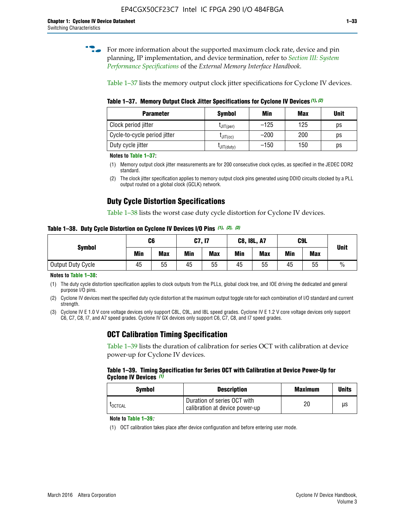**for more information about the supported maximum clock rate, device and pin** planning, IP implementation, and device termination, refer to *[Section III: System](http://www.altera.com/literature/hb/external-memory/emi_intro_specs.pdf)  [Performance Specifications](http://www.altera.com/literature/hb/external-memory/emi_intro_specs.pdf)* of the *External Memory Interface Handbook*.

Table 1–37 lists the memory output clock jitter specifications for Cyclone IV devices.

**Table 1–37. Memory Output Clock Jitter Specifications for Cyclone IV Devices** *(1)***,** *(2)*

| <b>Parameter</b>             | <b>Symbol</b>  | Min    | <b>Max</b> | <b>Unit</b> |
|------------------------------|----------------|--------|------------|-------------|
| Clock period jitter          | $L$ JIT(per)   | $-125$ | 125        | ps          |
| Cycle-to-cycle period jitter | $L$ JIT $(cc)$ | $-200$ | 200        | ps          |
| Duty cycle jitter            | LJIT(duty)     | $-150$ | 150        | рs          |

**Notes to Table 1–37:**

- (1) Memory output clock jitter measurements are for 200 consecutive clock cycles, as specified in the JEDEC DDR2 standard.
- (2) The clock jitter specification applies to memory output clock pins generated using DDIO circuits clocked by a PLL output routed on a global clock (GCLK) network.

## **Duty Cycle Distortion Specifications**

Table 1–38 lists the worst case duty cycle distortion for Cyclone IV devices.

**Table 1–38. Duty Cycle Distortion on Cyclone IV Devices I/O Pins** *(1)***,** *(2), (3)*

| <b>Symbol</b>     | C <sub>6</sub> |            | C7, I7     |            | <b>C8, I8L, A7</b> |            |            | C9L        | <b>Unit</b>   |
|-------------------|----------------|------------|------------|------------|--------------------|------------|------------|------------|---------------|
|                   | Min            | <b>Max</b> | <b>Min</b> | <b>Max</b> | Min                | <b>Max</b> | <b>Min</b> | <b>Max</b> |               |
| Output Duty Cycle | 45             | 55         | 45         | 55         | 45                 | 55         | 45         | 55         | $\frac{0}{0}$ |

**Notes to Table 1–38:**

(1) The duty cycle distortion specification applies to clock outputs from the PLLs, global clock tree, and IOE driving the dedicated and general purpose I/O pins.

(2) Cyclone IV devices meet the specified duty cycle distortion at the maximum output toggle rate for each combination of I/O standard and current strength.

(3) Cyclone IV E 1.0 V core voltage devices only support C8L, C9L, and I8L speed grades. Cyclone IV E 1.2 V core voltage devices only support C6, C7, C8, I7, and A7 speed grades. Cyclone IV GX devices only support C6, C7, C8, and I7 speed grades.

## **OCT Calibration Timing Specification**

Table 1–39 lists the duration of calibration for series OCT with calibration at device power-up for Cyclone IV devices.

#### **Table 1–39. Timing Specification for Series OCT with Calibration at Device Power-Up for Cyclone IV Devices** *(1)*

| Symbol  | <b>Description</b>                                            | <b>Maximum</b> | <b>Units</b> |
|---------|---------------------------------------------------------------|----------------|--------------|
| LOCTCAL | Duration of series OCT with<br>calibration at device power-up | 20             | μs           |

#### **Note to Table 1–39***:*

(1) OCT calibration takes place after device configuration and before entering user mode.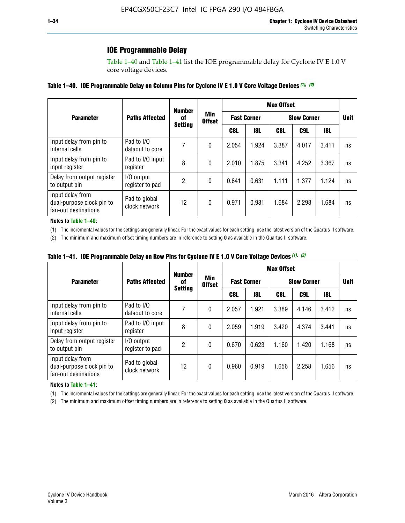## **IOE Programmable Delay**

Table 1–40 and Table 1–41 list the IOE programmable delay for Cyclone IV E 1.0 V core voltage devices.

### **Table 1–40. IOE Programmable Delay on Column Pins for Cyclone IV E 1.0 V Core Voltage Devices** *(1)***,** *(2)*

|                                                                       |                                | <b>Number</b>  |                      |       |                    | <b>Max Offset</b> |                    |            |             |
|-----------------------------------------------------------------------|--------------------------------|----------------|----------------------|-------|--------------------|-------------------|--------------------|------------|-------------|
| <b>Parameter</b>                                                      | <b>Paths Affected</b>          | 0f             | Min<br><b>Offset</b> |       | <b>Fast Corner</b> |                   | <b>Slow Corner</b> |            | <b>Unit</b> |
|                                                                       |                                | <b>Setting</b> |                      | C8L   | <b>18L</b>         | C8L               | C9L                | <b>18L</b> |             |
| Input delay from pin to<br>internal cells                             | Pad to I/O<br>dataout to core  |                | 0                    | 2.054 | 1.924              | 3.387             | 4.017              | 3.411      | ns          |
| Input delay from pin to<br>input register                             | Pad to I/O input<br>register   | 8              | 0                    | 2.010 | 1.875              | 3.341             | 4.252              | 3.367      | ns          |
| Delay from output register<br>to output pin                           | I/O output<br>register to pad  | 2              | 0                    | 0.641 | 0.631              | 1.111             | 1.377              | 1.124      | ns          |
| Input delay from<br>dual-purpose clock pin to<br>fan-out destinations | Pad to global<br>clock network | 12             | 0                    | 0.971 | 0.931              | 1.684             | 2.298              | 1.684      | ns          |

#### **Notes to Table 1–40:**

(1) The incremental values for the settings are generally linear. For the exact values for each setting, use the latest version of the Quartus II software.

(2) The minimum and maximum offset timing numbers are in reference to setting **0** as available in the Quartus II software.

| Table 1–41. IOE Programmable Delay on Row Pins for Cyclone IV E 1.0 V Core Voltage Devices (1), (2) |  |  |
|-----------------------------------------------------------------------------------------------------|--|--|
|-----------------------------------------------------------------------------------------------------|--|--|

|                                                                       |                                | <b>Number</b>  |                      |       |                    | <b>Max Offset</b>  |                 |       |    |
|-----------------------------------------------------------------------|--------------------------------|----------------|----------------------|-------|--------------------|--------------------|-----------------|-------|----|
| <b>Parameter</b>                                                      | <b>Paths Affected</b>          | 0f             | Min<br><b>Offset</b> |       | <b>Fast Corner</b> | <b>Slow Corner</b> | <b>Unit</b>     |       |    |
|                                                                       |                                | <b>Setting</b> |                      | C8L   | <b>18L</b>         | C8L                | C <sub>9L</sub> | 18L   |    |
| Input delay from pin to<br>internal cells                             | Pad to I/O<br>dataout to core  |                | 0                    | 2.057 | 1.921              | 3.389              | 4.146           | 3.412 | ns |
| Input delay from pin to<br>input register                             | Pad to I/O input<br>register   | 8              | 0                    | 2.059 | 1.919              | 3.420              | 4.374           | 3.441 | ns |
| Delay from output register<br>to output pin                           | I/O output<br>register to pad  | $\overline{2}$ | 0                    | 0.670 | 0.623              | 1.160              | 1.420           | 1.168 | ns |
| Input delay from<br>dual-purpose clock pin to<br>fan-out destinations | Pad to global<br>clock network | 12             | 0                    | 0.960 | 0.919              | 1.656              | 2.258           | 1.656 | ns |

#### **Notes to Table 1–41:**

(1) The incremental values for the settings are generally linear. For the exact values for each setting, use the latest version of the Quartus II software.

(2) The minimum and maximum offset timing numbers are in reference to setting **0** as available in the Quartus II software.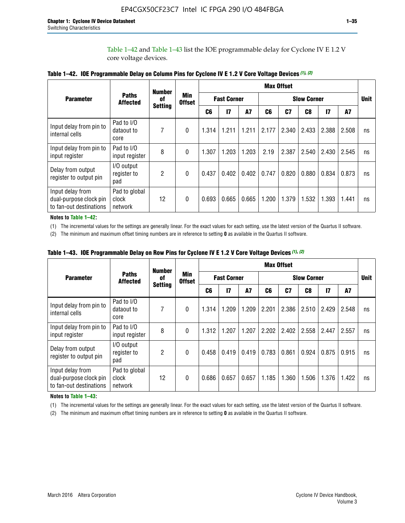Table 1–42 and Table 1–43 list the IOE programmable delay for Cyclone IV E 1.2 V core voltage devices.

|                                                                       |                                   | <b>Number</b>  |                      |                |                                          |           |       | <b>Max Offset</b> |                |               |       |             |
|-----------------------------------------------------------------------|-----------------------------------|----------------|----------------------|----------------|------------------------------------------|-----------|-------|-------------------|----------------|---------------|-------|-------------|
| <b>Parameter</b>                                                      | <b>Paths</b><br><b>Affected</b>   | 0f             | Min<br><b>Offset</b> |                | <b>Fast Corner</b><br><b>Slow Corner</b> |           |       |                   |                |               |       | <b>Unit</b> |
|                                                                       |                                   | <b>Setting</b> |                      | C <sub>6</sub> | $\overline{17}$                          | <b>A7</b> | C6    | C <sub>7</sub>    | C <sub>8</sub> | $\mathsf{I}7$ | A7    |             |
| Input delay from pin to<br>internal cells                             | Pad to I/O<br>dataout to<br>core  | 7              | 0                    | 1.314          | 1.211                                    | 1.211     | 2.177 | 2.340             | 2.433          | 2.388         | 2.508 | ns          |
| Input delay from pin to<br>input register                             | Pad to I/O<br>input register      | 8              | $\theta$             | 1.307          | 1.203                                    | 1.203     | 2.19  | 2.387             | 2.540          | 2.430         | 2.545 | ns          |
| Delay from output<br>register to output pin                           | I/O output<br>register to<br>pad  | $\overline{2}$ | 0                    | 0.437          | 0.402                                    | 0.402     | 0.747 | 0.820             | 0.880          | 0.834         | 0.873 | ns          |
| Input delay from<br>dual-purpose clock pin<br>to fan-out destinations | Pad to global<br>clock<br>network | 12             | 0                    | 0.693          | 0.665                                    | 0.665     | 1.200 | 1.379             | 1.532          | 1.393         | 1.441 | ns          |

**Table 1–42. IOE Programmable Delay on Column Pins for Cyclone IV E 1.2 V Core Voltage Devices** *(1)***,** *(2)*

**Notes to Table 1–42:**

(1) The incremental values for the settings are generally linear. For the exact values for each setting, use the latest version of the Quartus II software.

(2) The minimum and maximum offset timing numbers are in reference to setting **0** as available in the Quartus II software.

|                                                                       |                                   | <b>Number</b>  |                      |                                          |                 |       |       | <b>Max Offset</b> |             |               |       |    |
|-----------------------------------------------------------------------|-----------------------------------|----------------|----------------------|------------------------------------------|-----------------|-------|-------|-------------------|-------------|---------------|-------|----|
| <b>Parameter</b>                                                      | <b>Paths</b><br><b>Affected</b>   | 0f             | Min<br><b>Offset</b> | <b>Fast Corner</b><br><b>Slow Corner</b> |                 |       |       |                   | <b>Unit</b> |               |       |    |
|                                                                       |                                   | <b>Setting</b> |                      | C6                                       | $\overline{17}$ | A7    | C6    | C <sub>7</sub>    | C8          | $\mathsf{I}7$ | A7    |    |
| Input delay from pin to<br>internal cells                             | Pad to I/O<br>dataout to<br>core  | 7              | 0                    | 1.314                                    | 1.209           | 1.209 | 2.201 | 2.386             | 2.510       | 2.429         | 2.548 | ns |
| Input delay from pin to<br>input register                             | Pad to I/O<br>input register      | 8              | $\theta$             | 1.312                                    | 1.207           | 1.207 | 2.202 | 2.402             | 2.558       | 2.447         | 2.557 | ns |
| Delay from output<br>register to output pin                           | I/O output<br>register to<br>pad  | 2              | $\Omega$             | 0.458                                    | 0.419           | 0.419 | 0.783 | 0.861             | 0.924       | 0.875         | 0.915 | ns |
| Input delay from<br>dual-purpose clock pin<br>to fan-out destinations | Pad to global<br>clock<br>network | 12             | 0                    | 0.686                                    | 0.657           | 0.657 | 1.185 | 1.360             | 1.506       | 1.376         | 1.422 | ns |

**Table 1–43. IOE Programmable Delay on Row Pins for Cyclone IV E 1.2 V Core Voltage Devices** *(1)***,** *(2)*

#### **Notes to Table 1–43:**

(1) The incremental values for the settings are generally linear. For the exact values for each setting, use the latest version of the Quartus II software.

(2) The minimum and maximum offset timing numbers are in reference to setting **0** as available in the Quartus II software.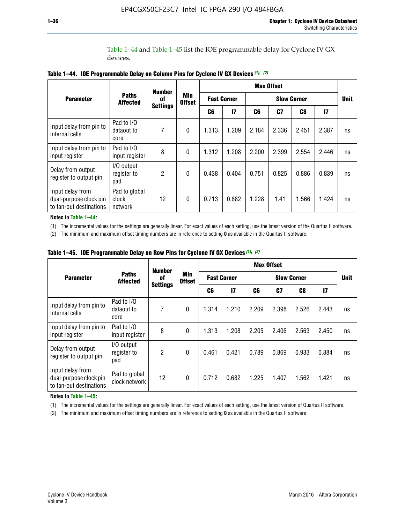Table 1–44 and Table 1–45 list the IOE programmable delay for Cyclone IV GX devices.

|                                                                       |                                   | <b>Number</b>   |                             |                    |               |                    | <b>Max Offset</b> |       |       |             |
|-----------------------------------------------------------------------|-----------------------------------|-----------------|-----------------------------|--------------------|---------------|--------------------|-------------------|-------|-------|-------------|
| <b>Parameter</b>                                                      | <b>Paths</b><br><b>Affected</b>   | 0f              | <b>Min</b><br><b>Offset</b> | <b>Fast Corner</b> |               | <b>Slow Corner</b> |                   |       |       | <b>Unit</b> |
|                                                                       |                                   | <b>Settings</b> |                             | C6                 | $\mathsf{I}7$ | C6                 | C7                | C8    | 17    |             |
| Input delay from pin to<br>internal cells                             | Pad to I/O<br>dataout to<br>core  | 7               | $\boldsymbol{0}$            | 1.313              | 1.209         | 2.184              | 2.336             | 2.451 | 2.387 | ns          |
| Input delay from pin to<br>input register                             | Pad to I/O<br>input register      | 8               | $\theta$                    | 1.312              | 1.208         | 2.200              | 2.399             | 2.554 | 2.446 | ns          |
| Delay from output<br>register to output pin                           | I/O output<br>register to<br>pad  | 2               | $\mathbf{0}$                | 0.438              | 0.404         | 0.751              | 0.825             | 0.886 | 0.839 | ns          |
| Input delay from<br>dual-purpose clock pin<br>to fan-out destinations | Pad to global<br>clock<br>network | 12              | $\mathbf{0}$                | 0.713              | 0.682         | 1.228              | 1.41              | 1.566 | 1.424 | ns          |

**Table 1–44. IOE Programmable Delay on Column Pins for Cyclone IV GX Devices** *(1)***,** *(2)*

**Notes to Table 1–44:**

(1) The incremental values for the settings are generally linear. For exact values of each setting, use the latest version of the Quartus II software.

(2) The minimum and maximum offset timing numbers are in reference to setting **0** as available in the Quartus II software.

|                                                                       |                                  | <b>Number</b>   |                      |       |                                          |       | <b>Max Offset</b> |       |               |             |
|-----------------------------------------------------------------------|----------------------------------|-----------------|----------------------|-------|------------------------------------------|-------|-------------------|-------|---------------|-------------|
| <b>Parameter</b>                                                      | <b>Paths</b><br><b>Affected</b>  | 0f              | Min<br><b>Offset</b> |       | <b>Fast Corner</b><br><b>Slow Corner</b> |       |                   |       |               | <b>Unit</b> |
|                                                                       |                                  | <b>Settings</b> |                      | C6    | 17                                       | C6    | C7                | C8    | $\mathsf{I}7$ |             |
| Input delay from pin to<br>internal cells                             | Pad to I/O<br>dataout to<br>core | 7               | $\mathbf{0}$         | 1.314 | 1.210                                    | 2.209 | 2.398             | 2.526 | 2.443         | ns          |
| Input delay from pin to<br>input register                             | Pad to I/O<br>input register     | 8               | $\mathbf{0}$         | 1.313 | 1.208                                    | 2.205 | 2.406             | 2.563 | 2.450         | ns          |
| Delay from output<br>register to output pin                           | I/O output<br>register to<br>pad | $\overline{2}$  | $\mathbf{0}$         | 0.461 | 0.421                                    | 0.789 | 0.869             | 0.933 | 0.884         | ns          |
| Input delay from<br>dual-purpose clock pin<br>to fan-out destinations | Pad to global<br>clock network   | 12              | $\mathbf{0}$         | 0.712 | 0.682                                    | 1.225 | 1.407             | 1.562 | 1.421         | ns          |

**Table 1–45. IOE Programmable Delay on Row Pins for Cyclone IV GX Devices** *(1)***,** *(2)*

#### **Notes to Table 1–45:**

(1) The incremental values for the settings are generally linear. For exact values of each setting, use the latest version of Quartus II software.

(2) The minimum and maximum offset timing numbers are in reference to setting **0** as available in the Quartus II software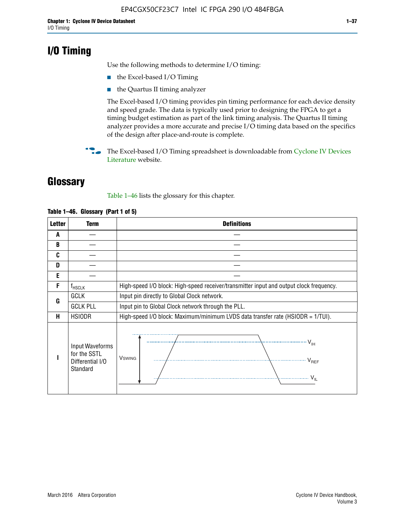## **I/O Timing**

Use the following methods to determine I/O timing:

- the Excel-based I/O Timing
- the Quartus II timing analyzer

The Excel-based I/O timing provides pin timing performance for each device density and speed grade. The data is typically used prior to designing the FPGA to get a timing budget estimation as part of the link timing analysis. The Quartus II timing analyzer provides a more accurate and precise I/O timing data based on the specifics of the design after place-and-route is complete.

**For The Excel-based I/O Timing spreadsheet is downloadable from Cyclone IV Devices** [Literature](http://www.altera.com/literature/lit-cyclone-iv.jsp) website.

## **Glossary**

Table 1–46 lists the glossary for this chapter.

| <b>Letter</b> | <b>Term</b>                                                     | <b>Definitions</b>                                                                                                                               |  |  |  |  |  |  |
|---------------|-----------------------------------------------------------------|--------------------------------------------------------------------------------------------------------------------------------------------------|--|--|--|--|--|--|
| A             |                                                                 |                                                                                                                                                  |  |  |  |  |  |  |
| B             |                                                                 |                                                                                                                                                  |  |  |  |  |  |  |
| C             |                                                                 |                                                                                                                                                  |  |  |  |  |  |  |
| D             |                                                                 |                                                                                                                                                  |  |  |  |  |  |  |
| E             |                                                                 |                                                                                                                                                  |  |  |  |  |  |  |
| F             | $f_{\sf HSCLK}$                                                 | High-speed I/O block: High-speed receiver/transmitter input and output clock frequency.                                                          |  |  |  |  |  |  |
| G             | <b>GCLK</b>                                                     | Input pin directly to Global Clock network.                                                                                                      |  |  |  |  |  |  |
|               | <b>GCLK PLL</b>                                                 | Input pin to Global Clock network through the PLL.                                                                                               |  |  |  |  |  |  |
| н             | <b>HSIODR</b>                                                   | High-speed I/O block: Maximum/minimum LVDS data transfer rate (HSIODR = 1/TUI).                                                                  |  |  |  |  |  |  |
|               | Input Waveforms<br>for the SSTL<br>Differential I/O<br>Standard | $\frac{1}{\sqrt{1+\frac{1}{2}}}\left\{ \frac{1}{\sqrt{1+\frac{1}{2}}}\right\}$<br><b>V</b> swing<br>$\cdots$ $V_{REF}$<br>\<br>$\sim V_{\rm IL}$ |  |  |  |  |  |  |

### **Table 1–46. Glossary (Part 1 of 5)**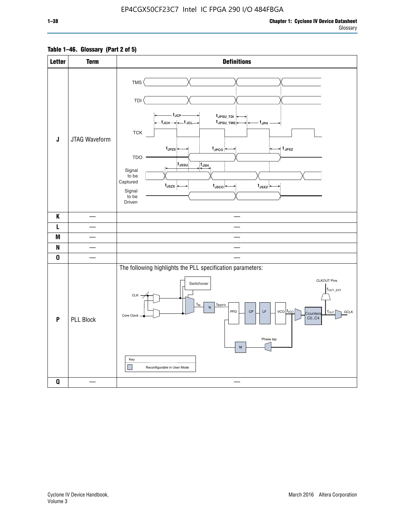## **Table 1–46. Glossary (Part 2 of 5)**

| <b>Letter</b>      | <b>Term</b>      | <b>Definitions</b>                                                                                                                                                                                                                                                                                                                                                                                                        |
|--------------------|------------------|---------------------------------------------------------------------------------------------------------------------------------------------------------------------------------------------------------------------------------------------------------------------------------------------------------------------------------------------------------------------------------------------------------------------------|
| $\mathsf J$        | JTAG Waveform    | TMS <sup></sup><br>TDI<br>- t <sub>JCP</sub> -<br>t <sub>JPSU_TDI</sub><br>—t <sub>JCH</sub> → → + JcL –<br>t <sub>JPSU_TMS</sub><br>– t <sub>JPH</sub><br>${\sf TCK}$<br>t <sub>JPZX</sub><br>$t_{\scriptscriptstyle \sf JPCO}$<br>$\star$ t <sub>JPXZ</sub><br><b>TDO</b><br>tussu<br>$t_{\text{JSH}}$<br>Signal<br>to be<br>Captured<br>$t_{\text{JSZX}}$<br>$t_{\rm JSCO}$<br>$t_{JSXZ}$<br>Signal<br>to be<br>Driven |
| $\pmb{\mathsf{K}}$ |                  |                                                                                                                                                                                                                                                                                                                                                                                                                           |
| L                  |                  |                                                                                                                                                                                                                                                                                                                                                                                                                           |
| M                  |                  | $\overline{\phantom{a}}$                                                                                                                                                                                                                                                                                                                                                                                                  |
| N                  |                  |                                                                                                                                                                                                                                                                                                                                                                                                                           |
| $\pmb{0}$          |                  |                                                                                                                                                                                                                                                                                                                                                                                                                           |
| P                  | <b>PLL Block</b> | The following highlights the PLL specification parameters:<br><b>CLKOUT Pins</b><br>Switchover<br>$f_{\text{OUT\_EXT}}$<br>$CLK -$<br>$f_{IN}$<br>fINPFD<br>$\sf N$<br>PFD<br>$\mathsf{CP}$<br>$\mathsf{LF}% _{\mathsf{L}}$<br>$vco$ $ f_{vco} $<br><b>GCLK</b><br>$f_{\text{OUT}}$<br>Counters<br>Core Clock<br>CO., C4<br>Phase tap<br>${\sf M}$<br>Key<br>$\Box$<br>Reconfigurable in User Mode                        |
| $\pmb{0}$          |                  |                                                                                                                                                                                                                                                                                                                                                                                                                           |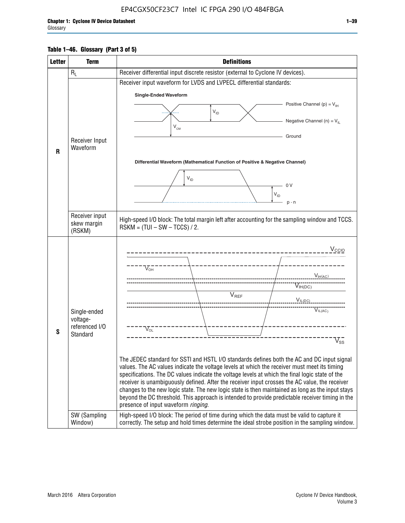## **Table 1–46. Glossary (Part 3 of 5)**

| <b>Letter</b> | <b>Term</b>              | <b>Definitions</b>                                                                                                                                                                                |  |  |  |  |  |  |  |  |
|---------------|--------------------------|---------------------------------------------------------------------------------------------------------------------------------------------------------------------------------------------------|--|--|--|--|--|--|--|--|
|               | $R_L$                    | Receiver differential input discrete resistor (external to Cyclone IV devices).                                                                                                                   |  |  |  |  |  |  |  |  |
|               |                          | Receiver input waveform for LVDS and LVPECL differential standards:                                                                                                                               |  |  |  |  |  |  |  |  |
|               |                          | <b>Single-Ended Waveform</b>                                                                                                                                                                      |  |  |  |  |  |  |  |  |
|               |                          | Positive Channel (p) = $V_{\text{H}}$                                                                                                                                                             |  |  |  |  |  |  |  |  |
|               |                          | $\mathsf{V}_{\mathsf{ID}}$                                                                                                                                                                        |  |  |  |  |  |  |  |  |
|               |                          | Negative Channel (n) = $V_{\parallel}$<br>$V_{CM}$                                                                                                                                                |  |  |  |  |  |  |  |  |
|               | Receiver Input           | Ground                                                                                                                                                                                            |  |  |  |  |  |  |  |  |
| R             | Waveform                 |                                                                                                                                                                                                   |  |  |  |  |  |  |  |  |
|               |                          | Differential Waveform (Mathematical Function of Positive & Negative Channel)                                                                                                                      |  |  |  |  |  |  |  |  |
|               |                          |                                                                                                                                                                                                   |  |  |  |  |  |  |  |  |
|               |                          | $V_{ID}$<br>0V                                                                                                                                                                                    |  |  |  |  |  |  |  |  |
|               |                          | $V_{ID}$                                                                                                                                                                                          |  |  |  |  |  |  |  |  |
|               |                          | $p - n$                                                                                                                                                                                           |  |  |  |  |  |  |  |  |
|               | Receiver input           |                                                                                                                                                                                                   |  |  |  |  |  |  |  |  |
|               | skew margin              | High-speed I/O block: The total margin left after accounting for the sampling window and TCCS.<br>$RSKM = (TUI - SW - TCCS) / 2.$                                                                 |  |  |  |  |  |  |  |  |
|               | (RSKM)                   |                                                                                                                                                                                                   |  |  |  |  |  |  |  |  |
|               |                          | $V_{CCIO}$                                                                                                                                                                                        |  |  |  |  |  |  |  |  |
|               |                          |                                                                                                                                                                                                   |  |  |  |  |  |  |  |  |
|               |                          | $V_{\text{\tiny OH}}^-$                                                                                                                                                                           |  |  |  |  |  |  |  |  |
|               |                          | $V_{H(AC)}$                                                                                                                                                                                       |  |  |  |  |  |  |  |  |
|               |                          | $V_{IH(DC)}$<br>V <sub>REF</sub>                                                                                                                                                                  |  |  |  |  |  |  |  |  |
|               |                          | $V_{\text{IL(DC)}}$                                                                                                                                                                               |  |  |  |  |  |  |  |  |
|               | Single-ended<br>voltage- | VIL(AC)                                                                                                                                                                                           |  |  |  |  |  |  |  |  |
|               | referenced I/O           | $V_{\text{OL}}$                                                                                                                                                                                   |  |  |  |  |  |  |  |  |
| S             | Standard                 | $\rm V_{ss}^-$                                                                                                                                                                                    |  |  |  |  |  |  |  |  |
|               |                          |                                                                                                                                                                                                   |  |  |  |  |  |  |  |  |
|               |                          | The JEDEC standard for SSTI and HSTL I/O standards defines both the AC and DC input signal                                                                                                        |  |  |  |  |  |  |  |  |
|               |                          | values. The AC values indicate the voltage levels at which the receiver must meet its timing                                                                                                      |  |  |  |  |  |  |  |  |
|               |                          | specifications. The DC values indicate the voltage levels at which the final logic state of the<br>receiver is unambiguously defined. After the receiver input crosses the AC value, the receiver |  |  |  |  |  |  |  |  |
|               |                          | changes to the new logic state. The new logic state is then maintained as long as the input stays                                                                                                 |  |  |  |  |  |  |  |  |
|               |                          | beyond the DC threshold. This approach is intended to provide predictable receiver timing in the<br>presence of input waveform ringing.                                                           |  |  |  |  |  |  |  |  |
|               | SW (Sampling             | High-speed I/O block: The period of time during which the data must be valid to capture it                                                                                                        |  |  |  |  |  |  |  |  |
|               | Window)                  | correctly. The setup and hold times determine the ideal strobe position in the sampling window.                                                                                                   |  |  |  |  |  |  |  |  |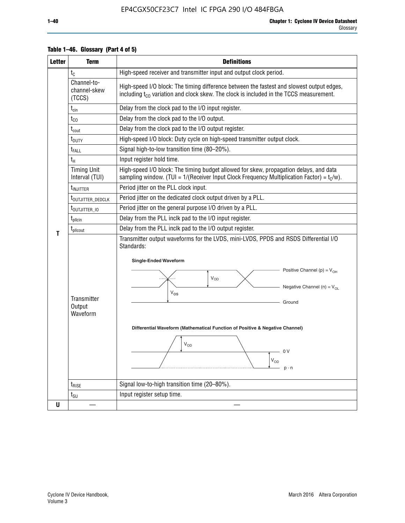| <b>Letter</b> | <b>Term</b>                           | <b>Definitions</b>                                                                                                                                                                                                                                                                                                                                              |  |  |  |  |  |  |  |  |
|---------------|---------------------------------------|-----------------------------------------------------------------------------------------------------------------------------------------------------------------------------------------------------------------------------------------------------------------------------------------------------------------------------------------------------------------|--|--|--|--|--|--|--|--|
|               | $t_{\rm C}$                           | High-speed receiver and transmitter input and output clock period.                                                                                                                                                                                                                                                                                              |  |  |  |  |  |  |  |  |
|               | Channel-to-<br>channel-skew<br>(TCCS) | High-speed I/O block: The timing difference between the fastest and slowest output edges,<br>including t <sub>co</sub> variation and clock skew. The clock is included in the TCCS measurement.                                                                                                                                                                 |  |  |  |  |  |  |  |  |
|               | $t_{\text{cin}}$                      | Delay from the clock pad to the I/O input register.                                                                                                                                                                                                                                                                                                             |  |  |  |  |  |  |  |  |
|               | $t_{CO}$                              | Delay from the clock pad to the I/O output.                                                                                                                                                                                                                                                                                                                     |  |  |  |  |  |  |  |  |
|               | $t_{\text{cout}}$                     | Delay from the clock pad to the I/O output register.                                                                                                                                                                                                                                                                                                            |  |  |  |  |  |  |  |  |
|               | t <sub>DUTY</sub>                     | High-speed I/O block: Duty cycle on high-speed transmitter output clock.                                                                                                                                                                                                                                                                                        |  |  |  |  |  |  |  |  |
|               | $t_{\sf FALL}$                        | Signal high-to-low transition time (80-20%).                                                                                                                                                                                                                                                                                                                    |  |  |  |  |  |  |  |  |
|               | $t_{H}$                               | Input register hold time.                                                                                                                                                                                                                                                                                                                                       |  |  |  |  |  |  |  |  |
|               | <b>Timing Unit</b><br>Interval (TUI)  | High-speed I/O block: The timing budget allowed for skew, propagation delays, and data<br>sampling window. (TUI = $1/($ Receiver Input Clock Frequency Multiplication Factor) = $t_c/w$ ).                                                                                                                                                                      |  |  |  |  |  |  |  |  |
|               | t <sub>INJITTER</sub>                 | Period jitter on the PLL clock input.                                                                                                                                                                                                                                                                                                                           |  |  |  |  |  |  |  |  |
|               | t <sub>outjitter_dedclk</sub>         | Period jitter on the dedicated clock output driven by a PLL.                                                                                                                                                                                                                                                                                                    |  |  |  |  |  |  |  |  |
|               | t <sub>outjitter_io</sub>             | Period jitter on the general purpose I/O driven by a PLL.                                                                                                                                                                                                                                                                                                       |  |  |  |  |  |  |  |  |
|               | $t_{\text{pllcin}}$                   | Delay from the PLL inclk pad to the I/O input register.                                                                                                                                                                                                                                                                                                         |  |  |  |  |  |  |  |  |
| т             | $t_{\text{pll}$ cout                  | Delay from the PLL inclk pad to the I/O output register.                                                                                                                                                                                                                                                                                                        |  |  |  |  |  |  |  |  |
|               | Transmitter<br>Output<br>Waveform     | Transmitter output waveforms for the LVDS, mini-LVDS, PPDS and RSDS Differential I/O<br>Standards:<br><b>Single-Ended Waveform</b><br>Positive Channel (p) = $V_{OH}$<br>VOD<br>Negative Channel (n) = $V_{OL}$<br>$V_{OS}$<br>Ground<br>Differential Waveform (Mathematical Function of Positive & Negative Channel)<br>$V_{OD}$<br>0 V<br>$V_{OD}$<br>$p - n$ |  |  |  |  |  |  |  |  |
|               | $t_{\text{RISE}}$                     | Signal low-to-high transition time (20-80%).                                                                                                                                                                                                                                                                                                                    |  |  |  |  |  |  |  |  |
|               | $t_{\scriptstyle\text{SU}}$           | Input register setup time.                                                                                                                                                                                                                                                                                                                                      |  |  |  |  |  |  |  |  |
| U             |                                       |                                                                                                                                                                                                                                                                                                                                                                 |  |  |  |  |  |  |  |  |

## **Table 1–46. Glossary (Part 4 of 5)**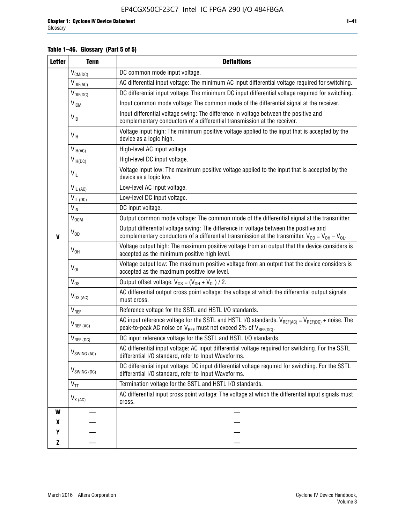## **Table 1–46. Glossary (Part 5 of 5)**

| <b>Letter</b> | <b>Term</b>               | <b>Definitions</b>                                                                                                                                                                                  |
|---------------|---------------------------|-----------------------------------------------------------------------------------------------------------------------------------------------------------------------------------------------------|
|               | $V_{CM(DC)}$              | DC common mode input voltage.                                                                                                                                                                       |
|               | $V_{DIF(AC)}$             | AC differential input voltage: The minimum AC input differential voltage required for switching.                                                                                                    |
|               | $V_{DIF(DC)}$             | DC differential input voltage: The minimum DC input differential voltage required for switching.                                                                                                    |
|               | <b>V<sub>ICM</sub></b>    | Input common mode voltage: The common mode of the differential signal at the receiver.                                                                                                              |
|               | $V_{ID}$                  | Input differential voltage swing: The difference in voltage between the positive and<br>complementary conductors of a differential transmission at the receiver.                                    |
|               | $V_{\text{IH}}$           | Voltage input high: The minimum positive voltage applied to the input that is accepted by the<br>device as a logic high.                                                                            |
|               | $V_{IH(AC)}$              | High-level AC input voltage.                                                                                                                                                                        |
|               | $V_{IH(DC)}$              | High-level DC input voltage.                                                                                                                                                                        |
|               | $V_{IL}$                  | Voltage input low: The maximum positive voltage applied to the input that is accepted by the<br>device as a logic low.                                                                              |
|               | $V_{IL(AC)}$              | Low-level AC input voltage.                                                                                                                                                                         |
|               | $V_{IL(DC)}$              | Low-level DC input voltage.                                                                                                                                                                         |
|               | $V_{\text{IN}}$           | DC input voltage.                                                                                                                                                                                   |
|               | V <sub>OCM</sub>          | Output common mode voltage: The common mode of the differential signal at the transmitter.                                                                                                          |
| $\mathbf{V}$  | $V_{OD}$                  | Output differential voltage swing: The difference in voltage between the positive and<br>complementary conductors of a differential transmission at the transmitter. $V_{OD} = V_{OH} - V_{OL}$ .   |
|               | $V_{OH}$                  | Voltage output high: The maximum positive voltage from an output that the device considers is<br>accepted as the minimum positive high level.                                                       |
|               | $V_{OL}$                  | Voltage output low: The maximum positive voltage from an output that the device considers is<br>accepted as the maximum positive low level.                                                         |
|               | $V_{OS}$                  | Output offset voltage: $V_{OS} = (V_{OH} + V_{OL}) / 2$ .                                                                                                                                           |
|               | $V_{OX(AC)}$              | AC differential output cross point voltage: the voltage at which the differential output signals<br>must cross.                                                                                     |
|               | V <sub>REF</sub>          | Reference voltage for the SSTL and HSTL I/O standards.                                                                                                                                              |
|               | $V_{REF\,(AC)}$           | AC input reference voltage for the SSTL and HSTL I/O standards. $V_{REF(AC)} = V_{REF(DC)} + noise$ . The<br>peak-to-peak AC noise on V <sub>REF</sub> must not exceed 2% of V <sub>REF(DC)</sub> . |
|               | $V_{REF(DC)}$             | DC input reference voltage for the SSTL and HSTL I/O standards.                                                                                                                                     |
|               | $V_{\textrm{SWING (AC)}}$ | AC differential input voltage: AC input differential voltage required for switching. For the SSTL<br>differential I/O standard, refer to Input Waveforms.                                           |
|               | $V_{SWING (DC)}$          | DC differential input voltage: DC input differential voltage required for switching. For the SSTL<br>differential I/O standard, refer to Input Waveforms.                                           |
|               | $V_{TT}$                  | Termination voltage for the SSTL and HSTL I/O standards.                                                                                                                                            |
|               | $V_{X(AC)}$               | AC differential input cross point voltage: The voltage at which the differential input signals must<br>cross.                                                                                       |
| W             |                           |                                                                                                                                                                                                     |
| X             |                           |                                                                                                                                                                                                     |
| Y             |                           |                                                                                                                                                                                                     |
| Z             |                           |                                                                                                                                                                                                     |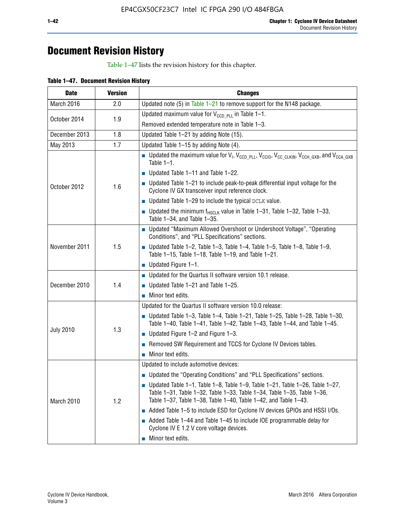## **Document Revision History**

Table 1–47 lists the revision history for this chapter.

| <b>Date</b>      | <b>Version</b> | <b>Changes</b>                                                                                                                                                                                                                            |
|------------------|----------------|-------------------------------------------------------------------------------------------------------------------------------------------------------------------------------------------------------------------------------------------|
| March 2016       | 2.0            | Updated note (5) in Table $1-21$ to remove support for the N148 package.                                                                                                                                                                  |
| October 2014     | 1.9            | Updated maximum value for $V_{CCD, PL}$ in Table 1-1.                                                                                                                                                                                     |
|                  |                | Removed extended temperature note in Table 1-3.                                                                                                                                                                                           |
| December 2013    | 1.8            | Updated Table 1-21 by adding Note (15).                                                                                                                                                                                                   |
| May 2013         | 1.7            | Updated Table 1-15 by adding Note (4).                                                                                                                                                                                                    |
| October 2012     | 1.6            | <b>D</b> Updated the maximum value for $V_1$ , $V_{CCD\_PLL}$ , $V_{CC10}$ , $V_{CC\_CLKIN}$ , $V_{CCH\_GXB}$ , and $V_{CCA\_GXB}$<br>Table $1-1$ .                                                                                       |
|                  |                | $\blacksquare$ Updated Table 1-11 and Table 1-22.                                                                                                                                                                                         |
|                  |                | $\blacksquare$ Updated Table 1-21 to include peak-to-peak differential input voltage for the<br>Cyclone IV GX transceiver input reference clock.                                                                                          |
|                  |                | $\blacksquare$ Updated Table 1-29 to include the typical DCLK value.                                                                                                                                                                      |
|                  |                | <b>Updated the minimum f<sub>HSCLK</sub></b> value in Table 1-31, Table 1-32, Table 1-33,<br>Table 1-34, and Table 1-35.                                                                                                                  |
| November 2011    | 1.5            | • Updated "Maximum Allowed Overshoot or Undershoot Voltage", "Operating<br>Conditions", and "PLL Specifications" sections.                                                                                                                |
|                  |                | ■ Updated Table 1-2, Table 1-3, Table 1-4, Table 1-5, Table 1-8, Table 1-9,<br>Table 1-15, Table 1-18, Table 1-19, and Table 1-21.                                                                                                        |
|                  |                | ■ Updated Figure $1-1$ .                                                                                                                                                                                                                  |
|                  | 1.4            | Updated for the Quartus II software version 10.1 release.                                                                                                                                                                                 |
| December 2010    |                | $\blacksquare$ Updated Table 1-21 and Table 1-25.                                                                                                                                                                                         |
|                  |                | $\blacksquare$ Minor text edits.                                                                                                                                                                                                          |
|                  | 1.3            | Updated for the Quartus II software version 10.0 release:                                                                                                                                                                                 |
| <b>July 2010</b> |                | Updated Table 1-3, Table 1-4, Table 1-21, Table 1-25, Table 1-28, Table 1-30,<br>Table 1-40, Table 1-41, Table 1-42, Table 1-43, Table 1-44, and Table 1-45.                                                                              |
|                  |                | ■ Updated Figure $1-2$ and Figure $1-3$ .                                                                                                                                                                                                 |
|                  |                | Removed SW Requirement and TCCS for Cyclone IV Devices tables.                                                                                                                                                                            |
|                  |                | $\blacksquare$ Minor text edits.                                                                                                                                                                                                          |
|                  | 1.2            | Updated to include automotive devices:                                                                                                                                                                                                    |
| March 2010       |                | • Updated the "Operating Conditions" and "PLL Specifications" sections.                                                                                                                                                                   |
|                  |                | $\blacksquare$ Updated Table 1-1, Table 1-8, Table 1-9, Table 1-21, Table 1-26, Table 1-27,<br>Table 1-31, Table 1-32, Table 1-33, Table 1-34, Table 1-35, Table 1-36,<br>Table 1-37, Table 1-38, Table 1-40, Table 1-42, and Table 1-43. |
|                  |                | Added Table 1-5 to include ESD for Cyclone IV devices GPIOs and HSSI I/Os.                                                                                                                                                                |
|                  |                | Added Table 1-44 and Table 1-45 to include IOE programmable delay for<br>Cyclone IV E 1.2 V core voltage devices.                                                                                                                         |
|                  |                | Minor text edits.                                                                                                                                                                                                                         |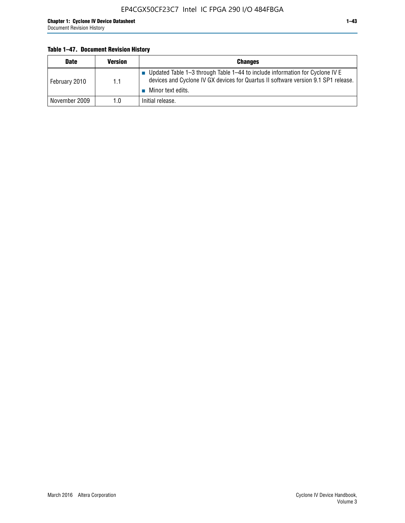## **Table 1–47. Document Revision History**

| <b>Date</b>   | <b>Version</b> | <b>Changes</b>                                                                                                                                                                          |
|---------------|----------------|-----------------------------------------------------------------------------------------------------------------------------------------------------------------------------------------|
| February 2010 | 1.1            | Updated Table 1-3 through Table 1-44 to include information for Cyclone IV E<br>devices and Cyclone IV GX devices for Quartus II software version 9.1 SP1 release.<br>Minor text edits. |
| November 2009 | 1.0            | Initial release.                                                                                                                                                                        |